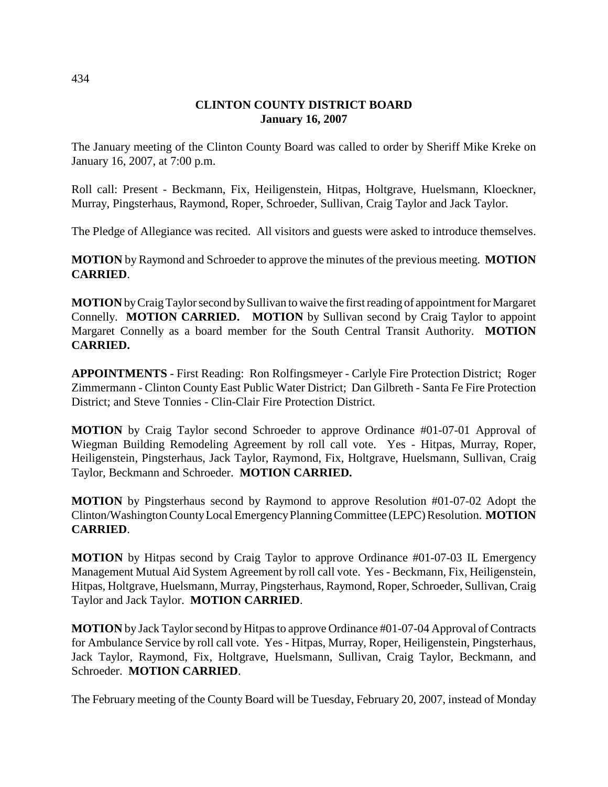# **CLINTON COUNTY DISTRICT BOARD January 16, 2007**

The January meeting of the Clinton County Board was called to order by Sheriff Mike Kreke on January 16, 2007, at 7:00 p.m.

Roll call: Present - Beckmann, Fix, Heiligenstein, Hitpas, Holtgrave, Huelsmann, Kloeckner, Murray, Pingsterhaus, Raymond, Roper, Schroeder, Sullivan, Craig Taylor and Jack Taylor.

The Pledge of Allegiance was recited. All visitors and guests were asked to introduce themselves.

**MOTION** by Raymond and Schroeder to approve the minutes of the previous meeting. **MOTION CARRIED**.

**MOTION** by Craig Taylor second by Sullivan to waive the first reading of appointment for Margaret Connelly. **MOTION CARRIED. MOTION** by Sullivan second by Craig Taylor to appoint Margaret Connelly as a board member for the South Central Transit Authority. **MOTION CARRIED.**

**APPOINTMENTS** - First Reading: Ron Rolfingsmeyer - Carlyle Fire Protection District; Roger Zimmermann - Clinton County East Public Water District; Dan Gilbreth - Santa Fe Fire Protection District; and Steve Tonnies - Clin-Clair Fire Protection District.

**MOTION** by Craig Taylor second Schroeder to approve Ordinance #01-07-01 Approval of Wiegman Building Remodeling Agreement by roll call vote. Yes - Hitpas, Murray, Roper, Heiligenstein, Pingsterhaus, Jack Taylor, Raymond, Fix, Holtgrave, Huelsmann, Sullivan, Craig Taylor, Beckmann and Schroeder. **MOTION CARRIED.**

**MOTION** by Pingsterhaus second by Raymond to approve Resolution #01-07-02 Adopt the Clinton/Washington County Local Emergency Planning Committee (LEPC) Resolution. **MOTION CARRIED**.

**MOTION** by Hitpas second by Craig Taylor to approve Ordinance #01-07-03 IL Emergency Management Mutual Aid System Agreement by roll call vote. Yes - Beckmann, Fix, Heiligenstein, Hitpas, Holtgrave, Huelsmann, Murray, Pingsterhaus, Raymond, Roper, Schroeder, Sullivan, Craig Taylor and Jack Taylor. **MOTION CARRIED**.

**MOTION** by Jack Taylor second by Hitpas to approve Ordinance #01-07-04 Approval of Contracts for Ambulance Service by roll call vote. Yes - Hitpas, Murray, Roper, Heiligenstein, Pingsterhaus, Jack Taylor, Raymond, Fix, Holtgrave, Huelsmann, Sullivan, Craig Taylor, Beckmann, and Schroeder. **MOTION CARRIED**.

The February meeting of the County Board will be Tuesday, February 20, 2007, instead of Monday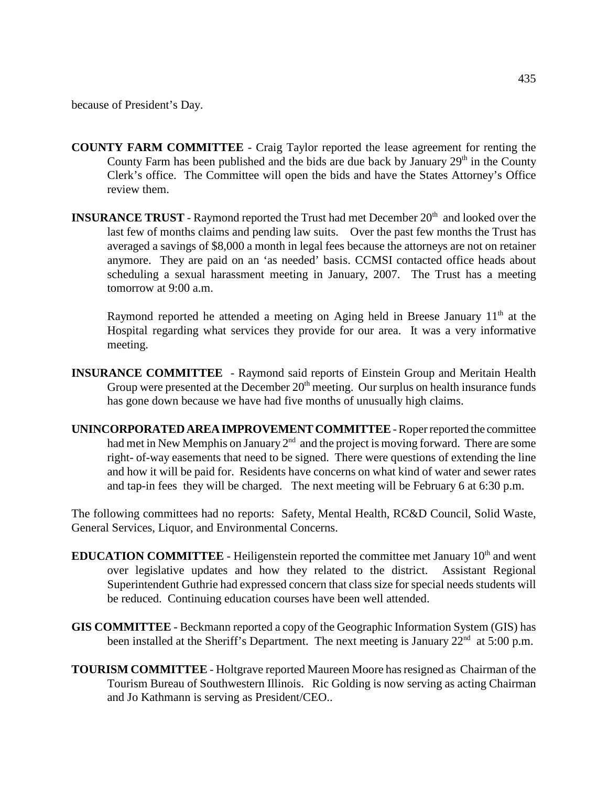- **COUNTY FARM COMMITTEE** Craig Taylor reported the lease agreement for renting the County Farm has been published and the bids are due back by January  $29<sup>th</sup>$  in the County Clerk's office. The Committee will open the bids and have the States Attorney's Office review them.
- **INSURANCE TRUST** Raymond reported the Trust had met December 20<sup>th</sup> and looked over the last few of months claims and pending law suits. Over the past few months the Trust has averaged a savings of \$8,000 a month in legal fees because the attorneys are not on retainer anymore. They are paid on an 'as needed' basis. CCMSI contacted office heads about scheduling a sexual harassment meeting in January, 2007. The Trust has a meeting tomorrow at 9:00 a.m.

Raymond reported he attended a meeting on Aging held in Breese January  $11<sup>th</sup>$  at the Hospital regarding what services they provide for our area. It was a very informative meeting.

- **INSURANCE COMMITTEE**  Raymond said reports of Einstein Group and Meritain Health Group were presented at the December  $20<sup>th</sup>$  meeting. Our surplus on health insurance funds has gone down because we have had five months of unusually high claims.
- **UNINCORPORATED AREA IMPROVEMENT COMMITTEE**  Roper reported the committee had met in New Memphis on January  $2<sup>nd</sup>$  and the project is moving forward. There are some right- of-way easements that need to be signed. There were questions of extending the line and how it will be paid for. Residents have concerns on what kind of water and sewer rates and tap-in fees they will be charged. The next meeting will be February 6 at 6:30 p.m.

The following committees had no reports: Safety, Mental Health, RC&D Council, Solid Waste, General Services, Liquor, and Environmental Concerns.

- **EDUCATION COMMITTEE** Heiligenstein reported the committee met January  $10<sup>th</sup>$  and went over legislative updates and how they related to the district. Assistant Regional Superintendent Guthrie had expressed concern that class size for special needs students will be reduced. Continuing education courses have been well attended.
- **GIS COMMITTEE** Beckmann reported a copy of the Geographic Information System (GIS) has been installed at the Sheriff's Department. The next meeting is January  $22<sup>nd</sup>$  at 5:00 p.m.
- **TOURISM COMMITTEE** Holtgrave reported Maureen Moore has resigned as Chairman of the Tourism Bureau of Southwestern Illinois. Ric Golding is now serving as acting Chairman and Jo Kathmann is serving as President/CEO..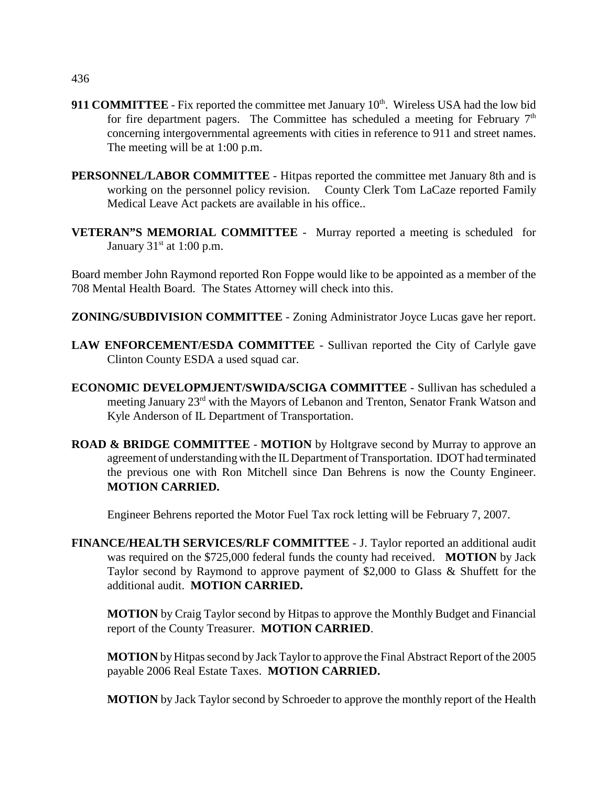- **911 COMMITTEE** Fix reported the committee met January 10<sup>th</sup>. Wireless USA had the low bid for fire department pagers. The Committee has scheduled a meeting for February  $7<sup>th</sup>$ concerning intergovernmental agreements with cities in reference to 911 and street names. The meeting will be at 1:00 p.m.
- **PERSONNEL/LABOR COMMITTEE** Hitpas reported the committee met January 8th and is working on the personnel policy revision. County Clerk Tom LaCaze reported Family Medical Leave Act packets are available in his office..
- **VETERAN"S MEMORIAL COMMITTEE** Murray reported a meeting is scheduled for January  $31<sup>st</sup>$  at 1:00 p.m.

Board member John Raymond reported Ron Foppe would like to be appointed as a member of the 708 Mental Health Board. The States Attorney will check into this.

**ZONING/SUBDIVISION COMMITTEE** - Zoning Administrator Joyce Lucas gave her report.

- **LAW ENFORCEMENT/ESDA COMMITTEE**  Sullivan reported the City of Carlyle gave Clinton County ESDA a used squad car.
- **ECONOMIC DEVELOPMJENT/SWIDA/SCIGA COMMITTEE** Sullivan has scheduled a meeting January 23rd with the Mayors of Lebanon and Trenton, Senator Frank Watson and Kyle Anderson of IL Department of Transportation.
- **ROAD & BRIDGE COMMITTEE MOTION** by Holtgrave second by Murray to approve an agreement of understanding with the IL Department of Transportation. IDOT had terminated the previous one with Ron Mitchell since Dan Behrens is now the County Engineer. **MOTION CARRIED.**

Engineer Behrens reported the Motor Fuel Tax rock letting will be February 7, 2007.

**FINANCE/HEALTH SERVICES/RLF COMMITTEE** - J. Taylor reported an additional audit was required on the \$725,000 federal funds the county had received. **MOTION** by Jack Taylor second by Raymond to approve payment of \$2,000 to Glass & Shuffett for the additional audit. **MOTION CARRIED.**

**MOTION** by Craig Taylor second by Hitpas to approve the Monthly Budget and Financial report of the County Treasurer. **MOTION CARRIED**.

**MOTION** by Hitpas second by Jack Taylor to approve the Final Abstract Report of the 2005 payable 2006 Real Estate Taxes. **MOTION CARRIED.**

**MOTION** by Jack Taylor second by Schroeder to approve the monthly report of the Health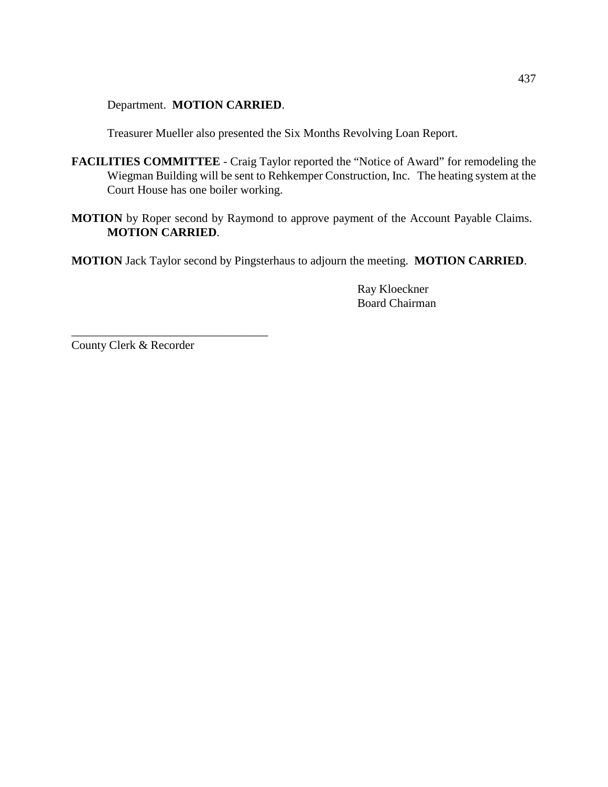Department. **MOTION CARRIED**.

Treasurer Mueller also presented the Six Months Revolving Loan Report.

- **FACILITIES COMMITTEE**  Craig Taylor reported the "Notice of Award" for remodeling the Wiegman Building will be sent to Rehkemper Construction, Inc. The heating system at the Court House has one boiler working.
- **MOTION** by Roper second by Raymond to approve payment of the Account Payable Claims. **MOTION CARRIED**.

**MOTION** Jack Taylor second by Pingsterhaus to adjourn the meeting. **MOTION CARRIED**.

Ray Kloeckner Board Chairman

County Clerk & Recorder

\_\_\_\_\_\_\_\_\_\_\_\_\_\_\_\_\_\_\_\_\_\_\_\_\_\_\_\_\_\_\_\_\_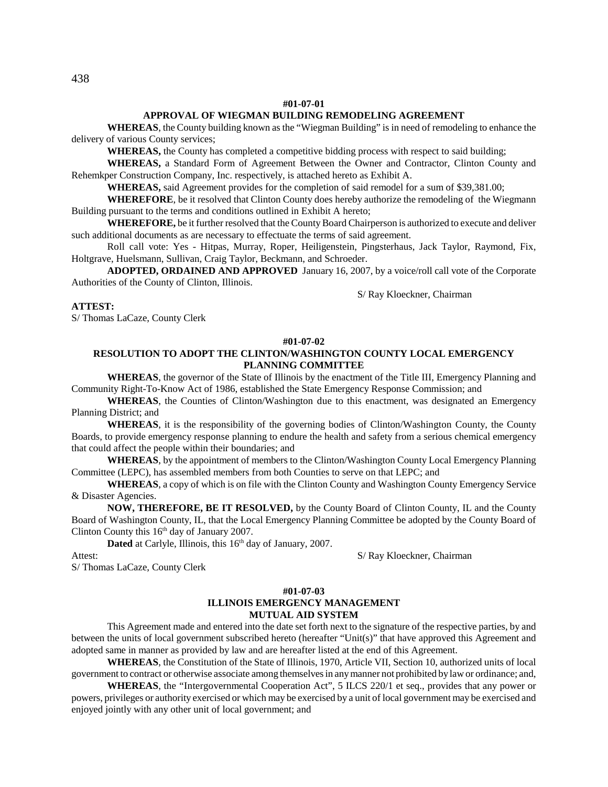### **#01-07-01**

### **APPROVAL OF WIEGMAN BUILDING REMODELING AGREEMENT**

**WHEREAS**, the County building known as the "Wiegman Building" is in need of remodeling to enhance the delivery of various County services;

**WHEREAS,** the County has completed a competitive bidding process with respect to said building;

**WHEREAS,** a Standard Form of Agreement Between the Owner and Contractor, Clinton County and Rehemkper Construction Company, Inc. respectively, is attached hereto as Exhibit A.

**WHEREAS,** said Agreement provides for the completion of said remodel for a sum of \$39,381.00;

**WHEREFORE**, be it resolved that Clinton County does hereby authorize the remodeling of the Wiegmann Building pursuant to the terms and conditions outlined in Exhibit A hereto;

**WHEREFORE,** be it further resolved that the County Board Chairperson is authorized to execute and deliver such additional documents as are necessary to effectuate the terms of said agreement.

Roll call vote: Yes - Hitpas, Murray, Roper, Heiligenstein, Pingsterhaus, Jack Taylor, Raymond, Fix, Holtgrave, Huelsmann, Sullivan, Craig Taylor, Beckmann, and Schroeder.

**ADOPTED, ORDAINED AND APPROVED** January 16, 2007, by a voice/roll call vote of the Corporate Authorities of the County of Clinton, Illinois.

S/ Ray Kloeckner, Chairman

### **ATTEST:**

S/ Thomas LaCaze, County Clerk

#### **#01-07-02**

### **RESOLUTION TO ADOPT THE CLINTON/WASHINGTON COUNTY LOCAL EMERGENCY PLANNING COMMITTEE**

**WHEREAS**, the governor of the State of Illinois by the enactment of the Title III, Emergency Planning and Community Right-To-Know Act of 1986, established the State Emergency Response Commission; and

**WHEREAS**, the Counties of Clinton/Washington due to this enactment, was designated an Emergency Planning District; and

**WHEREAS**, it is the responsibility of the governing bodies of Clinton/Washington County, the County Boards, to provide emergency response planning to endure the health and safety from a serious chemical emergency that could affect the people within their boundaries; and

**WHEREAS**, by the appointment of members to the Clinton/Washington County Local Emergency Planning Committee (LEPC), has assembled members from both Counties to serve on that LEPC; and

**WHEREAS**, a copy of which is on file with the Clinton County and Washington County Emergency Service & Disaster Agencies.

**NOW, THEREFORE, BE IT RESOLVED,** by the County Board of Clinton County, IL and the County Board of Washington County, IL, that the Local Emergency Planning Committee be adopted by the County Board of Clinton County this  $16<sup>th</sup>$  day of January 2007.

**Dated** at Carlyle, Illinois, this 16<sup>th</sup> day of January, 2007.

Attest: S/ Ray Kloeckner, Chairman

S/ Thomas LaCaze, County Clerk

### **#01-07-03 ILLINOIS EMERGENCY MANAGEMENT MUTUAL AID SYSTEM**

This Agreement made and entered into the date set forth next to the signature of the respective parties, by and between the units of local government subscribed hereto (hereafter "Unit(s)" that have approved this Agreement and adopted same in manner as provided by law and are hereafter listed at the end of this Agreement.

**WHEREAS**, the Constitution of the State of Illinois, 1970, Article VII, Section 10, authorized units of local government to contract or otherwise associate among themselves in any manner not prohibited by law or ordinance; and,

**WHEREAS**, the "Intergovernmental Cooperation Act", 5 ILCS 220/1 et seq., provides that any power or powers, privileges or authority exercised or which may be exercised by a unit of local government may be exercised and enjoyed jointly with any other unit of local government; and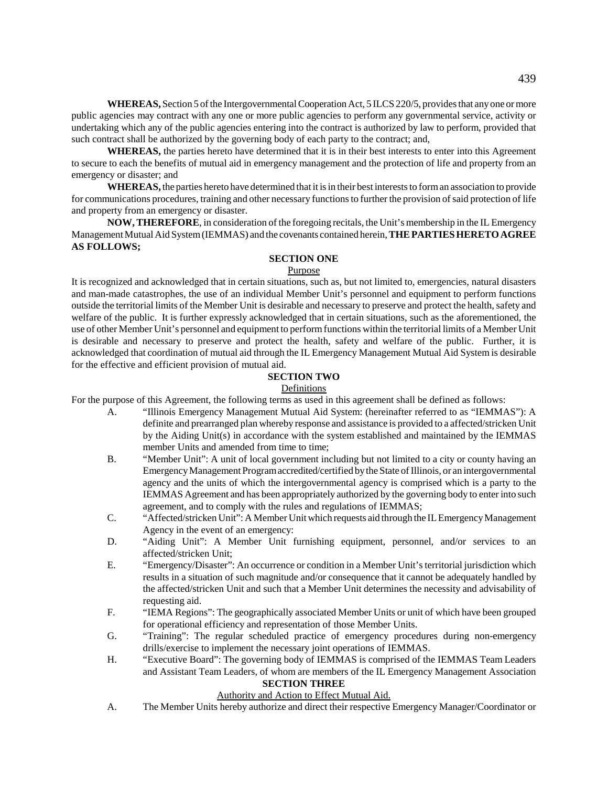**WHEREAS,** Section 5 of the Intergovernmental Cooperation Act, 5 ILCS 220/5, provides that any one or more public agencies may contract with any one or more public agencies to perform any governmental service, activity or undertaking which any of the public agencies entering into the contract is authorized by law to perform, provided that such contract shall be authorized by the governing body of each party to the contract; and,

**WHEREAS,** the parties hereto have determined that it is in their best interests to enter into this Agreement to secure to each the benefits of mutual aid in emergency management and the protection of life and property from an emergency or disaster; and

**WHEREAS,** the parties hereto have determined that it is in their best interests to form an association to provide for communications procedures, training and other necessary functions to further the provision of said protection of life and property from an emergency or disaster.

**NOW, THEREFORE**, in consideration of the foregoing recitals, the Unit's membership in the IL Emergency Management Mutual Aid System (IEMMAS) and the covenants contained herein, **THE PARTIES HERETO AGREE AS FOLLOWS;**

### **SECTION ONE**

### Purpose

It is recognized and acknowledged that in certain situations, such as, but not limited to, emergencies, natural disasters and man-made catastrophes, the use of an individual Member Unit's personnel and equipment to perform functions outside the territorial limits of the Member Unit is desirable and necessary to preserve and protect the health, safety and welfare of the public. It is further expressly acknowledged that in certain situations, such as the aforementioned, the use of other Member Unit's personnel and equipment to perform functions within the territorial limits of a Member Unit is desirable and necessary to preserve and protect the health, safety and welfare of the public. Further, it is acknowledged that coordination of mutual aid through the IL Emergency Management Mutual Aid System is desirable for the effective and efficient provision of mutual aid.

### **SECTION TWO**

### Definitions

For the purpose of this Agreement, the following terms as used in this agreement shall be defined as follows:

- A. "Illinois Emergency Management Mutual Aid System: (hereinafter referred to as "IEMMAS"): A definite and prearranged plan whereby response and assistance is provided to a affected/stricken Unit by the Aiding Unit(s) in accordance with the system established and maintained by the IEMMAS member Units and amended from time to time;
- B. "Member Unit": A unit of local government including but not limited to a city or county having an Emergency Management Program accredited/certified by the State of Illinois, or an intergovernmental agency and the units of which the intergovernmental agency is comprised which is a party to the IEMMAS Agreement and has been appropriately authorized by the governing body to enter into such agreement, and to comply with the rules and regulations of IEMMAS;
- C. "Affected/stricken Unit": A Member Unit which requests aid through the IL Emergency Management Agency in the event of an emergency:
- D. "Aiding Unit": A Member Unit furnishing equipment, personnel, and/or services to an affected/stricken Unit;
- E. "Emergency/Disaster": An occurrence or condition in a Member Unit's territorial jurisdiction which results in a situation of such magnitude and/or consequence that it cannot be adequately handled by the affected/stricken Unit and such that a Member Unit determines the necessity and advisability of requesting aid.
- F. "IEMA Regions": The geographically associated Member Units or unit of which have been grouped for operational efficiency and representation of those Member Units.
- G. "Training": The regular scheduled practice of emergency procedures during non-emergency drills/exercise to implement the necessary joint operations of IEMMAS.
- H. "Executive Board": The governing body of IEMMAS is comprised of the IEMMAS Team Leaders and Assistant Team Leaders, of whom are members of the IL Emergency Management Association

### **SECTION THREE**

### Authority and Action to Effect Mutual Aid.

A. The Member Units hereby authorize and direct their respective Emergency Manager/Coordinator or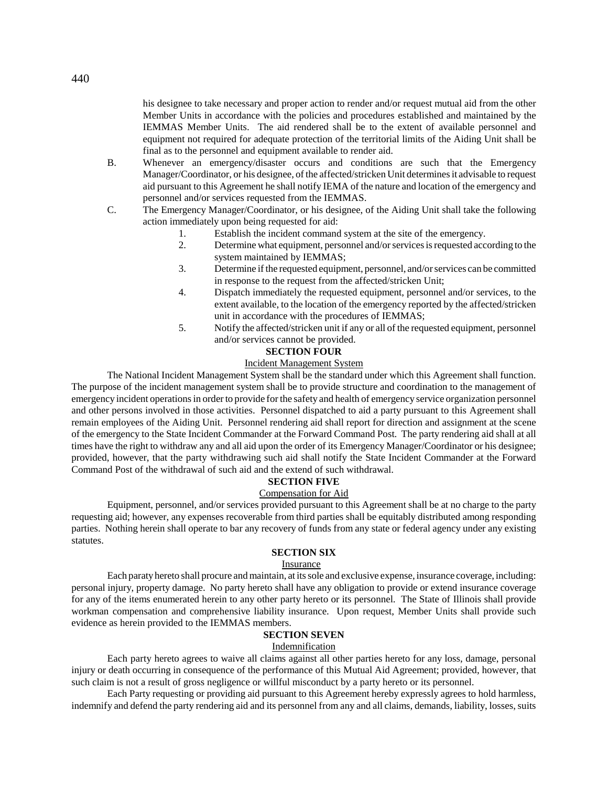his designee to take necessary and proper action to render and/or request mutual aid from the other Member Units in accordance with the policies and procedures established and maintained by the IEMMAS Member Units. The aid rendered shall be to the extent of available personnel and equipment not required for adequate protection of the territorial limits of the Aiding Unit shall be final as to the personnel and equipment available to render aid.

- B. Whenever an emergency/disaster occurs and conditions are such that the Emergency Manager/Coordinator, or his designee, of the affected/stricken Unit determines it advisable to request aid pursuant to this Agreement he shall notify IEMA of the nature and location of the emergency and personnel and/or services requested from the IEMMAS.
- C. The Emergency Manager/Coordinator, or his designee, of the Aiding Unit shall take the following action immediately upon being requested for aid:
	- 1. Establish the incident command system at the site of the emergency.
	- 2. Determine what equipment, personnel and/or services is requested according to the system maintained by IEMMAS;
	- 3. Determine if the requested equipment, personnel, and/or services can be committed in response to the request from the affected/stricken Unit;
	- 4. Dispatch immediately the requested equipment, personnel and/or services, to the extent available, to the location of the emergency reported by the affected/stricken unit in accordance with the procedures of IEMMAS;
	- 5. Notify the affected/stricken unit if any or all of the requested equipment, personnel and/or services cannot be provided.

### **SECTION FOUR**

### Incident Management System

The National Incident Management System shall be the standard under which this Agreement shall function. The purpose of the incident management system shall be to provide structure and coordination to the management of emergency incident operations in order to provide for the safety and health of emergency service organization personnel and other persons involved in those activities. Personnel dispatched to aid a party pursuant to this Agreement shall remain employees of the Aiding Unit. Personnel rendering aid shall report for direction and assignment at the scene of the emergency to the State Incident Commander at the Forward Command Post. The party rendering aid shall at all times have the right to withdraw any and all aid upon the order of its Emergency Manager/Coordinator or his designee; provided, however, that the party withdrawing such aid shall notify the State Incident Commander at the Forward Command Post of the withdrawal of such aid and the extend of such withdrawal.

### **SECTION FIVE**

### Compensation for Aid

Equipment, personnel, and/or services provided pursuant to this Agreement shall be at no charge to the party requesting aid; however, any expenses recoverable from third parties shall be equitably distributed among responding parties. Nothing herein shall operate to bar any recovery of funds from any state or federal agency under any existing statutes.

# **SECTION SIX**

### Insurance

Each paraty hereto shall procure and maintain, at its sole and exclusive expense, insurance coverage, including: personal injury, property damage. No party hereto shall have any obligation to provide or extend insurance coverage for any of the items enumerated herein to any other party hereto or its personnel. The State of Illinois shall provide workman compensation and comprehensive liability insurance. Upon request, Member Units shall provide such evidence as herein provided to the IEMMAS members.

# **SECTION SEVEN**

### Indemnification

Each party hereto agrees to waive all claims against all other parties hereto for any loss, damage, personal injury or death occurring in consequence of the performance of this Mutual Aid Agreement; provided, however, that such claim is not a result of gross negligence or willful misconduct by a party hereto or its personnel.

Each Party requesting or providing aid pursuant to this Agreement hereby expressly agrees to hold harmless, indemnify and defend the party rendering aid and its personnel from any and all claims, demands, liability, losses, suits

440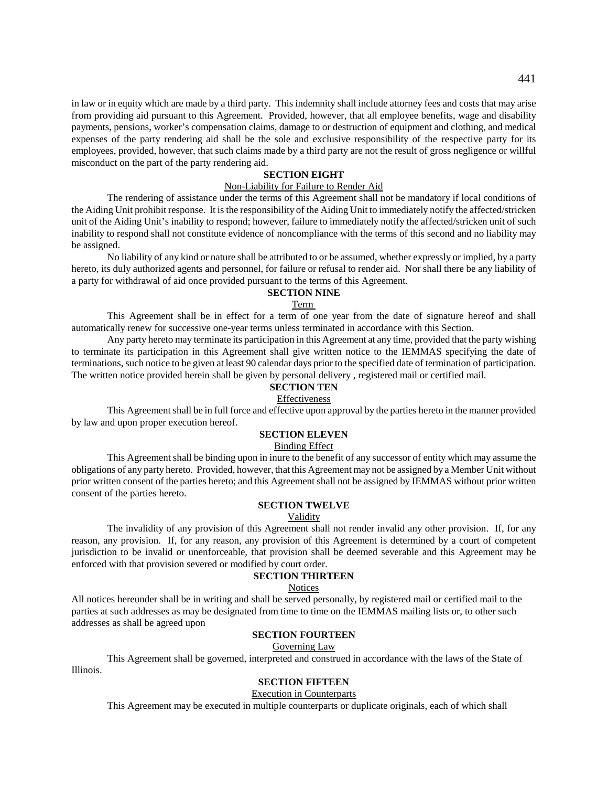in law or in equity which are made by a third party. This indemnity shall include attorney fees and costs that may arise from providing aid pursuant to this Agreement. Provided, however, that all employee benefits, wage and disability payments, pensions, worker's compensation claims, damage to or destruction of equipment and clothing, and medical expenses of the party rendering aid shall be the sole and exclusive responsibility of the respective party for its employees, provided, however, that such claims made by a third party are not the result of gross negligence or willful misconduct on the part of the party rendering aid.

# **SECTION EIGHT**

### Non-Liability for Failure to Render Aid

The rendering of assistance under the terms of this Agreement shall not be mandatory if local conditions of the Aiding Unit prohibit response. It is the responsibility of the Aiding Unit to immediately notify the affected/stricken unit of the Aiding Unit's inability to respond; however, failure to immediately notify the affected/stricken unit of such inability to respond shall not constitute evidence of noncompliance with the terms of this second and no liability may be assigned.

No liability of any kind or nature shall be attributed to or be assumed, whether expressly or implied, by a party hereto, its duly authorized agents and personnel, for failure or refusal to render aid. Nor shall there be any liability of a party for withdrawal of aid once provided pursuant to the terms of this Agreement.

#### **SECTION NINE**

### Term

This Agreement shall be in effect for a term of one year from the date of signature hereof and shall automatically renew for successive one-year terms unless terminated in accordance with this Section.

Any party hereto may terminate its participation in this Agreement at any time, provided that the party wishing to terminate its participation in this Agreement shall give written notice to the IEMMAS specifying the date of terminations, such notice to be given at least 90 calendar days prior to the specified date of termination of participation. The written notice provided herein shall be given by personal delivery , registered mail or certified mail.

### **SECTION TEN**

### Effectiveness

This Agreement shall be in full force and effective upon approval by the parties hereto in the manner provided by law and upon proper execution hereof.

# **SECTION ELEVEN**

### Binding Effect

This Agreement shall be binding upon in inure to the benefit of any successor of entity which may assume the obligations of any party hereto. Provided, however, that this Agreement may not be assigned by a Member Unit without prior written consent of the parties hereto; and this Agreement shall not be assigned by IEMMAS without prior written consent of the parties hereto.

### **SECTION TWELVE**

### Validity

The invalidity of any provision of this Agreement shall not render invalid any other provision. If, for any reason, any provision. If, for any reason, any provision of this Agreement is determined by a court of competent jurisdiction to be invalid or unenforceable, that provision shall be deemed severable and this Agreement may be enforced with that provision severed or modified by court order.

### **SECTION THIRTEEN**

### Notices

All notices hereunder shall be in writing and shall be served personally, by registered mail or certified mail to the parties at such addresses as may be designated from time to time on the IEMMAS mailing lists or, to other such addresses as shall be agreed upon

### **SECTION FOURTEEN**

Governing Law

This Agreement shall be governed, interpreted and construed in accordance with the laws of the State of Illinois.

### **SECTION FIFTEEN**

### Execution in Counterparts

This Agreement may be executed in multiple counterparts or duplicate originals, each of which shall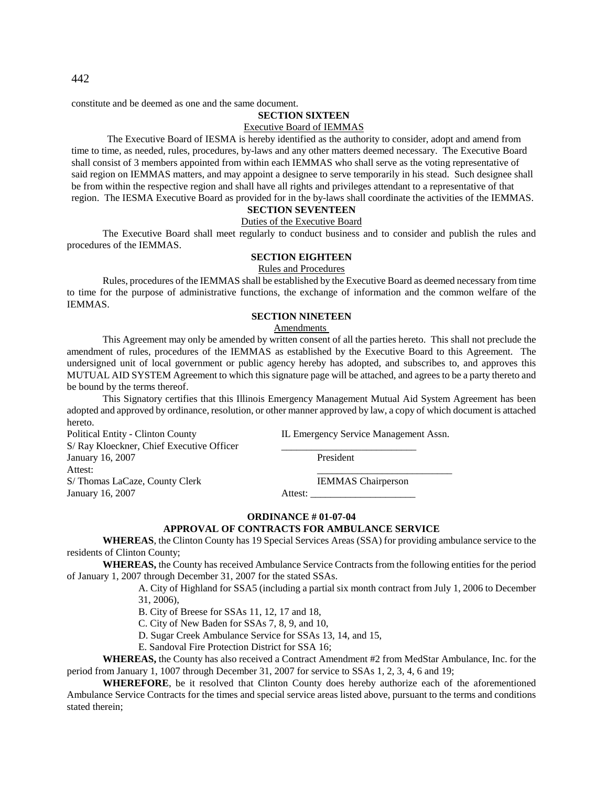constitute and be deemed as one and the same document.

# **SECTION SIXTEEN**

# Executive Board of IEMMAS

The Executive Board of IESMA is hereby identified as the authority to consider, adopt and amend from time to time, as needed, rules, procedures, by-laws and any other matters deemed necessary. The Executive Board shall consist of 3 members appointed from within each IEMMAS who shall serve as the voting representative of said region on IEMMAS matters, and may appoint a designee to serve temporarily in his stead. Such designee shall be from within the respective region and shall have all rights and privileges attendant to a representative of that region. The IESMA Executive Board as provided for in the by-laws shall coordinate the activities of the IEMMAS.

# **SECTION SEVENTEEN**

### Duties of the Executive Board

The Executive Board shall meet regularly to conduct business and to consider and publish the rules and procedures of the IEMMAS.

### **SECTION EIGHTEEN**

Rules and Procedures

Rules, procedures of the IEMMAS shall be established by the Executive Board as deemed necessary from time to time for the purpose of administrative functions, the exchange of information and the common welfare of the IEMMAS.

# **SECTION NINETEEN**

# Amendments

This Agreement may only be amended by written consent of all the parties hereto. This shall not preclude the amendment of rules, procedures of the IEMMAS as established by the Executive Board to this Agreement. The undersigned unit of local government or public agency hereby has adopted, and subscribes to, and approves this MUTUAL AID SYSTEM Agreement to which this signature page will be attached, and agrees to be a party thereto and be bound by the terms thereof.

This Signatory certifies that this Illinois Emergency Management Mutual Aid System Agreement has been adopted and approved by ordinance, resolution, or other manner approved by law, a copy of which document is attached hereto.

| <b>Political Entity - Clinton County</b> | IL Emergency Service Management Assn. |
|------------------------------------------|---------------------------------------|
| S/Ray Kloeckner, Chief Executive Officer |                                       |
| January 16, 2007                         | President                             |
| Attest:                                  |                                       |
| S/Thomas LaCaze, County Clerk            | <b>IEMMAS</b> Chairperson             |
| January 16, 2007                         | Attest:                               |

### **ORDINANCE # 01-07-04**

### **APPROVAL OF CONTRACTS FOR AMBULANCE SERVICE**

**WHEREAS**, the Clinton County has 19 Special Services Areas (SSA) for providing ambulance service to the residents of Clinton County;

**WHEREAS,** the County has received Ambulance Service Contracts from the following entities for the period of January 1, 2007 through December 31, 2007 for the stated SSAs.

> A. City of Highland for SSA5 (including a partial six month contract from July 1, 2006 to December 31, 2006),

B. City of Breese for SSAs 11, 12, 17 and 18,

C. City of New Baden for SSAs 7, 8, 9, and 10,

D. Sugar Creek Ambulance Service for SSAs 13, 14, and 15,

E. Sandoval Fire Protection District for SSA 16;

**WHEREAS,** the County has also received a Contract Amendment #2 from MedStar Ambulance, Inc. for the period from January 1, 1007 through December 31, 2007 for service to SSAs 1, 2, 3, 4, 6 and 19;

**WHEREFORE**, be it resolved that Clinton County does hereby authorize each of the aforementioned Ambulance Service Contracts for the times and special service areas listed above, pursuant to the terms and conditions stated therein;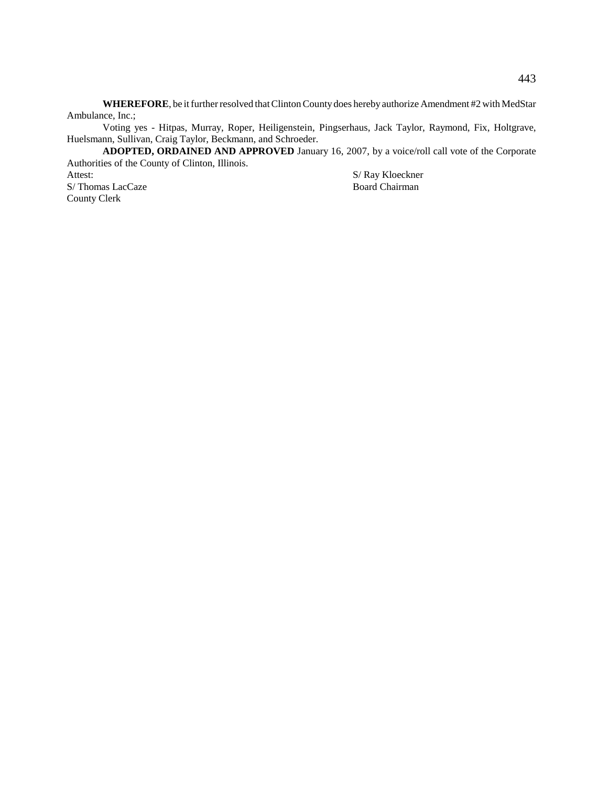**WHEREFORE**, be it further resolved that Clinton County does hereby authorize Amendment #2 with MedStar Ambulance, Inc.;

Voting yes - Hitpas, Murray, Roper, Heiligenstein, Pingserhaus, Jack Taylor, Raymond, Fix, Holtgrave, Huelsmann, Sullivan, Craig Taylor, Beckmann, and Schroeder.

**ADOPTED, ORDAINED AND APPROVED** January 16, 2007, by a voice/roll call vote of the Corporate Authorities of the County of Clinton, Illinois.

S/Thomas LacCaze County Clerk

S/ Ray Kloeckner<br>Board Chairman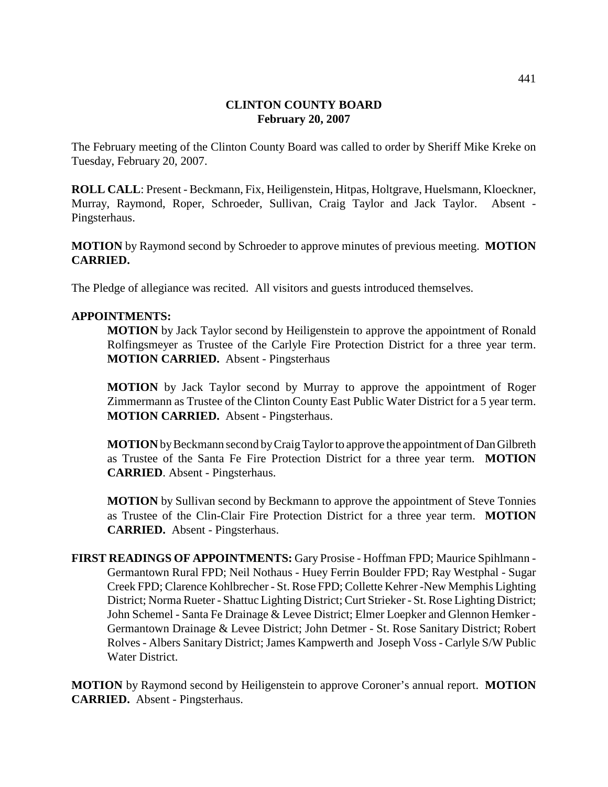# **CLINTON COUNTY BOARD February 20, 2007**

The February meeting of the Clinton County Board was called to order by Sheriff Mike Kreke on Tuesday, February 20, 2007.

**ROLL CALL**: Present - Beckmann, Fix, Heiligenstein, Hitpas, Holtgrave, Huelsmann, Kloeckner, Murray, Raymond, Roper, Schroeder, Sullivan, Craig Taylor and Jack Taylor. Absent - Pingsterhaus.

**MOTION** by Raymond second by Schroeder to approve minutes of previous meeting. **MOTION CARRIED.**

The Pledge of allegiance was recited. All visitors and guests introduced themselves.

# **APPOINTMENTS:**

**MOTION** by Jack Taylor second by Heiligenstein to approve the appointment of Ronald Rolfingsmeyer as Trustee of the Carlyle Fire Protection District for a three year term. **MOTION CARRIED.** Absent - Pingsterhaus

**MOTION** by Jack Taylor second by Murray to approve the appointment of Roger Zimmermann as Trustee of the Clinton County East Public Water District for a 5 year term. **MOTION CARRIED.** Absent - Pingsterhaus.

**MOTION** by Beckmann second by Craig Taylor to approve the appointment of Dan Gilbreth as Trustee of the Santa Fe Fire Protection District for a three year term. **MOTION CARRIED**. Absent - Pingsterhaus.

**MOTION** by Sullivan second by Beckmann to approve the appointment of Steve Tonnies as Trustee of the Clin-Clair Fire Protection District for a three year term. **MOTION CARRIED.** Absent - Pingsterhaus.

**FIRST READINGS OF APPOINTMENTS:** Gary Prosise - Hoffman FPD; Maurice Spihlmann - Germantown Rural FPD; Neil Nothaus - Huey Ferrin Boulder FPD; Ray Westphal - Sugar Creek FPD; Clarence Kohlbrecher - St. Rose FPD; Collette Kehrer -New Memphis Lighting District; Norma Rueter - Shattuc Lighting District; Curt Strieker - St. Rose Lighting District; John Schemel - Santa Fe Drainage & Levee District; Elmer Loepker and Glennon Hemker - Germantown Drainage & Levee District; John Detmer - St. Rose Sanitary District; Robert Rolves - Albers Sanitary District; James Kampwerth and Joseph Voss - Carlyle S/W Public Water District.

**MOTION** by Raymond second by Heiligenstein to approve Coroner's annual report. **MOTION CARRIED.** Absent - Pingsterhaus.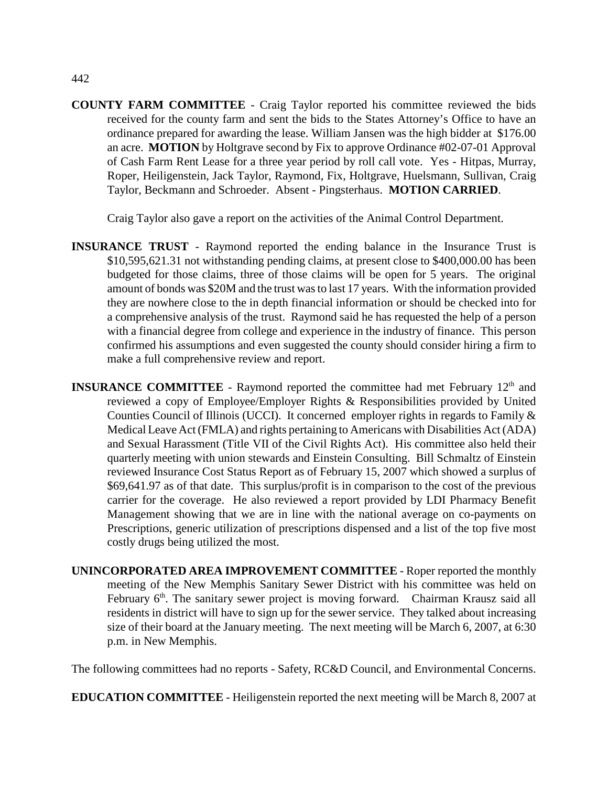**COUNTY FARM COMMITTEE** - Craig Taylor reported his committee reviewed the bids received for the county farm and sent the bids to the States Attorney's Office to have an ordinance prepared for awarding the lease. William Jansen was the high bidder at \$176.00 an acre. **MOTION** by Holtgrave second by Fix to approve Ordinance #02-07-01 Approval of Cash Farm Rent Lease for a three year period by roll call vote. Yes - Hitpas, Murray, Roper, Heiligenstein, Jack Taylor, Raymond, Fix, Holtgrave, Huelsmann, Sullivan, Craig Taylor, Beckmann and Schroeder. Absent - Pingsterhaus. **MOTION CARRIED**.

Craig Taylor also gave a report on the activities of the Animal Control Department.

- **INSURANCE TRUST** Raymond reported the ending balance in the Insurance Trust is \$10,595,621.31 not withstanding pending claims, at present close to \$400,000.00 has been budgeted for those claims, three of those claims will be open for 5 years. The original amount of bonds was \$20M and the trust was to last 17 years. With the information provided they are nowhere close to the in depth financial information or should be checked into for a comprehensive analysis of the trust. Raymond said he has requested the help of a person with a financial degree from college and experience in the industry of finance. This person confirmed his assumptions and even suggested the county should consider hiring a firm to make a full comprehensive review and report.
- **INSURANCE COMMITTEE** Raymond reported the committee had met February 12<sup>th</sup> and reviewed a copy of Employee/Employer Rights & Responsibilities provided by United Counties Council of Illinois (UCCI). It concerned employer rights in regards to Family & Medical Leave Act (FMLA) and rights pertaining to Americans with Disabilities Act (ADA) and Sexual Harassment (Title VII of the Civil Rights Act). His committee also held their quarterly meeting with union stewards and Einstein Consulting. Bill Schmaltz of Einstein reviewed Insurance Cost Status Report as of February 15, 2007 which showed a surplus of \$69,641.97 as of that date. This surplus/profit is in comparison to the cost of the previous carrier for the coverage. He also reviewed a report provided by LDI Pharmacy Benefit Management showing that we are in line with the national average on co-payments on Prescriptions, generic utilization of prescriptions dispensed and a list of the top five most costly drugs being utilized the most.
- **UNINCORPORATED AREA IMPROVEMENT COMMITTEE** Roper reported the monthly meeting of the New Memphis Sanitary Sewer District with his committee was held on February  $6<sup>th</sup>$ . The sanitary sewer project is moving forward. Chairman Krausz said all residents in district will have to sign up for the sewer service. They talked about increasing size of their board at the January meeting. The next meeting will be March 6, 2007, at 6:30 p.m. in New Memphis.

The following committees had no reports - Safety, RC&D Council, and Environmental Concerns.

**EDUCATION COMMITTEE** - Heiligenstein reported the next meeting will be March 8, 2007 at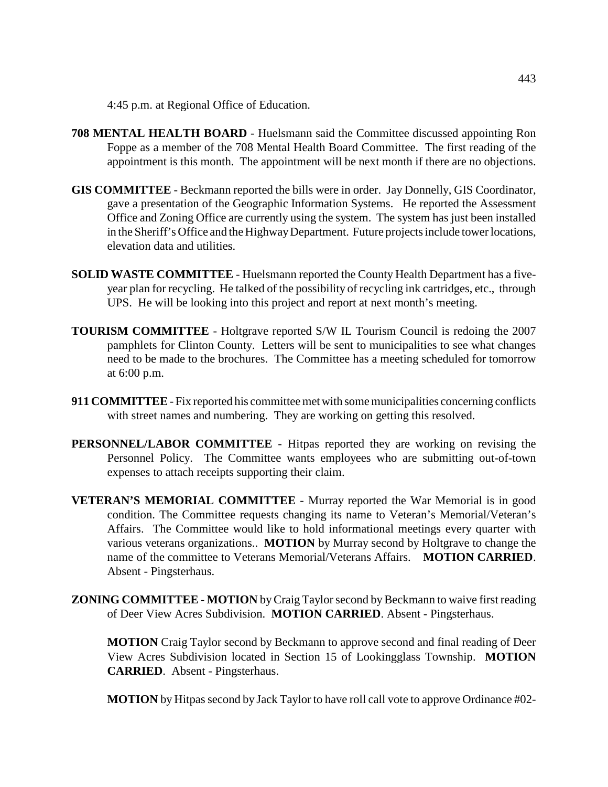4:45 p.m. at Regional Office of Education.

- **708 MENTAL HEALTH BOARD**  Huelsmann said the Committee discussed appointing Ron Foppe as a member of the 708 Mental Health Board Committee. The first reading of the appointment is this month. The appointment will be next month if there are no objections.
- **GIS COMMITTEE** Beckmann reported the bills were in order. Jay Donnelly, GIS Coordinator, gave a presentation of the Geographic Information Systems. He reported the Assessment Office and Zoning Office are currently using the system. The system has just been installed in the Sheriff's Office and the Highway Department. Future projects include tower locations, elevation data and utilities.
- **SOLID WASTE COMMITTEE**  Huelsmann reported the County Health Department has a fiveyear plan for recycling. He talked of the possibility of recycling ink cartridges, etc., through UPS. He will be looking into this project and report at next month's meeting.
- **TOURISM COMMITTEE**  Holtgrave reported S/W IL Tourism Council is redoing the 2007 pamphlets for Clinton County. Letters will be sent to municipalities to see what changes need to be made to the brochures. The Committee has a meeting scheduled for tomorrow at 6:00 p.m.
- **911 COMMITTEE**  Fix reported his committee met with some municipalities concerning conflicts with street names and numbering. They are working on getting this resolved.
- **PERSONNEL/LABOR COMMITTEE** Hitpas reported they are working on revising the Personnel Policy. The Committee wants employees who are submitting out-of-town expenses to attach receipts supporting their claim.
- **VETERAN'S MEMORIAL COMMITTEE** Murray reported the War Memorial is in good condition. The Committee requests changing its name to Veteran's Memorial/Veteran's Affairs. The Committee would like to hold informational meetings every quarter with various veterans organizations.. **MOTION** by Murray second by Holtgrave to change the name of the committee to Veterans Memorial/Veterans Affairs. **MOTION CARRIED**. Absent - Pingsterhaus.
- **ZONING COMMITTEE MOTION** by Craig Taylor second by Beckmann to waive first reading of Deer View Acres Subdivision. **MOTION CARRIED**. Absent - Pingsterhaus.

**MOTION** Craig Taylor second by Beckmann to approve second and final reading of Deer View Acres Subdivision located in Section 15 of Lookingglass Township. **MOTION CARRIED**. Absent - Pingsterhaus.

**MOTION** by Hitpas second by Jack Taylor to have roll call vote to approve Ordinance #02-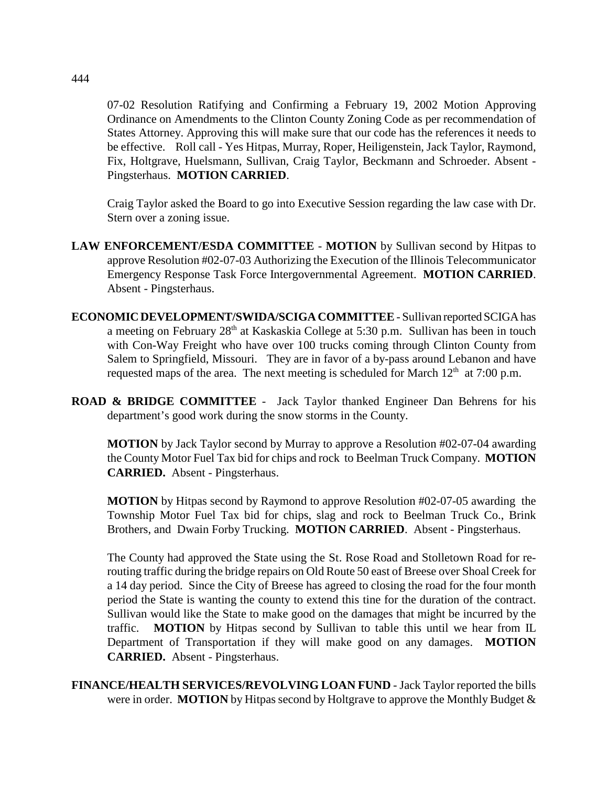07-02 Resolution Ratifying and Confirming a February 19, 2002 Motion Approving Ordinance on Amendments to the Clinton County Zoning Code as per recommendation of States Attorney. Approving this will make sure that our code has the references it needs to be effective. Roll call - Yes Hitpas, Murray, Roper, Heiligenstein, Jack Taylor, Raymond, Fix, Holtgrave, Huelsmann, Sullivan, Craig Taylor, Beckmann and Schroeder. Absent - Pingsterhaus. **MOTION CARRIED**.

Craig Taylor asked the Board to go into Executive Session regarding the law case with Dr. Stern over a zoning issue.

- **LAW ENFORCEMENT/ESDA COMMITTEE MOTION** by Sullivan second by Hitpas to approve Resolution #02-07-03 Authorizing the Execution of the Illinois Telecommunicator Emergency Response Task Force Intergovernmental Agreement. **MOTION CARRIED**. Absent - Pingsterhaus.
- **ECONOMIC DEVELOPMENT/SWIDA/SCIGA COMMITTEE** Sullivan reported SCIGA has a meeting on February  $28<sup>th</sup>$  at Kaskaskia College at 5:30 p.m. Sullivan has been in touch with Con-Way Freight who have over 100 trucks coming through Clinton County from Salem to Springfield, Missouri. They are in favor of a by-pass around Lebanon and have requested maps of the area. The next meeting is scheduled for March  $12<sup>th</sup>$  at 7:00 p.m.
- **ROAD & BRIDGE COMMITTEE**  Jack Taylor thanked Engineer Dan Behrens for his department's good work during the snow storms in the County.

**MOTION** by Jack Taylor second by Murray to approve a Resolution #02-07-04 awarding the County Motor Fuel Tax bid for chips and rock to Beelman Truck Company. **MOTION CARRIED.** Absent - Pingsterhaus.

**MOTION** by Hitpas second by Raymond to approve Resolution #02-07-05 awarding the Township Motor Fuel Tax bid for chips, slag and rock to Beelman Truck Co., Brink Brothers, and Dwain Forby Trucking. **MOTION CARRIED**. Absent - Pingsterhaus.

The County had approved the State using the St. Rose Road and Stolletown Road for rerouting traffic during the bridge repairs on Old Route 50 east of Breese over Shoal Creek for a 14 day period. Since the City of Breese has agreed to closing the road for the four month period the State is wanting the county to extend this tine for the duration of the contract. Sullivan would like the State to make good on the damages that might be incurred by the traffic. **MOTION** by Hitpas second by Sullivan to table this until we hear from IL Department of Transportation if they will make good on any damages. **MOTION CARRIED.** Absent - Pingsterhaus.

**FINANCE/HEALTH SERVICES/REVOLVING LOAN FUND** - Jack Taylor reported the bills were in order. **MOTION** by Hitpas second by Holtgrave to approve the Monthly Budget &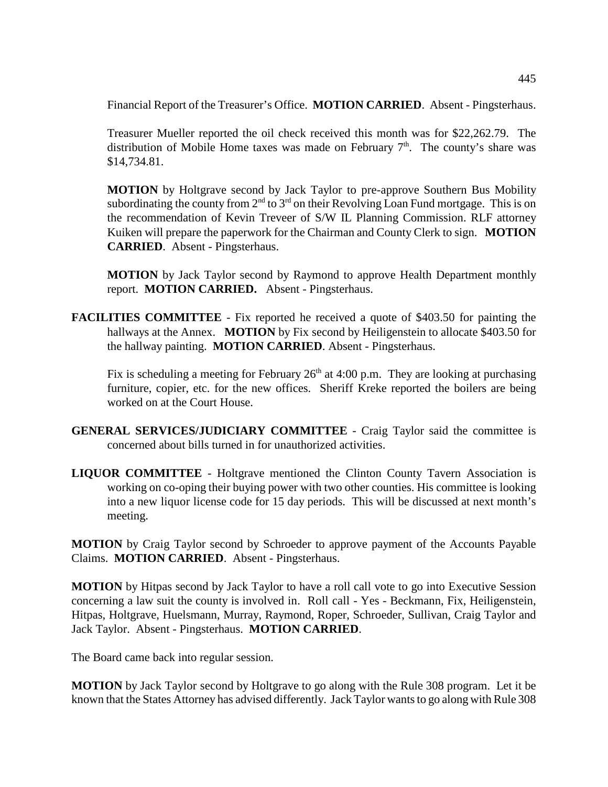Financial Report of the Treasurer's Office. **MOTION CARRIED**. Absent - Pingsterhaus.

Treasurer Mueller reported the oil check received this month was for \$22,262.79. The distribution of Mobile Home taxes was made on February  $7<sup>th</sup>$ . The county's share was \$14,734.81.

**MOTION** by Holtgrave second by Jack Taylor to pre-approve Southern Bus Mobility subordinating the county from  $2<sup>nd</sup>$  to  $3<sup>rd</sup>$  on their Revolving Loan Fund mortgage. This is on the recommendation of Kevin Treveer of S/W IL Planning Commission. RLF attorney Kuiken will prepare the paperwork for the Chairman and County Clerk to sign. **MOTION CARRIED**. Absent - Pingsterhaus.

**MOTION** by Jack Taylor second by Raymond to approve Health Department monthly report. **MOTION CARRIED.** Absent - Pingsterhaus.

**FACILITIES COMMITTEE** - Fix reported he received a quote of \$403.50 for painting the hallways at the Annex. **MOTION** by Fix second by Heiligenstein to allocate \$403.50 for the hallway painting. **MOTION CARRIED**. Absent - Pingsterhaus.

Fix is scheduling a meeting for February  $26<sup>th</sup>$  at 4:00 p.m. They are looking at purchasing furniture, copier, etc. for the new offices. Sheriff Kreke reported the boilers are being worked on at the Court House.

- **GENERAL SERVICES/JUDICIARY COMMITTEE** Craig Taylor said the committee is concerned about bills turned in for unauthorized activities.
- **LIQUOR COMMITTEE**  Holtgrave mentioned the Clinton County Tavern Association is working on co-oping their buying power with two other counties. His committee is looking into a new liquor license code for 15 day periods. This will be discussed at next month's meeting.

**MOTION** by Craig Taylor second by Schroeder to approve payment of the Accounts Payable Claims. **MOTION CARRIED**. Absent - Pingsterhaus.

**MOTION** by Hitpas second by Jack Taylor to have a roll call vote to go into Executive Session concerning a law suit the county is involved in. Roll call - Yes - Beckmann, Fix, Heiligenstein, Hitpas, Holtgrave, Huelsmann, Murray, Raymond, Roper, Schroeder, Sullivan, Craig Taylor and Jack Taylor. Absent - Pingsterhaus. **MOTION CARRIED**.

The Board came back into regular session.

**MOTION** by Jack Taylor second by Holtgrave to go along with the Rule 308 program. Let it be known that the States Attorney has advised differently. Jack Taylor wants to go along with Rule 308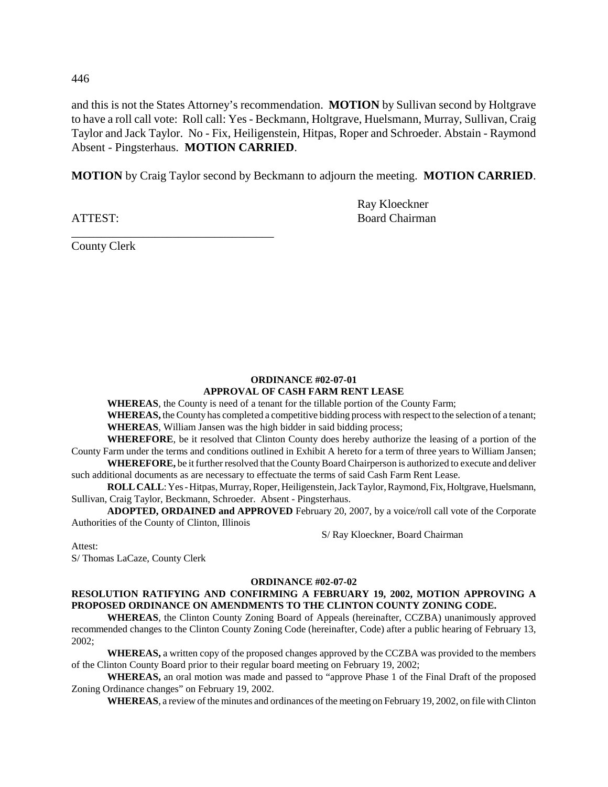446

and this is not the States Attorney's recommendation. **MOTION** by Sullivan second by Holtgrave to have a roll call vote: Roll call: Yes - Beckmann, Holtgrave, Huelsmann, Murray, Sullivan, Craig Taylor and Jack Taylor. No - Fix, Heiligenstein, Hitpas, Roper and Schroeder. Abstain - Raymond Absent - Pingsterhaus. **MOTION CARRIED**.

**MOTION** by Craig Taylor second by Beckmann to adjourn the meeting. **MOTION CARRIED**.

Ray Kloeckner ATTEST: Board Chairman

County Clerk

\_\_\_\_\_\_\_\_\_\_\_\_\_\_\_\_\_\_\_\_\_\_\_\_\_\_\_\_\_\_\_\_\_\_

### **ORDINANCE #02-07-01 APPROVAL OF CASH FARM RENT LEASE**

**WHEREAS**, the County is need of a tenant for the tillable portion of the County Farm;

**WHEREAS,** the County has completed a competitive bidding process with respect to the selection of a tenant; **WHEREAS**, William Jansen was the high bidder in said bidding process;

**WHEREFORE**, be it resolved that Clinton County does hereby authorize the leasing of a portion of the County Farm under the terms and conditions outlined in Exhibit A hereto for a term of three years to William Jansen;

**WHEREFORE,** be it further resolved that the County Board Chairperson is authorized to execute and deliver such additional documents as are necessary to effectuate the terms of said Cash Farm Rent Lease.

**ROLL CALL**: Yes - Hitpas, Murray, Roper, Heiligenstein, Jack Taylor, Raymond, Fix, Holtgrave, Huelsmann, Sullivan, Craig Taylor, Beckmann, Schroeder. Absent - Pingsterhaus.

**ADOPTED, ORDAINED and APPROVED** February 20, 2007, by a voice/roll call vote of the Corporate Authorities of the County of Clinton, Illinois

S/ Ray Kloeckner, Board Chairman

Attest:

S/ Thomas LaCaze, County Clerk

# **ORDINANCE #02-07-02**

# **RESOLUTION RATIFYING AND CONFIRMING A FEBRUARY 19, 2002, MOTION APPROVING A PROPOSED ORDINANCE ON AMENDMENTS TO THE CLINTON COUNTY ZONING CODE.**

**WHEREAS**, the Clinton County Zoning Board of Appeals (hereinafter, CCZBA) unanimously approved recommended changes to the Clinton County Zoning Code (hereinafter, Code) after a public hearing of February 13, 2002;

**WHEREAS,** a written copy of the proposed changes approved by the CCZBA was provided to the members of the Clinton County Board prior to their regular board meeting on February 19, 2002;

**WHEREAS,** an oral motion was made and passed to "approve Phase 1 of the Final Draft of the proposed Zoning Ordinance changes" on February 19, 2002.

**WHEREAS**, a review of the minutes and ordinances of the meeting on February 19, 2002, on file with Clinton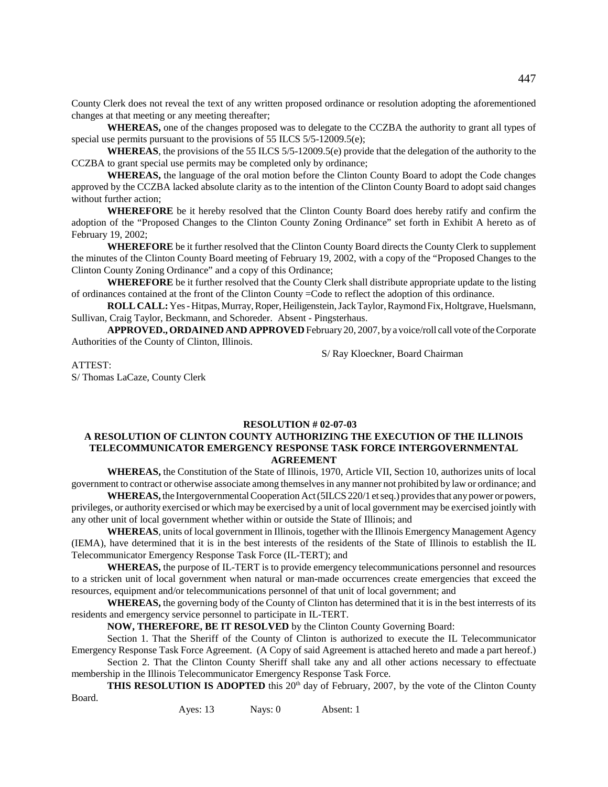County Clerk does not reveal the text of any written proposed ordinance or resolution adopting the aforementioned changes at that meeting or any meeting thereafter;

**WHEREAS,** one of the changes proposed was to delegate to the CCZBA the authority to grant all types of special use permits pursuant to the provisions of 55 ILCS 5/5-12009.5(e);

**WHEREAS**, the provisions of the 55 ILCS 5/5-12009.5(e) provide that the delegation of the authority to the CCZBA to grant special use permits may be completed only by ordinance;

**WHEREAS,** the language of the oral motion before the Clinton County Board to adopt the Code changes approved by the CCZBA lacked absolute clarity as to the intention of the Clinton County Board to adopt said changes without further action;

**WHEREFORE** be it hereby resolved that the Clinton County Board does hereby ratify and confirm the adoption of the "Proposed Changes to the Clinton County Zoning Ordinance" set forth in Exhibit A hereto as of February 19, 2002;

**WHEREFORE** be it further resolved that the Clinton County Board directs the County Clerk to supplement the minutes of the Clinton County Board meeting of February 19, 2002, with a copy of the "Proposed Changes to the Clinton County Zoning Ordinance" and a copy of this Ordinance;

**WHEREFORE** be it further resolved that the County Clerk shall distribute appropriate update to the listing of ordinances contained at the front of the Clinton County =Code to reflect the adoption of this ordinance.

**ROLL CALL:** Yes - Hitpas, Murray, Roper, Heiligenstein, Jack Taylor, Raymond Fix, Holtgrave, Huelsmann, Sullivan, Craig Taylor, Beckmann, and Schoreder. Absent - Pingsterhaus.

**APPROVED., ORDAINED AND APPROVED** February 20, 2007, by a voice/roll call vote of the Corporate Authorities of the County of Clinton, Illinois.

S/ Ray Kloeckner, Board Chairman

### ATTEST:

S/ Thomas LaCaze, County Clerk

### **RESOLUTION # 02-07-03**

# **A RESOLUTION OF CLINTON COUNTY AUTHORIZING THE EXECUTION OF THE ILLINOIS TELECOMMUNICATOR EMERGENCY RESPONSE TASK FORCE INTERGOVERNMENTAL AGREEMENT**

**WHEREAS,** the Constitution of the State of Illinois, 1970, Article VII, Section 10, authorizes units of local government to contract or otherwise associate among themselves in any manner not prohibited by law or ordinance; and

**WHEREAS,** the Intergovernmental Cooperation Act (5ILCS 220/1 et seq.) provides that any power or powers, privileges, or authority exercised or which may be exercised by a unit of local government may be exercised jointly with any other unit of local government whether within or outside the State of Illinois; and

**WHEREAS**, units of local government in Illinois, together with the Illinois Emergency Management Agency (IEMA), have determined that it is in the best interests of the residents of the State of Illinois to establish the IL Telecommunicator Emergency Response Task Force (IL-TERT); and

**WHEREAS,** the purpose of IL-TERT is to provide emergency telecommunications personnel and resources to a stricken unit of local government when natural or man-made occurrences create emergencies that exceed the resources, equipment and/or telecommunications personnel of that unit of local government; and

**WHEREAS,** the governing body of the County of Clinton has determined that it is in the best interrests of its residents and emergency service personnel to participate in IL-TERT.

**NOW, THEREFORE, BE IT RESOLVED** by the Clinton County Governing Board:

Section 1. That the Sheriff of the County of Clinton is authorized to execute the IL Telecommunicator Emergency Response Task Force Agreement. (A Copy of said Agreement is attached hereto and made a part hereof.)

Section 2. That the Clinton County Sheriff shall take any and all other actions necessary to effectuate membership in the Illinois Telecommunicator Emergency Response Task Force.

**THIS RESOLUTION IS ADOPTED** this 20<sup>th</sup> day of February, 2007, by the vote of the Clinton County

Board.

Ayes: 13 Nays: 0 Absent: 1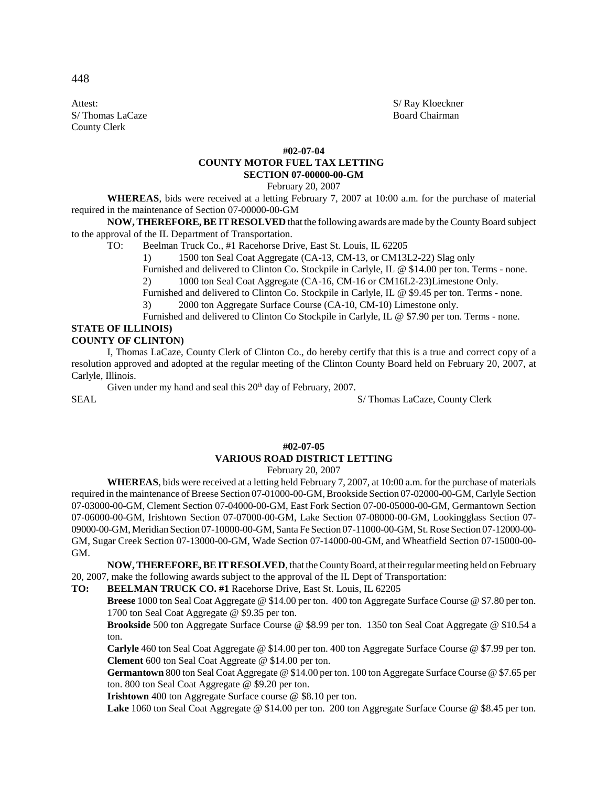Attest: S/Ray Kloeckner S/ Thomas LaCaze Board Chairman County Clerk

### **#02-07-04**

### **COUNTY MOTOR FUEL TAX LETTING SECTION 07-00000-00-GM**

February 20, 2007

**WHEREAS**, bids were received at a letting February 7, 2007 at 10:00 a.m. for the purchase of material required in the maintenance of Section 07-00000-00-GM

**NOW, THEREFORE, BE IT RESOLVED** that the following awards are made by the County Board subject to the approval of the IL Department of Transportation.

TO: Beelman Truck Co., #1 Racehorse Drive, East St. Louis, IL 62205

1) 1500 ton Seal Coat Aggregate (CA-13, CM-13, or CM13L2-22) Slag only

Furnished and delivered to Clinton Co. Stockpile in Carlyle, IL @ \$14.00 per ton. Terms - none.

2) 1000 ton Seal Coat Aggregate (CA-16, CM-16 or CM16L2-23)Limestone Only.

Furnished and delivered to Clinton Co. Stockpile in Carlyle, IL @ \$9.45 per ton. Terms - none.

3) 2000 ton Aggregate Surface Course (CA-10, CM-10) Limestone only.

Furnished and delivered to Clinton Co Stockpile in Carlyle, IL @ \$7.90 per ton. Terms - none.

### **STATE OF ILLINOIS) COUNTY OF CLINTON)**

I, Thomas LaCaze, County Clerk of Clinton Co., do hereby certify that this is a true and correct copy of a resolution approved and adopted at the regular meeting of the Clinton County Board held on February 20, 2007, at Carlyle, Illinois.

Given under my hand and seal this  $20<sup>th</sup>$  day of February, 2007.

SEAL STEAL S/ Thomas LaCaze, County Clerk

# **#02-07-05 VARIOUS ROAD DISTRICT LETTING**

February 20, 2007

**WHEREAS**, bids were received at a letting held February 7, 2007, at 10:00 a.m. for the purchase of materials required in the maintenance of Breese Section 07-01000-00-GM, Brookside Section 07-02000-00-GM, Carlyle Section 07-03000-00-GM, Clement Section 07-04000-00-GM, East Fork Section 07-00-05000-00-GM, Germantown Section 07-06000-00-GM, Irishtown Section 07-07000-00-GM, Lake Section 07-08000-00-GM, Lookingglass Section 07- 09000-00-GM, Meridian Section 07-10000-00-GM, Santa Fe Section 07-11000-00-GM, St. Rose Section 07-12000-00- GM, Sugar Creek Section 07-13000-00-GM, Wade Section 07-14000-00-GM, and Wheatfield Section 07-15000-00- GM.

**NOW, THEREFORE, BE IT RESOLVED**, that the County Board, at their regular meeting held on February 20, 2007, make the following awards subject to the approval of the IL Dept of Transportation:

**TO: BEELMAN TRUCK CO. #1** Racehorse Drive, East St. Louis, IL 62205

**Breese** 1000 ton Seal Coat Aggregate @ \$14.00 per ton. 400 ton Aggregate Surface Course @ \$7.80 per ton. 1700 ton Seal Coat Aggregate @ \$9.35 per ton.

**Brookside** 500 ton Aggregate Surface Course @ \$8.99 per ton. 1350 ton Seal Coat Aggregate @ \$10.54 a ton.

**Carlyle** 460 ton Seal Coat Aggregate @ \$14.00 per ton. 400 ton Aggregate Surface Course @ \$7.99 per ton. **Clement** 600 ton Seal Coat Aggreate @ \$14.00 per ton.

**Germantown** 800 ton Seal Coat Aggregate @ \$14.00 per ton. 100 ton Aggregate Surface Course @ \$7.65 per ton. 800 ton Seal Coat Aggregate @ \$9.20 per ton.

**Irishtown** 400 ton Aggregate Surface course @ \$8.10 per ton.

**Lake** 1060 ton Seal Coat Aggregate @ \$14.00 per ton. 200 ton Aggregate Surface Course @ \$8.45 per ton.

448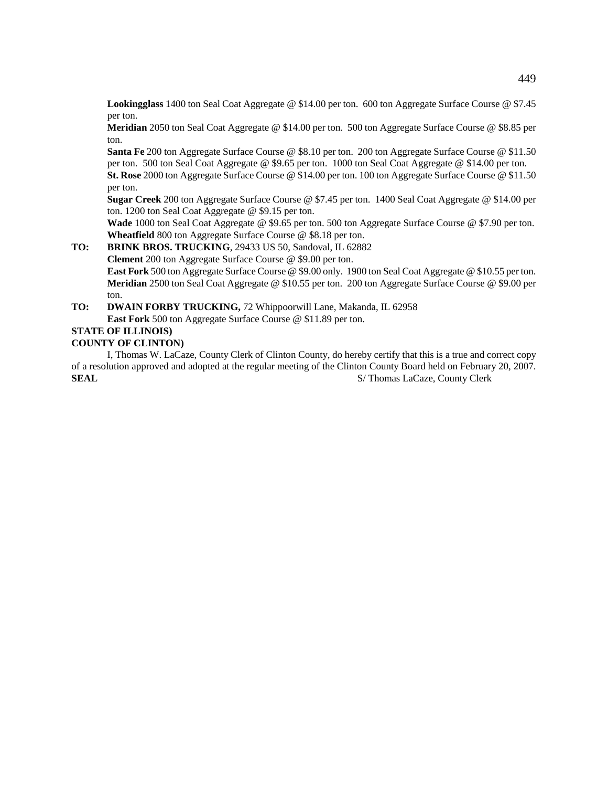**Lookingglass** 1400 ton Seal Coat Aggregate @ \$14.00 per ton. 600 ton Aggregate Surface Course @ \$7.45 per ton.

**Meridian** 2050 ton Seal Coat Aggregate @ \$14.00 per ton. 500 ton Aggregate Surface Course @ \$8.85 per ton.

**Santa Fe** 200 ton Aggregate Surface Course @ \$8.10 per ton. 200 ton Aggregate Surface Course @ \$11.50 per ton. 500 ton Seal Coat Aggregate @ \$9.65 per ton. 1000 ton Seal Coat Aggregate @ \$14.00 per ton.

**St. Rose** 2000 ton Aggregate Surface Course @ \$14.00 per ton. 100 ton Aggregate Surface Course @ \$11.50 per ton.

**Sugar Creek** 200 ton Aggregate Surface Course @ \$7.45 per ton. 1400 Seal Coat Aggregate @ \$14.00 per ton. 1200 ton Seal Coat Aggregate @ \$9.15 per ton.

**Wade** 1000 ton Seal Coat Aggregate @ \$9.65 per ton. 500 ton Aggregate Surface Course @ \$7.90 per ton. **Wheatfield** 800 ton Aggregate Surface Course @ \$8.18 per ton.

# **TO: BRINK BROS. TRUCKING**, 29433 US 50, Sandoval, IL 62882

**Clement** 200 ton Aggregate Surface Course @ \$9.00 per ton.

**East Fork** 500 ton Aggregate Surface Course @ \$9.00 only. 1900 ton Seal Coat Aggregate @ \$10.55 per ton. **Meridian** 2500 ton Seal Coat Aggregate @ \$10.55 per ton. 200 ton Aggregate Surface Course @ \$9.00 per ton.

**TO: DWAIN FORBY TRUCKING,** 72 Whippoorwill Lane, Makanda, IL 62958 **East Fork** 500 ton Aggregate Surface Course @ \$11.89 per ton.

# **STATE OF ILLINOIS)**

### **COUNTY OF CLINTON)**

I, Thomas W. LaCaze, County Clerk of Clinton County, do hereby certify that this is a true and correct copy of a resolution approved and adopted at the regular meeting of the Clinton County Board held on February 20, 2007. **SEAL** S/ Thomas LaCaze, County Clerk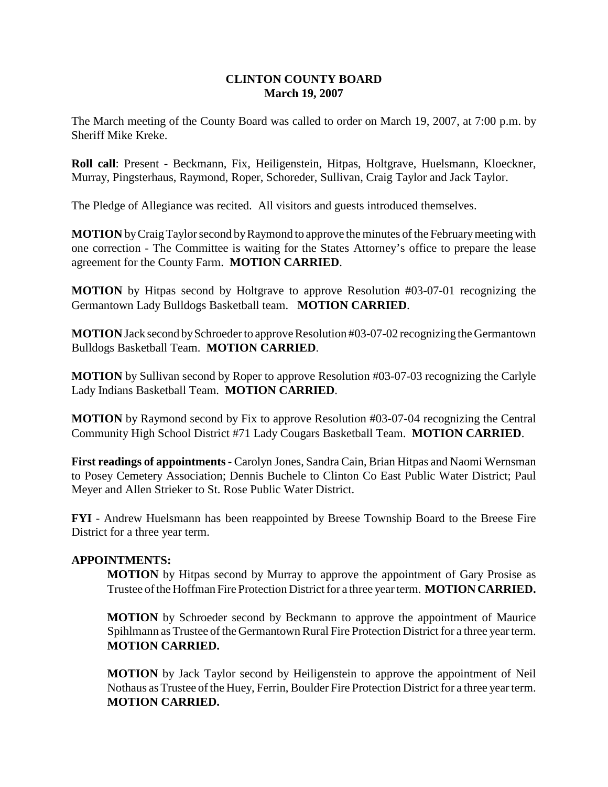# **CLINTON COUNTY BOARD March 19, 2007**

The March meeting of the County Board was called to order on March 19, 2007, at 7:00 p.m. by Sheriff Mike Kreke.

**Roll call**: Present - Beckmann, Fix, Heiligenstein, Hitpas, Holtgrave, Huelsmann, Kloeckner, Murray, Pingsterhaus, Raymond, Roper, Schoreder, Sullivan, Craig Taylor and Jack Taylor.

The Pledge of Allegiance was recited. All visitors and guests introduced themselves.

**MOTION** by Craig Taylor second by Raymond to approve the minutes of the February meeting with one correction - The Committee is waiting for the States Attorney's office to prepare the lease agreement for the County Farm. **MOTION CARRIED**.

**MOTION** by Hitpas second by Holtgrave to approve Resolution #03-07-01 recognizing the Germantown Lady Bulldogs Basketball team. **MOTION CARRIED**.

**MOTION** Jack second by Schroeder to approve Resolution #03-07-02 recognizing the Germantown Bulldogs Basketball Team. **MOTION CARRIED**.

**MOTION** by Sullivan second by Roper to approve Resolution #03-07-03 recognizing the Carlyle Lady Indians Basketball Team. **MOTION CARRIED**.

**MOTION** by Raymond second by Fix to approve Resolution #03-07-04 recognizing the Central Community High School District #71 Lady Cougars Basketball Team. **MOTION CARRIED**.

**First readings of appointments -** Carolyn Jones, Sandra Cain, Brian Hitpas and Naomi Wernsman to Posey Cemetery Association; Dennis Buchele to Clinton Co East Public Water District; Paul Meyer and Allen Strieker to St. Rose Public Water District.

**FYI** - Andrew Huelsmann has been reappointed by Breese Township Board to the Breese Fire District for a three year term.

# **APPOINTMENTS:**

**MOTION** by Hitpas second by Murray to approve the appointment of Gary Prosise as Trustee of the Hoffman Fire Protection District for a three year term. **MOTION CARRIED.**

**MOTION** by Schroeder second by Beckmann to approve the appointment of Maurice Spihlmann as Trustee of the Germantown Rural Fire Protection District for a three year term. **MOTION CARRIED.**

**MOTION** by Jack Taylor second by Heiligenstein to approve the appointment of Neil Nothaus as Trustee of the Huey, Ferrin, Boulder Fire Protection District for a three year term. **MOTION CARRIED.**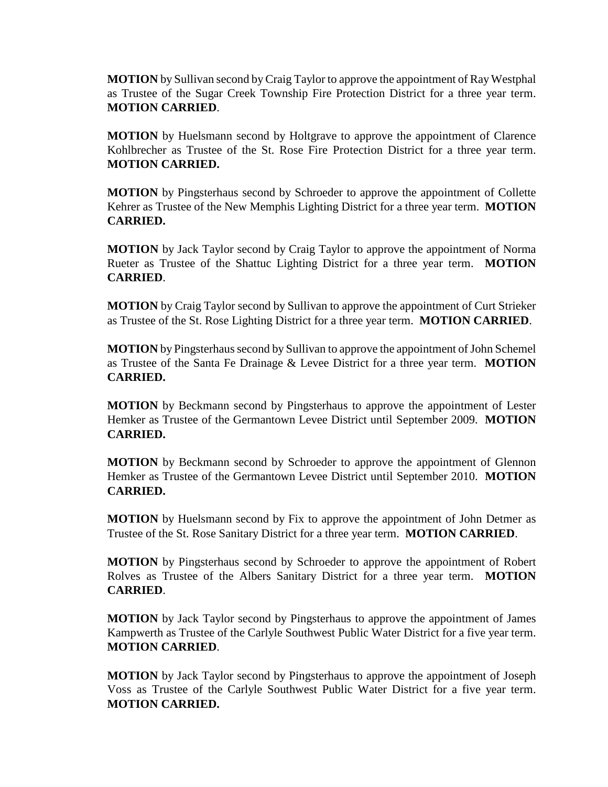**MOTION** by Sullivan second by Craig Taylor to approve the appointment of Ray Westphal as Trustee of the Sugar Creek Township Fire Protection District for a three year term. **MOTION CARRIED**.

**MOTION** by Huelsmann second by Holtgrave to approve the appointment of Clarence Kohlbrecher as Trustee of the St. Rose Fire Protection District for a three year term. **MOTION CARRIED.**

**MOTION** by Pingsterhaus second by Schroeder to approve the appointment of Collette Kehrer as Trustee of the New Memphis Lighting District for a three year term. **MOTION CARRIED.**

**MOTION** by Jack Taylor second by Craig Taylor to approve the appointment of Norma Rueter as Trustee of the Shattuc Lighting District for a three year term. **MOTION CARRIED**.

**MOTION** by Craig Taylor second by Sullivan to approve the appointment of Curt Strieker as Trustee of the St. Rose Lighting District for a three year term. **MOTION CARRIED**.

**MOTION** by Pingsterhaus second by Sullivan to approve the appointment of John Schemel as Trustee of the Santa Fe Drainage & Levee District for a three year term. **MOTION CARRIED.**

**MOTION** by Beckmann second by Pingsterhaus to approve the appointment of Lester Hemker as Trustee of the Germantown Levee District until September 2009. **MOTION CARRIED.**

**MOTION** by Beckmann second by Schroeder to approve the appointment of Glennon Hemker as Trustee of the Germantown Levee District until September 2010. **MOTION CARRIED.**

**MOTION** by Huelsmann second by Fix to approve the appointment of John Detmer as Trustee of the St. Rose Sanitary District for a three year term. **MOTION CARRIED**.

**MOTION** by Pingsterhaus second by Schroeder to approve the appointment of Robert Rolves as Trustee of the Albers Sanitary District for a three year term. **MOTION CARRIED**.

**MOTION** by Jack Taylor second by Pingsterhaus to approve the appointment of James Kampwerth as Trustee of the Carlyle Southwest Public Water District for a five year term. **MOTION CARRIED**.

**MOTION** by Jack Taylor second by Pingsterhaus to approve the appointment of Joseph Voss as Trustee of the Carlyle Southwest Public Water District for a five year term. **MOTION CARRIED.**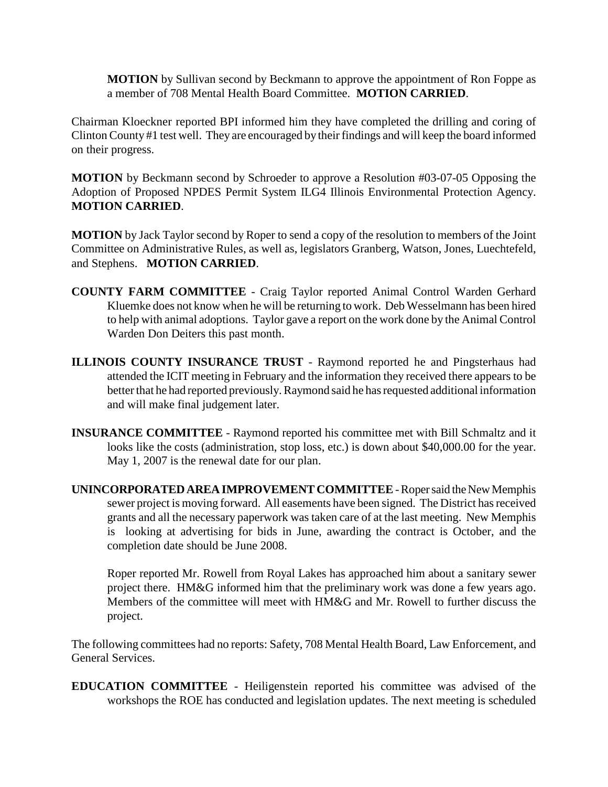**MOTION** by Sullivan second by Beckmann to approve the appointment of Ron Foppe as a member of 708 Mental Health Board Committee. **MOTION CARRIED**.

Chairman Kloeckner reported BPI informed him they have completed the drilling and coring of Clinton County #1 test well. They are encouraged by their findings and will keep the board informed on their progress.

**MOTION** by Beckmann second by Schroeder to approve a Resolution #03-07-05 Opposing the Adoption of Proposed NPDES Permit System ILG4 Illinois Environmental Protection Agency. **MOTION CARRIED**.

**MOTION** by Jack Taylor second by Roper to send a copy of the resolution to members of the Joint Committee on Administrative Rules, as well as, legislators Granberg, Watson, Jones, Luechtefeld, and Stephens. **MOTION CARRIED**.

- **COUNTY FARM COMMITTEE**  Craig Taylor reported Animal Control Warden Gerhard Kluemke does not know when he will be returning to work. Deb Wesselmann has been hired to help with animal adoptions. Taylor gave a report on the work done by the Animal Control Warden Don Deiters this past month.
- **ILLINOIS COUNTY INSURANCE TRUST** Raymond reported he and Pingsterhaus had attended the ICIT meeting in February and the information they received there appears to be better that he had reported previously. Raymond said he has requested additional information and will make final judgement later.
- **INSURANCE COMMITTEE**  Raymond reported his committee met with Bill Schmaltz and it looks like the costs (administration, stop loss, etc.) is down about \$40,000.00 for the year. May 1, 2007 is the renewal date for our plan.
- **UNINCORPORATED AREA IMPROVEMENT COMMITTEE** Roper said the New Memphis sewer project is moving forward. All easements have been signed. The District has received grants and all the necessary paperwork was taken care of at the last meeting. New Memphis is looking at advertising for bids in June, awarding the contract is October, and the completion date should be June 2008.

Roper reported Mr. Rowell from Royal Lakes has approached him about a sanitary sewer project there. HM&G informed him that the preliminary work was done a few years ago. Members of the committee will meet with HM&G and Mr. Rowell to further discuss the project.

The following committees had no reports: Safety, 708 Mental Health Board, Law Enforcement, and General Services.

**EDUCATION COMMITTEE** - Heiligenstein reported his committee was advised of the workshops the ROE has conducted and legislation updates. The next meeting is scheduled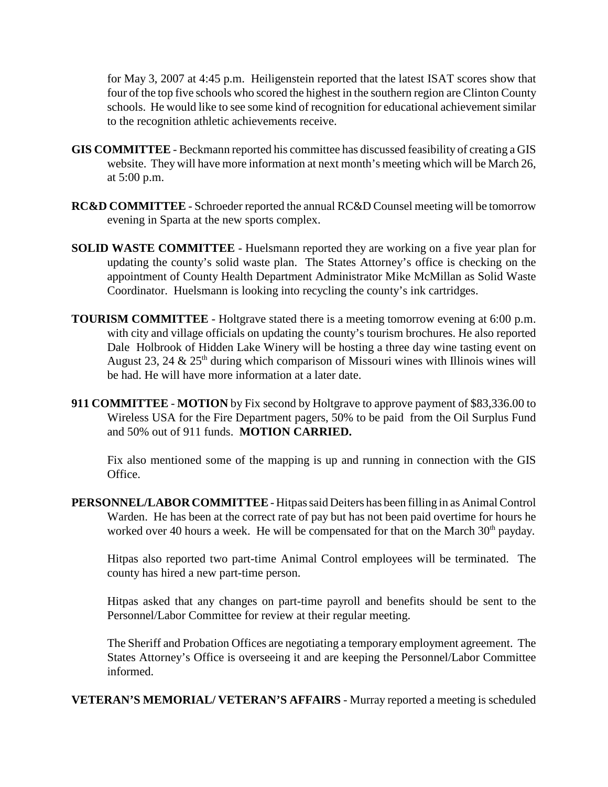for May 3, 2007 at 4:45 p.m. Heiligenstein reported that the latest ISAT scores show that four of the top five schools who scored the highest in the southern region are Clinton County schools. He would like to see some kind of recognition for educational achievement similar to the recognition athletic achievements receive.

- **GIS COMMITTEE**  Beckmann reported his committee has discussed feasibility of creating a GIS website. They will have more information at next month's meeting which will be March 26, at 5:00 p.m.
- **RC&D COMMITTEE**  Schroeder reported the annual RC&D Counsel meeting will be tomorrow evening in Sparta at the new sports complex.
- **SOLID WASTE COMMITTEE** Huelsmann reported they are working on a five year plan for updating the county's solid waste plan. The States Attorney's office is checking on the appointment of County Health Department Administrator Mike McMillan as Solid Waste Coordinator. Huelsmann is looking into recycling the county's ink cartridges.
- **TOURISM COMMITTEE** Holtgrave stated there is a meeting tomorrow evening at 6:00 p.m. with city and village officials on updating the county's tourism brochures. He also reported Dale Holbrook of Hidden Lake Winery will be hosting a three day wine tasting event on August 23, 24  $\&$  25<sup>th</sup> during which comparison of Missouri wines with Illinois wines will be had. He will have more information at a later date.
- **911 COMMITTEE MOTION** by Fix second by Holtgrave to approve payment of \$83,336.00 to Wireless USA for the Fire Department pagers, 50% to be paid from the Oil Surplus Fund and 50% out of 911 funds. **MOTION CARRIED.**

Fix also mentioned some of the mapping is up and running in connection with the GIS Office.

**PERSONNEL/LABOR COMMITTEE** - Hitpas said Deiters has been filling in as Animal Control Warden. He has been at the correct rate of pay but has not been paid overtime for hours he worked over 40 hours a week. He will be compensated for that on the March  $30<sup>th</sup>$  payday.

Hitpas also reported two part-time Animal Control employees will be terminated. The county has hired a new part-time person.

Hitpas asked that any changes on part-time payroll and benefits should be sent to the Personnel/Labor Committee for review at their regular meeting.

The Sheriff and Probation Offices are negotiating a temporary employment agreement. The States Attorney's Office is overseeing it and are keeping the Personnel/Labor Committee informed.

**VETERAN'S MEMORIAL/ VETERAN'S AFFAIRS** - Murray reported a meeting is scheduled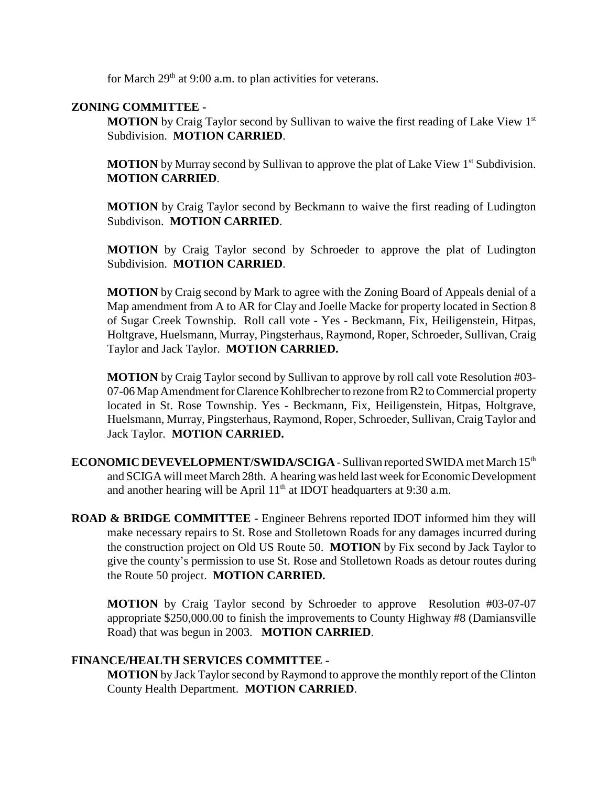for March  $29<sup>th</sup>$  at 9:00 a.m. to plan activities for veterans.

# **ZONING COMMITTEE -**

**MOTION** by Craig Taylor second by Sullivan to waive the first reading of Lake View 1st Subdivision. **MOTION CARRIED**.

**MOTION** by Murray second by Sullivan to approve the plat of Lake View 1<sup>st</sup> Subdivision. **MOTION CARRIED**.

**MOTION** by Craig Taylor second by Beckmann to waive the first reading of Ludington Subdivison. **MOTION CARRIED**.

**MOTION** by Craig Taylor second by Schroeder to approve the plat of Ludington Subdivision. **MOTION CARRIED**.

**MOTION** by Craig second by Mark to agree with the Zoning Board of Appeals denial of a Map amendment from A to AR for Clay and Joelle Macke for property located in Section 8 of Sugar Creek Township. Roll call vote - Yes - Beckmann, Fix, Heiligenstein, Hitpas, Holtgrave, Huelsmann, Murray, Pingsterhaus, Raymond, Roper, Schroeder, Sullivan, Craig Taylor and Jack Taylor. **MOTION CARRIED.** 

**MOTION** by Craig Taylor second by Sullivan to approve by roll call vote Resolution #03- 07-06 Map Amendment for Clarence Kohlbrecher to rezone from R2 to Commercial property located in St. Rose Township. Yes - Beckmann, Fix, Heiligenstein, Hitpas, Holtgrave, Huelsmann, Murray, Pingsterhaus, Raymond, Roper, Schroeder, Sullivan, Craig Taylor and Jack Taylor. **MOTION CARRIED.** 

- **ECONOMIC DEVEVELOPMENT/SWIDA/SCIGA** Sullivan reported SWIDA met March 15<sup>th</sup> and SCIGA will meet March 28th. A hearing was held last week for Economic Development and another hearing will be April  $11<sup>th</sup>$  at IDOT headquarters at 9:30 a.m.
- **ROAD & BRIDGE COMMITTEE -** Engineer Behrens reported IDOT informed him they will make necessary repairs to St. Rose and Stolletown Roads for any damages incurred during the construction project on Old US Route 50. **MOTION** by Fix second by Jack Taylor to give the county's permission to use St. Rose and Stolletown Roads as detour routes during the Route 50 project. **MOTION CARRIED.**

**MOTION** by Craig Taylor second by Schroeder to approve Resolution #03-07-07 appropriate \$250,000.00 to finish the improvements to County Highway #8 (Damiansville Road) that was begun in 2003. **MOTION CARRIED**.

# **FINANCE/HEALTH SERVICES COMMITTEE -**

**MOTION** by Jack Taylor second by Raymond to approve the monthly report of the Clinton County Health Department. **MOTION CARRIED**.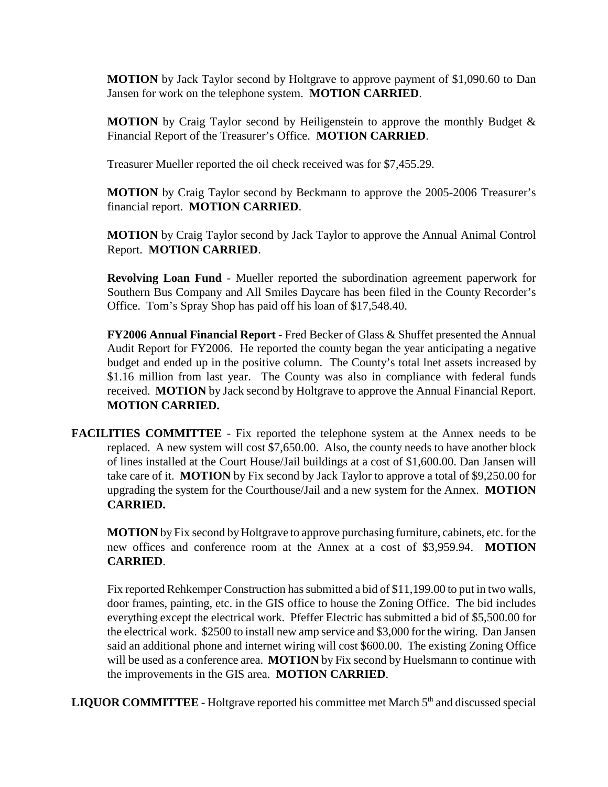**MOTION** by Jack Taylor second by Holtgrave to approve payment of \$1,090.60 to Dan Jansen for work on the telephone system. **MOTION CARRIED**.

**MOTION** by Craig Taylor second by Heiligenstein to approve the monthly Budget & Financial Report of the Treasurer's Office. **MOTION CARRIED**.

Treasurer Mueller reported the oil check received was for \$7,455.29.

**MOTION** by Craig Taylor second by Beckmann to approve the 2005-2006 Treasurer's financial report. **MOTION CARRIED**.

**MOTION** by Craig Taylor second by Jack Taylor to approve the Annual Animal Control Report. **MOTION CARRIED**.

**Revolving Loan Fund** - Mueller reported the subordination agreement paperwork for Southern Bus Company and All Smiles Daycare has been filed in the County Recorder's Office. Tom's Spray Shop has paid off his loan of \$17,548.40.

**FY2006 Annual Financial Report** - Fred Becker of Glass & Shuffet presented the Annual Audit Report for FY2006. He reported the county began the year anticipating a negative budget and ended up in the positive column. The County's total lnet assets increased by \$1.16 million from last year. The County was also in compliance with federal funds received. **MOTION** by Jack second by Holtgrave to approve the Annual Financial Report. **MOTION CARRIED.**

**FACILITIES COMMITTEE** - Fix reported the telephone system at the Annex needs to be replaced. A new system will cost \$7,650.00. Also, the county needs to have another block of lines installed at the Court House/Jail buildings at a cost of \$1,600.00. Dan Jansen will take care of it. **MOTION** by Fix second by Jack Taylor to approve a total of \$9,250.00 for upgrading the system for the Courthouse/Jail and a new system for the Annex. **MOTION CARRIED.**

**MOTION** by Fix second by Holtgrave to approve purchasing furniture, cabinets, etc. for the new offices and conference room at the Annex at a cost of \$3,959.94. **MOTION CARRIED**.

Fix reported Rehkemper Construction has submitted a bid of \$11,199.00 to put in two walls, door frames, painting, etc. in the GIS office to house the Zoning Office. The bid includes everything except the electrical work. Pfeffer Electric has submitted a bid of \$5,500.00 for the electrical work. \$2500 to install new amp service and \$3,000 for the wiring. Dan Jansen said an additional phone and internet wiring will cost \$600.00. The existing Zoning Office will be used as a conference area. **MOTION** by Fix second by Huelsmann to continue with the improvements in the GIS area. **MOTION CARRIED**.

**LIQUOR COMMITTEE** - Holtgrave reported his committee met March  $5<sup>th</sup>$  and discussed special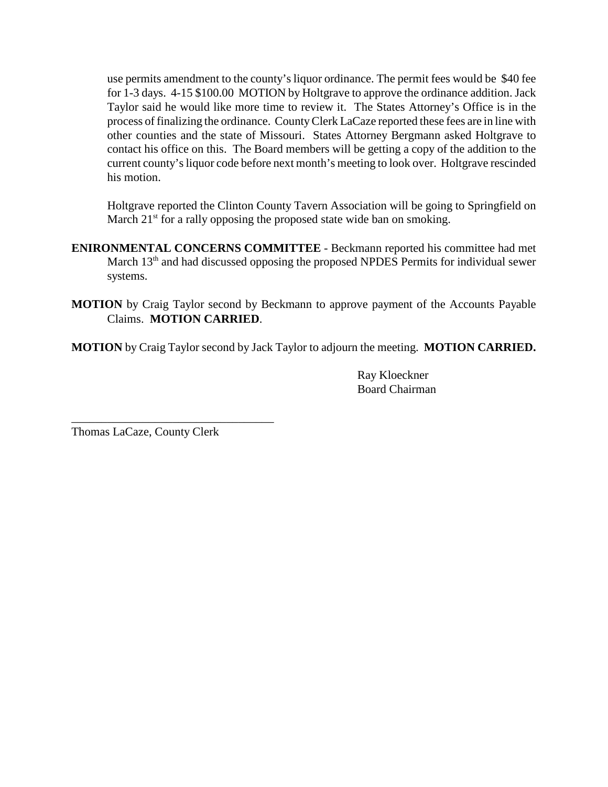use permits amendment to the county's liquor ordinance. The permit fees would be \$40 fee for 1-3 days. 4-15 \$100.00 MOTION by Holtgrave to approve the ordinance addition. Jack Taylor said he would like more time to review it. The States Attorney's Office is in the process of finalizing the ordinance. County Clerk LaCaze reported these fees are in line with other counties and the state of Missouri. States Attorney Bergmann asked Holtgrave to contact his office on this. The Board members will be getting a copy of the addition to the current county's liquor code before next month's meeting to look over. Holtgrave rescinded his motion.

Holtgrave reported the Clinton County Tavern Association will be going to Springfield on March  $21<sup>st</sup>$  for a rally opposing the proposed state wide ban on smoking.

- **ENIRONMENTAL CONCERNS COMMITTEE** Beckmann reported his committee had met March 13<sup>th</sup> and had discussed opposing the proposed NPDES Permits for individual sewer systems.
- **MOTION** by Craig Taylor second by Beckmann to approve payment of the Accounts Payable Claims. **MOTION CARRIED**.

**MOTION** by Craig Taylor second by Jack Taylor to adjourn the meeting. **MOTION CARRIED.**

Ray Kloeckner Board Chairman

Thomas LaCaze, County Clerk

\_\_\_\_\_\_\_\_\_\_\_\_\_\_\_\_\_\_\_\_\_\_\_\_\_\_\_\_\_\_\_\_\_\_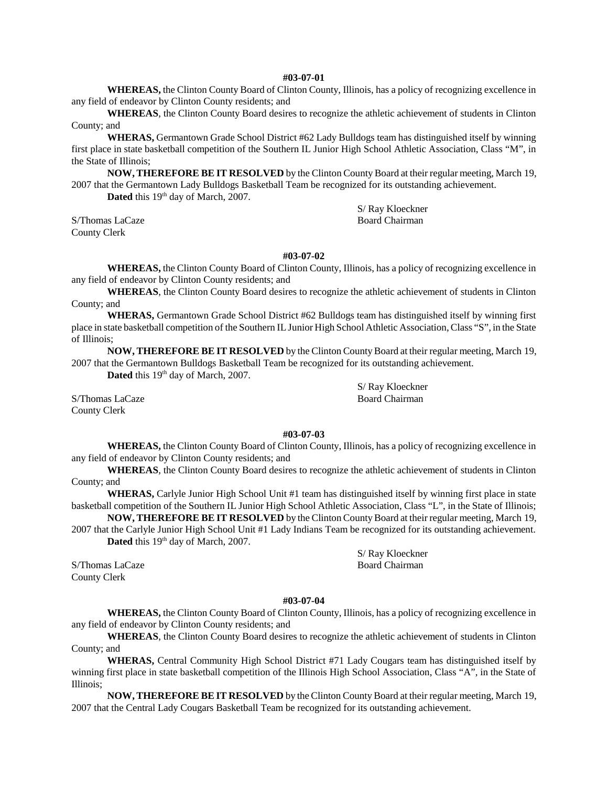### **#03-07-01**

**WHEREAS,** the Clinton County Board of Clinton County, Illinois, has a policy of recognizing excellence in any field of endeavor by Clinton County residents; and

**WHEREAS**, the Clinton County Board desires to recognize the athletic achievement of students in Clinton County; and

**WHERAS,** Germantown Grade School District #62 Lady Bulldogs team has distinguished itself by winning first place in state basketball competition of the Southern IL Junior High School Athletic Association, Class "M", in the State of Illinois;

**NOW, THEREFORE BE IT RESOLVED** by the Clinton County Board at their regular meeting, March 19, 2007 that the Germantown Lady Bulldogs Basketball Team be recognized for its outstanding achievement.

Dated this 19<sup>th</sup> day of March, 2007.

S/Thomas LaCaze Board Chairman County Clerk

**#03-07-02 WHEREAS,** the Clinton County Board of Clinton County, Illinois, has a policy of recognizing excellence in any field of endeavor by Clinton County residents; and

**WHEREAS**, the Clinton County Board desires to recognize the athletic achievement of students in Clinton County; and

**WHERAS,** Germantown Grade School District #62 Bulldogs team has distinguished itself by winning first place in state basketball competition of the Southern IL Junior High School Athletic Association, Class "S", in the State of Illinois;

**NOW, THEREFORE BE IT RESOLVED** by the Clinton County Board at their regular meeting, March 19, 2007 that the Germantown Bulldogs Basketball Team be recognized for its outstanding achievement.

**Dated** this 19<sup>th</sup> day of March, 2007.

S/Thomas LaCaze Board Chairman County Clerk

S/ Ray Kloeckner

S/ Ray Kloeckner

### **#03-07-03**

**WHEREAS,** the Clinton County Board of Clinton County, Illinois, has a policy of recognizing excellence in any field of endeavor by Clinton County residents; and

**WHEREAS**, the Clinton County Board desires to recognize the athletic achievement of students in Clinton County; and

**WHERAS,** Carlyle Junior High School Unit #1 team has distinguished itself by winning first place in state basketball competition of the Southern IL Junior High School Athletic Association, Class "L", in the State of Illinois;

**NOW, THEREFORE BE IT RESOLVED** by the Clinton County Board at their regular meeting, March 19, 2007 that the Carlyle Junior High School Unit #1 Lady Indians Team be recognized for its outstanding achievement.

Dated this 19<sup>th</sup> day of March, 2007.

County Clerk

S/ Ray Kloeckner S/Thomas LaCaze Board Chairman

### **#03-07-04**

**WHEREAS,** the Clinton County Board of Clinton County, Illinois, has a policy of recognizing excellence in any field of endeavor by Clinton County residents; and

**WHEREAS**, the Clinton County Board desires to recognize the athletic achievement of students in Clinton County; and

**WHERAS,** Central Community High School District #71 Lady Cougars team has distinguished itself by winning first place in state basketball competition of the Illinois High School Association, Class "A", in the State of Illinois;

**NOW, THEREFORE BE IT RESOLVED** by the Clinton County Board at their regular meeting, March 19, 2007 that the Central Lady Cougars Basketball Team be recognized for its outstanding achievement.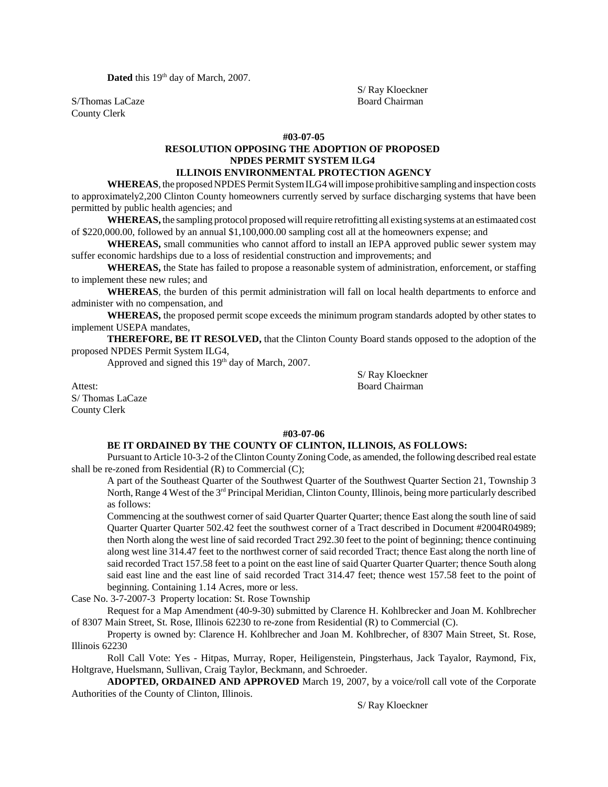Dated this 19<sup>th</sup> day of March, 2007.

County Clerk

S/ Ray Kloeckner S/Thomas LaCaze Board Chairman

### **#03-07-05**

# **RESOLUTION OPPOSING THE ADOPTION OF PROPOSED NPDES PERMIT SYSTEM ILG4**

# **ILLINOIS ENVIRONMENTAL PROTECTION AGENCY**

**WHEREAS**, the proposed NPDES Permit System ILG4 will impose prohibitive sampling and inspection costs to approximately2,200 Clinton County homeowners currently served by surface discharging systems that have been permitted by public health agencies; and

**WHEREAS,** the sampling protocol proposed will require retrofitting all existing systems at an estimaated cost of \$220,000.00, followed by an annual \$1,100,000.00 sampling cost all at the homeowners expense; and

**WHEREAS,** small communities who cannot afford to install an IEPA approved public sewer system may suffer economic hardships due to a loss of residential construction and improvements; and

**WHEREAS,** the State has failed to propose a reasonable system of administration, enforcement, or staffing to implement these new rules; and

**WHEREAS**, the burden of this permit administration will fall on local health departments to enforce and administer with no compensation, and

**WHEREAS,** the proposed permit scope exceeds the minimum program standards adopted by other states to implement USEPA mandates,

**THEREFORE, BE IT RESOLVED,** that the Clinton County Board stands opposed to the adoption of the proposed NPDES Permit System ILG4,

Approved and signed this  $19<sup>th</sup>$  day of March, 2007.

Attest: Board Chairman S/ Thomas LaCaze County Clerk

S/ Ray Kloeckner

### **#03-07-06**

# **BE IT ORDAINED BY THE COUNTY OF CLINTON, ILLINOIS, AS FOLLOWS:**

Pursuant to Article 10-3-2 of the Clinton County Zoning Code, as amended, the following described real estate shall be re-zoned from Residential (R) to Commercial (C);

A part of the Southeast Quarter of the Southwest Quarter of the Southwest Quarter Section 21, Township 3 North, Range 4 West of the 3<sup>rd</sup> Principal Meridian, Clinton County, Illinois, being more particularly described as follows:

Commencing at the southwest corner of said Quarter Quarter Quarter; thence East along the south line of said Quarter Quarter Quarter 502.42 feet the southwest corner of a Tract described in Document #2004R04989; then North along the west line of said recorded Tract 292.30 feet to the point of beginning; thence continuing along west line 314.47 feet to the northwest corner of said recorded Tract; thence East along the north line of said recorded Tract 157.58 feet to a point on the east line of said Quarter Quarter Quarter; thence South along said east line and the east line of said recorded Tract 314.47 feet; thence west 157.58 feet to the point of beginning. Containing 1.14 Acres, more or less.

Case No. 3-7-2007-3 Property location: St. Rose Township

Request for a Map Amendment (40-9-30) submitted by Clarence H. Kohlbrecker and Joan M. Kohlbrecher of 8307 Main Street, St. Rose, Illinois 62230 to re-zone from Residential (R) to Commercial (C).

Property is owned by: Clarence H. Kohlbrecher and Joan M. Kohlbrecher, of 8307 Main Street, St. Rose, Illinois 62230

Roll Call Vote: Yes - Hitpas, Murray, Roper, Heiligenstein, Pingsterhaus, Jack Tayalor, Raymond, Fix, Holtgrave, Huelsmann, Sullivan, Craig Taylor, Beckmann, and Schroeder.

**ADOPTED, ORDAINED AND APPROVED** March 19, 2007, by a voice/roll call vote of the Corporate Authorities of the County of Clinton, Illinois.

S/ Ray Kloeckner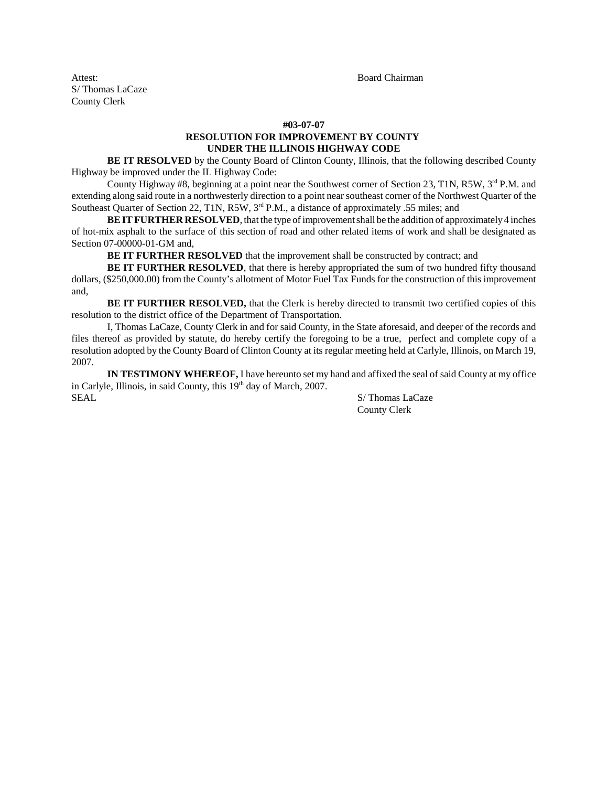Attest: Board Chairman S/ Thomas LaCaze County Clerk

### **#03-07-07 RESOLUTION FOR IMPROVEMENT BY COUNTY UNDER THE ILLINOIS HIGHWAY CODE**

**BE IT RESOLVED** by the County Board of Clinton County, Illinois, that the following described County Highway be improved under the IL Highway Code:

County Highway #8, beginning at a point near the Southwest corner of Section 23, T1N, R5W, 3<sup>rd</sup> P.M. and extending along said route in a northwesterly direction to a point near southeast corner of the Northwest Quarter of the Southeast Quarter of Section 22, T1N, R5W, 3<sup>rd</sup> P.M., a distance of approximately .55 miles; and

**BE IT FURTHER RESOLVED**, that the type of improvement shall be the addition of approximately 4 inches of hot-mix asphalt to the surface of this section of road and other related items of work and shall be designated as Section 07-00000-01-GM and,

**BE IT FURTHER RESOLVED** that the improvement shall be constructed by contract; and

**BE IT FURTHER RESOLVED**, that there is hereby appropriated the sum of two hundred fifty thousand dollars, (\$250,000.00) from the County's allotment of Motor Fuel Tax Funds for the construction of this improvement and,

**BE IT FURTHER RESOLVED,** that the Clerk is hereby directed to transmit two certified copies of this resolution to the district office of the Department of Transportation.

I, Thomas LaCaze, County Clerk in and for said County, in the State aforesaid, and deeper of the records and files thereof as provided by statute, do hereby certify the foregoing to be a true, perfect and complete copy of a resolution adopted by the County Board of Clinton County at its regular meeting held at Carlyle, Illinois, on March 19, 2007.

**IN TESTIMONY WHEREOF,** I have hereunto set my hand and affixed the seal of said County at my office in Carlyle, Illinois, in said County, this 19<sup>th</sup> day of March, 2007. SAL S/ Thomas LaCaze

County Clerk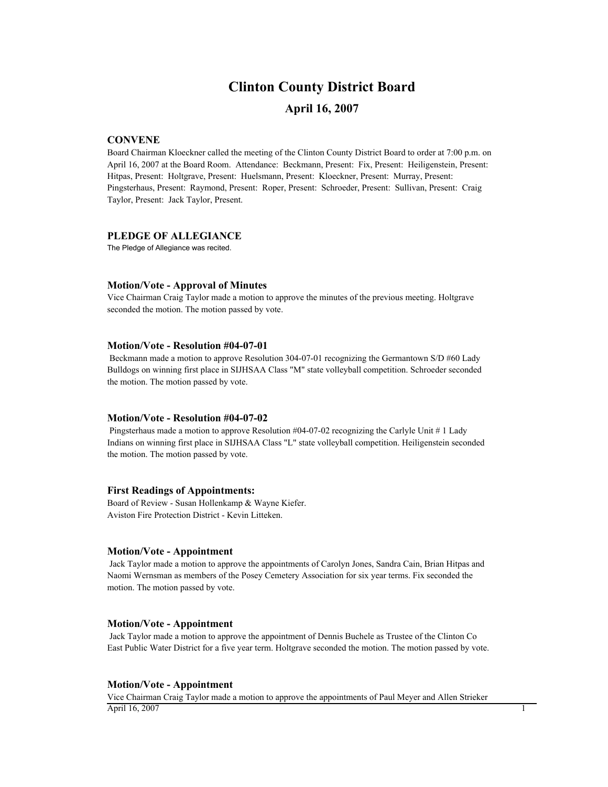# **Clinton County District Board**

# **April 16, 2007**

### **CONVENE**

Board Chairman Kloeckner called the meeting of the Clinton County District Board to order at 7:00 p.m. on April 16, 2007 at the Board Room. Attendance: Beckmann, Present: Fix, Present: Heiligenstein, Present: Hitpas, Present: Holtgrave, Present: Huelsmann, Present: Kloeckner, Present: Murray, Present: Pingsterhaus, Present: Raymond, Present: Roper, Present: Schroeder, Present: Sullivan, Present: Craig Taylor, Present: Jack Taylor, Present.

### **PLEDGE OF ALLEGIANCE**

The Pledge of Allegiance was recited.

### **Motion/Vote - Approval of Minutes**

Vice Chairman Craig Taylor made a motion to approve the minutes of the previous meeting. Holtgrave seconded the motion. The motion passed by vote.

### **Motion/Vote - Resolution #04-07-01**

 Beckmann made a motion to approve Resolution 304-07-01 recognizing the Germantown S/D #60 Lady Bulldogs on winning first place in SIJHSAA Class "M" state volleyball competition. Schroeder seconded the motion. The motion passed by vote.

### **Motion/Vote - Resolution #04-07-02**

 Pingsterhaus made a motion to approve Resolution #04-07-02 recognizing the Carlyle Unit # 1 Lady Indians on winning first place in SIJHSAA Class "L" state volleyball competition. Heiligenstein seconded the motion. The motion passed by vote.

### **First Readings of Appointments:**

Board of Review - Susan Hollenkamp & Wayne Kiefer. Aviston Fire Protection District - Kevin Litteken.

### **Motion/Vote - Appointment**

 Jack Taylor made a motion to approve the appointments of Carolyn Jones, Sandra Cain, Brian Hitpas and Naomi Wernsman as members of the Posey Cemetery Association for six year terms. Fix seconded the motion. The motion passed by vote.

#### **Motion/Vote - Appointment**

 Jack Taylor made a motion to approve the appointment of Dennis Buchele as Trustee of the Clinton Co East Public Water District for a five year term. Holtgrave seconded the motion. The motion passed by vote.

### **Motion/Vote - Appointment**

Vice Chairman Craig Taylor made a motion to approve the appointments of Paul Meyer and Allen Strieker  $\overline{April 16, 2007}$  1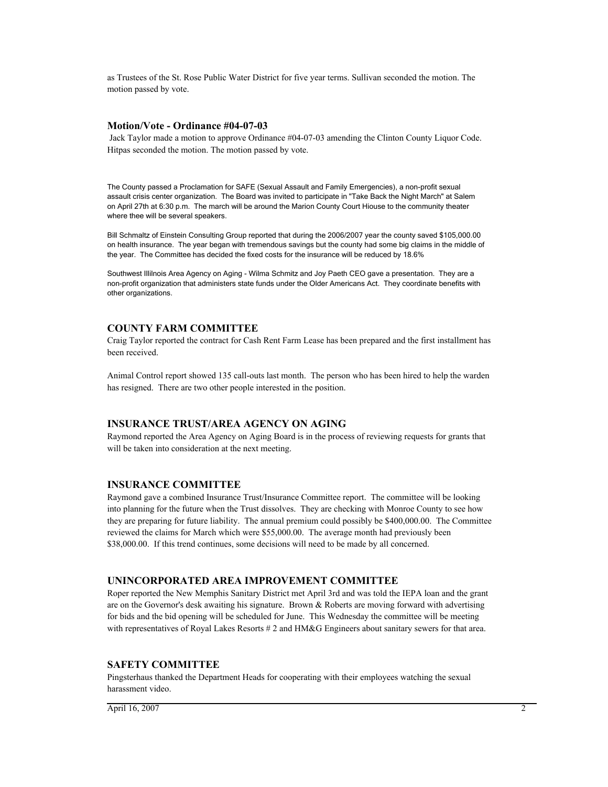as Trustees of the St. Rose Public Water District for five year terms. Sullivan seconded the motion. The motion passed by vote.

### **Motion/Vote - Ordinance #04-07-03**

 Jack Taylor made a motion to approve Ordinance #04-07-03 amending the Clinton County Liquor Code. Hitpas seconded the motion. The motion passed by vote.

The County passed a Proclamation for SAFE (Sexual Assault and Family Emergencies), a non-profit sexual assault crisis center organization. The Board was invited to participate in "Take Back the Night March" at Salem on April 27th at 6:30 p.m. The march will be around the Marion County Court Hiouse to the community theater where thee will be several speakers.

Bill Schmaltz of Einstein Consulting Group reported that during the 2006/2007 year the county saved \$105,000.00 on health insurance. The year began with tremendous savings but the county had some big claims in the middle of the year. The Committee has decided the fixed costs for the insurance will be reduced by 18.6%

Southwest Illilnois Area Agency on Aging - Wilma Schmitz and Joy Paeth CEO gave a presentation. They are a non-profit organization that administers state funds under the Older Americans Act. They coordinate benefits with other organizations.

### **COUNTY FARM COMMITTEE**

Craig Taylor reported the contract for Cash Rent Farm Lease has been prepared and the first installment has been received.

Animal Control report showed 135 call-outs last month. The person who has been hired to help the warden has resigned. There are two other people interested in the position.

### **INSURANCE TRUST/AREA AGENCY ON AGING**

Raymond reported the Area Agency on Aging Board is in the process of reviewing requests for grants that will be taken into consideration at the next meeting.

### **INSURANCE COMMITTEE**

Raymond gave a combined Insurance Trust/Insurance Committee report. The committee will be looking into planning for the future when the Trust dissolves. They are checking with Monroe County to see how they are preparing for future liability. The annual premium could possibly be \$400,000.00. The Committee reviewed the claims for March which were \$55,000.00. The average month had previously been \$38,000.00. If this trend continues, some decisions will need to be made by all concerned.

### **UNINCORPORATED AREA IMPROVEMENT COMMITTEE**

Roper reported the New Memphis Sanitary District met April 3rd and was told the IEPA loan and the grant are on the Governor's desk awaiting his signature. Brown & Roberts are moving forward with advertising for bids and the bid opening will be scheduled for June. This Wednesday the committee will be meeting with representatives of Royal Lakes Resorts # 2 and HM&G Engineers about sanitary sewers for that area.

### **SAFETY COMMITTEE**

Pingsterhaus thanked the Department Heads for cooperating with their employees watching the sexual harassment video.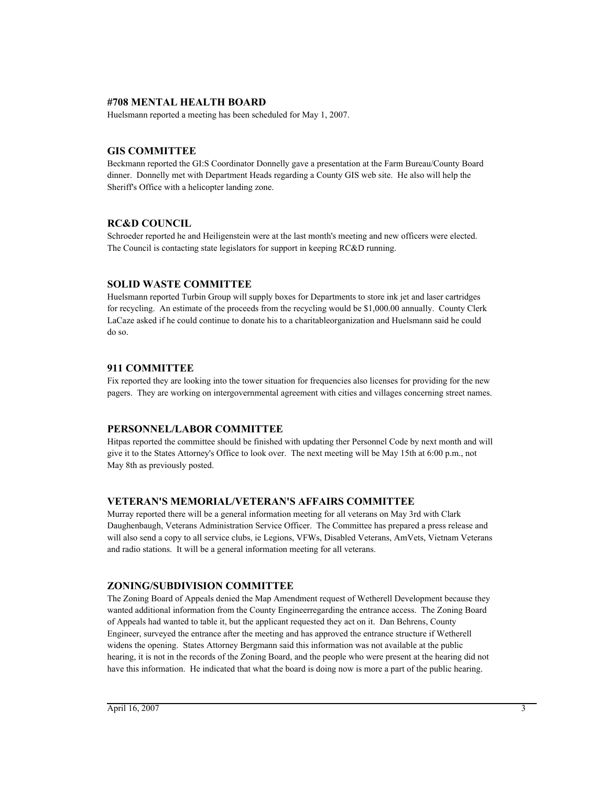### **#708 MENTAL HEALTH BOARD**

Huelsmann reported a meeting has been scheduled for May 1, 2007.

# **GIS COMMITTEE**

Beckmann reported the GI:S Coordinator Donnelly gave a presentation at the Farm Bureau/County Board dinner. Donnelly met with Department Heads regarding a County GIS web site. He also will help the Sheriff's Office with a helicopter landing zone.

# **RC&D COUNCIL**

Schroeder reported he and Heiligenstein were at the last month's meeting and new officers were elected. The Council is contacting state legislators for support in keeping RC&D running.

# **SOLID WASTE COMMITTEE**

Huelsmann reported Turbin Group will supply boxes for Departments to store ink jet and laser cartridges for recycling. An estimate of the proceeds from the recycling would be \$1,000.00 annually. County Clerk LaCaze asked if he could continue to donate his to a charitableorganization and Huelsmann said he could do so.

# **911 COMMITTEE**

Fix reported they are looking into the tower situation for frequencies also licenses for providing for the new pagers. They are working on intergovernmental agreement with cities and villages concerning street names.

# **PERSONNEL/LABOR COMMITTEE**

Hitpas reported the committee should be finished with updating ther Personnel Code by next month and will give it to the States Attorney's Office to look over. The next meeting will be May 15th at 6:00 p.m., not May 8th as previously posted.

# **VETERAN'S MEMORIAL/VETERAN'S AFFAIRS COMMITTEE**

Murray reported there will be a general information meeting for all veterans on May 3rd with Clark Daughenbaugh, Veterans Administration Service Officer. The Committee has prepared a press release and will also send a copy to all service clubs, ie Legions, VFWs, Disabled Veterans, AmVets, Vietnam Veterans and radio stations. It will be a general information meeting for all veterans.

# **ZONING/SUBDIVISION COMMITTEE**

The Zoning Board of Appeals denied the Map Amendment request of Wetherell Development because they wanted additional information from the County Engineerregarding the entrance access. The Zoning Board of Appeals had wanted to table it, but the applicant requested they act on it. Dan Behrens, County Engineer, surveyed the entrance after the meeting and has approved the entrance structure if Wetherell widens the opening. States Attorney Bergmann said this information was not available at the public hearing, it is not in the records of the Zoning Board, and the people who were present at the hearing did not have this information. He indicated that what the board is doing now is more a part of the public hearing.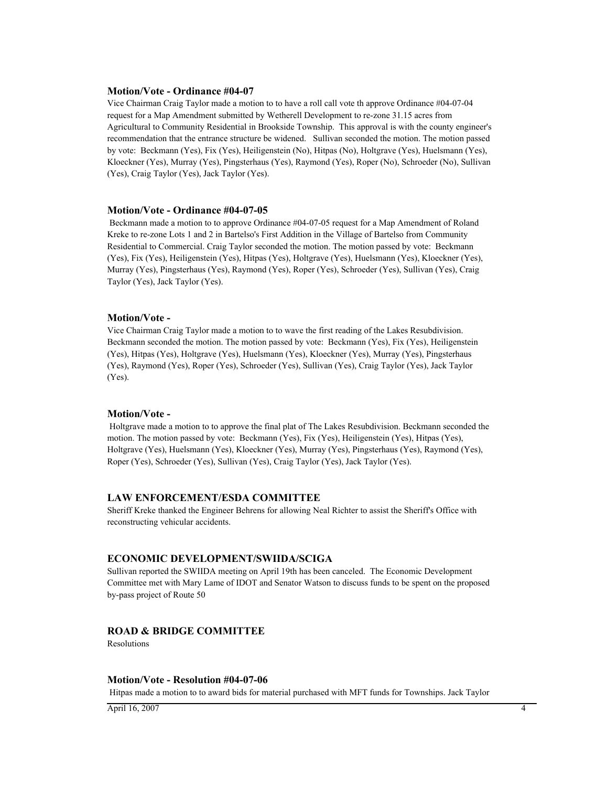### **Motion/Vote - Ordinance #04-07**

Vice Chairman Craig Taylor made a motion to to have a roll call vote th approve Ordinance #04-07-04 request for a Map Amendment submitted by Wetherell Development to re-zone 31.15 acres from Agricultural to Community Residential in Brookside Township. This approval is with the county engineer's recommendation that the entrance structure be widened. Sullivan seconded the motion. The motion passed by vote: Beckmann (Yes), Fix (Yes), Heiligenstein (No), Hitpas (No), Holtgrave (Yes), Huelsmann (Yes), Kloeckner (Yes), Murray (Yes), Pingsterhaus (Yes), Raymond (Yes), Roper (No), Schroeder (No), Sullivan (Yes), Craig Taylor (Yes), Jack Taylor (Yes).

### **Motion/Vote - Ordinance #04-07-05**

 Beckmann made a motion to to approve Ordinance #04-07-05 request for a Map Amendment of Roland Kreke to re-zone Lots 1 and 2 in Bartelso's First Addition in the Village of Bartelso from Community Residential to Commercial. Craig Taylor seconded the motion. The motion passed by vote: Beckmann (Yes), Fix (Yes), Heiligenstein (Yes), Hitpas (Yes), Holtgrave (Yes), Huelsmann (Yes), Kloeckner (Yes), Murray (Yes), Pingsterhaus (Yes), Raymond (Yes), Roper (Yes), Schroeder (Yes), Sullivan (Yes), Craig Taylor (Yes), Jack Taylor (Yes).

### **Motion/Vote -**

Vice Chairman Craig Taylor made a motion to to wave the first reading of the Lakes Resubdivision. Beckmann seconded the motion. The motion passed by vote: Beckmann (Yes), Fix (Yes), Heiligenstein (Yes), Hitpas (Yes), Holtgrave (Yes), Huelsmann (Yes), Kloeckner (Yes), Murray (Yes), Pingsterhaus (Yes), Raymond (Yes), Roper (Yes), Schroeder (Yes), Sullivan (Yes), Craig Taylor (Yes), Jack Taylor (Yes).

### **Motion/Vote -**

 Holtgrave made a motion to to approve the final plat of The Lakes Resubdivision. Beckmann seconded the motion. The motion passed by vote: Beckmann (Yes), Fix (Yes), Heiligenstein (Yes), Hitpas (Yes), Holtgrave (Yes), Huelsmann (Yes), Kloeckner (Yes), Murray (Yes), Pingsterhaus (Yes), Raymond (Yes), Roper (Yes), Schroeder (Yes), Sullivan (Yes), Craig Taylor (Yes), Jack Taylor (Yes).

### **LAW ENFORCEMENT/ESDA COMMITTEE**

Sheriff Kreke thanked the Engineer Behrens for allowing Neal Richter to assist the Sheriff's Office with reconstructing vehicular accidents.

### **ECONOMIC DEVELOPMENT/SWIIDA/SCIGA**

Sullivan reported the SWIIDA meeting on April 19th has been canceled. The Economic Development Committee met with Mary Lame of IDOT and Senator Watson to discuss funds to be spent on the proposed by-pass project of Route 50

# **ROAD & BRIDGE COMMITTEE**

Resolutions

### **Motion/Vote - Resolution #04-07-06**

Hitpas made a motion to to award bids for material purchased with MFT funds for Townships. Jack Taylor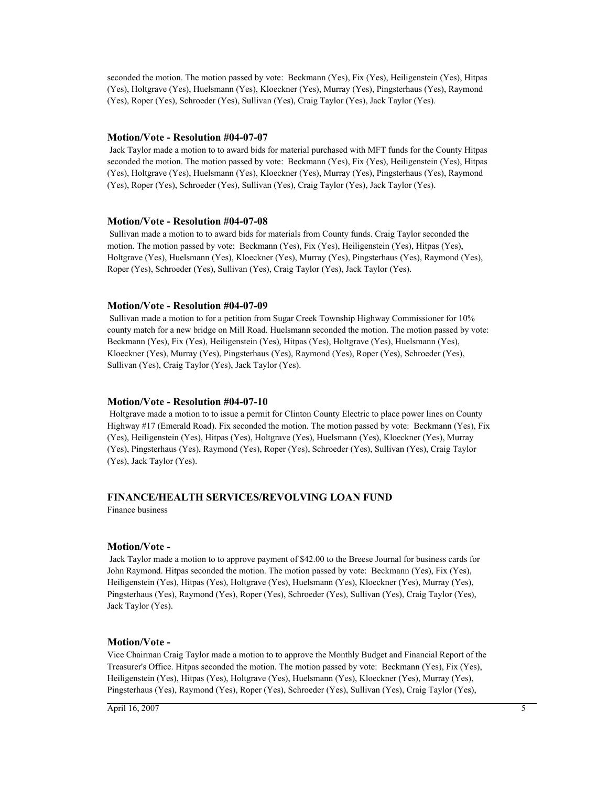seconded the motion. The motion passed by vote: Beckmann (Yes), Fix (Yes), Heiligenstein (Yes), Hitpas (Yes), Holtgrave (Yes), Huelsmann (Yes), Kloeckner (Yes), Murray (Yes), Pingsterhaus (Yes), Raymond (Yes), Roper (Yes), Schroeder (Yes), Sullivan (Yes), Craig Taylor (Yes), Jack Taylor (Yes).

### **Motion/Vote - Resolution #04-07-07**

 Jack Taylor made a motion to to award bids for material purchased with MFT funds for the County Hitpas seconded the motion. The motion passed by vote: Beckmann (Yes), Fix (Yes), Heiligenstein (Yes), Hitpas (Yes), Holtgrave (Yes), Huelsmann (Yes), Kloeckner (Yes), Murray (Yes), Pingsterhaus (Yes), Raymond (Yes), Roper (Yes), Schroeder (Yes), Sullivan (Yes), Craig Taylor (Yes), Jack Taylor (Yes).

### **Motion/Vote - Resolution #04-07-08**

 Sullivan made a motion to to award bids for materials from County funds. Craig Taylor seconded the motion. The motion passed by vote: Beckmann (Yes), Fix (Yes), Heiligenstein (Yes), Hitpas (Yes), Holtgrave (Yes), Huelsmann (Yes), Kloeckner (Yes), Murray (Yes), Pingsterhaus (Yes), Raymond (Yes), Roper (Yes), Schroeder (Yes), Sullivan (Yes), Craig Taylor (Yes), Jack Taylor (Yes).

### **Motion/Vote - Resolution #04-07-09**

 Sullivan made a motion to for a petition from Sugar Creek Township Highway Commissioner for 10% county match for a new bridge on Mill Road. Huelsmann seconded the motion. The motion passed by vote: Beckmann (Yes), Fix (Yes), Heiligenstein (Yes), Hitpas (Yes), Holtgrave (Yes), Huelsmann (Yes), Kloeckner (Yes), Murray (Yes), Pingsterhaus (Yes), Raymond (Yes), Roper (Yes), Schroeder (Yes), Sullivan (Yes), Craig Taylor (Yes), Jack Taylor (Yes).

### **Motion/Vote - Resolution #04-07-10**

 Holtgrave made a motion to to issue a permit for Clinton County Electric to place power lines on County Highway #17 (Emerald Road). Fix seconded the motion. The motion passed by vote: Beckmann (Yes), Fix (Yes), Heiligenstein (Yes), Hitpas (Yes), Holtgrave (Yes), Huelsmann (Yes), Kloeckner (Yes), Murray (Yes), Pingsterhaus (Yes), Raymond (Yes), Roper (Yes), Schroeder (Yes), Sullivan (Yes), Craig Taylor (Yes), Jack Taylor (Yes).

# **FINANCE/HEALTH SERVICES/REVOLVING LOAN FUND**

Finance business

### **Motion/Vote -**

 Jack Taylor made a motion to to approve payment of \$42.00 to the Breese Journal for business cards for John Raymond. Hitpas seconded the motion. The motion passed by vote: Beckmann (Yes), Fix (Yes), Heiligenstein (Yes), Hitpas (Yes), Holtgrave (Yes), Huelsmann (Yes), Kloeckner (Yes), Murray (Yes), Pingsterhaus (Yes), Raymond (Yes), Roper (Yes), Schroeder (Yes), Sullivan (Yes), Craig Taylor (Yes), Jack Taylor (Yes).

### **Motion/Vote -**

Vice Chairman Craig Taylor made a motion to to approve the Monthly Budget and Financial Report of the Treasurer's Office. Hitpas seconded the motion. The motion passed by vote: Beckmann (Yes), Fix (Yes), Heiligenstein (Yes), Hitpas (Yes), Holtgrave (Yes), Huelsmann (Yes), Kloeckner (Yes), Murray (Yes), Pingsterhaus (Yes), Raymond (Yes), Roper (Yes), Schroeder (Yes), Sullivan (Yes), Craig Taylor (Yes),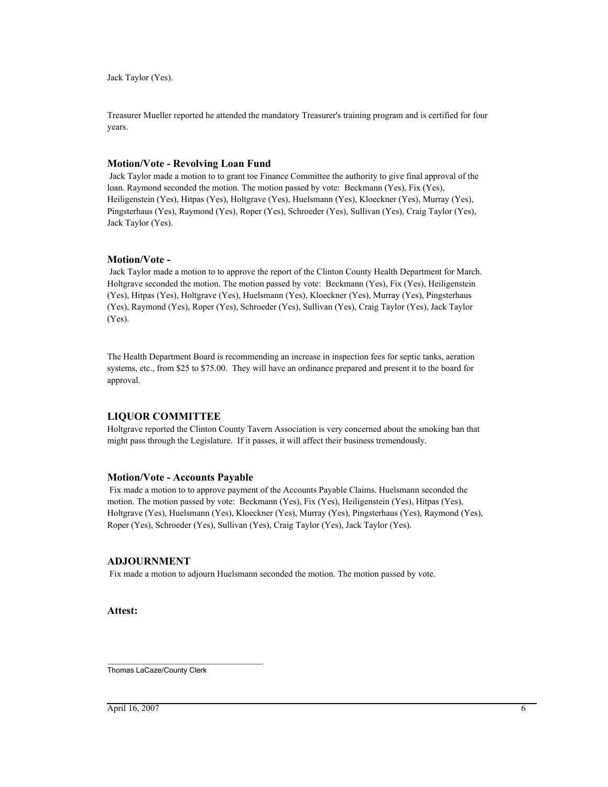Jack Taylor (Yes).

Treasurer Mueller reported he attended the mandatory Treasurer's training program and is certified for four years.

### **Motion/Vote - Revolving Loan Fund**

 Jack Taylor made a motion to to grant toe Finance Committee the authority to give final approval of the loan. Raymond seconded the motion. The motion passed by vote: Beckmann (Yes), Fix (Yes), Heiligenstein (Yes), Hitpas (Yes), Holtgrave (Yes), Huelsmann (Yes), Kloeckner (Yes), Murray (Yes), Pingsterhaus (Yes), Raymond (Yes), Roper (Yes), Schroeder (Yes), Sullivan (Yes), Craig Taylor (Yes), Jack Taylor (Yes).

### **Motion/Vote -**

 Jack Taylor made a motion to to approve the report of the Clinton County Health Department for March. Holtgrave seconded the motion. The motion passed by vote: Beckmann (Yes), Fix (Yes), Heiligenstein (Yes), Hitpas (Yes), Holtgrave (Yes), Huelsmann (Yes), Kloeckner (Yes), Murray (Yes), Pingsterhaus (Yes), Raymond (Yes), Roper (Yes), Schroeder (Yes), Sullivan (Yes), Craig Taylor (Yes), Jack Taylor (Yes).

The Health Department Board is recommending an increase in inspection fees for septic tanks, aeration systems, etc., from \$25 to \$75.00. They will have an ordinance prepared and present it to the board for approval.

### **LIQUOR COMMITTEE**

Holtgrave reported the Clinton County Tavern Association is very concerned about the smoking ban that might pass through the Legislature. If it passes, it will affect their business tremendously.

### **Motion/Vote - Accounts Payable**

 Fix made a motion to to approve payment of the Accounts Payable Claims. Huelsmann seconded the motion. The motion passed by vote: Beckmann (Yes), Fix (Yes), Heiligenstein (Yes), Hitpas (Yes), Holtgrave (Yes), Huelsmann (Yes), Kloeckner (Yes), Murray (Yes), Pingsterhaus (Yes), Raymond (Yes), Roper (Yes), Schroeder (Yes), Sullivan (Yes), Craig Taylor (Yes), Jack Taylor (Yes).

### **ADJOURNMENT**

Fix made a motion to adjourn Huelsmann seconded the motion. The motion passed by vote.

**Attest:**

\_\_\_\_\_\_\_\_\_\_\_\_\_\_\_\_\_\_\_\_\_\_\_\_\_\_\_\_\_\_\_\_\_\_\_\_\_\_ Thomas LaCaze/County Clerk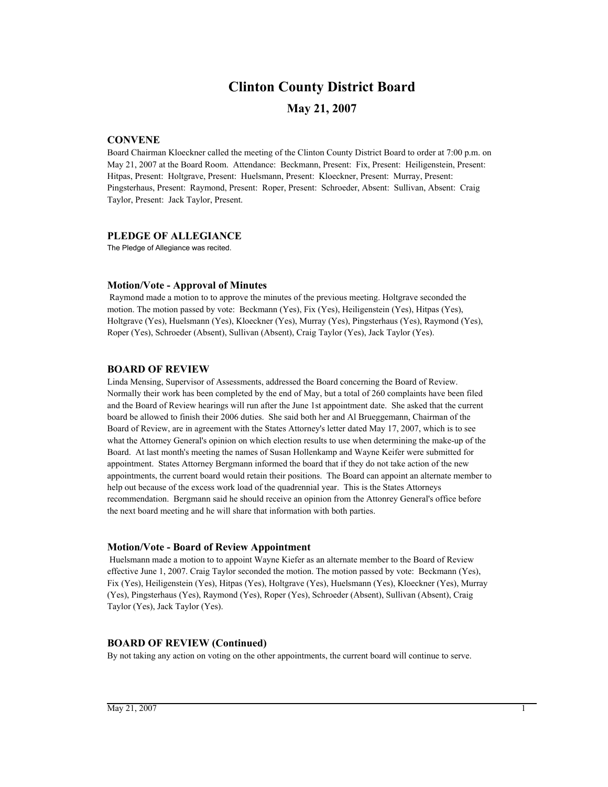# **Clinton County District Board**

# **May 21, 2007**

## **CONVENE**

Board Chairman Kloeckner called the meeting of the Clinton County District Board to order at 7:00 p.m. on May 21, 2007 at the Board Room. Attendance: Beckmann, Present: Fix, Present: Heiligenstein, Present: Hitpas, Present: Holtgrave, Present: Huelsmann, Present: Kloeckner, Present: Murray, Present: Pingsterhaus, Present: Raymond, Present: Roper, Present: Schroeder, Absent: Sullivan, Absent: Craig Taylor, Present: Jack Taylor, Present.

### **PLEDGE OF ALLEGIANCE**

The Pledge of Allegiance was recited.

### **Motion/Vote - Approval of Minutes**

 Raymond made a motion to to approve the minutes of the previous meeting. Holtgrave seconded the motion. The motion passed by vote: Beckmann (Yes), Fix (Yes), Heiligenstein (Yes), Hitpas (Yes), Holtgrave (Yes), Huelsmann (Yes), Kloeckner (Yes), Murray (Yes), Pingsterhaus (Yes), Raymond (Yes), Roper (Yes), Schroeder (Absent), Sullivan (Absent), Craig Taylor (Yes), Jack Taylor (Yes).

### **BOARD OF REVIEW**

Linda Mensing, Supervisor of Assessments, addressed the Board concerning the Board of Review. Normally their work has been completed by the end of May, but a total of 260 complaints have been filed and the Board of Review hearings will run after the June 1st appointment date. She asked that the current board be allowed to finish their 2006 duties. She said both her and Al Brueggemann, Chairman of the Board of Review, are in agreement with the States Attorney's letter dated May 17, 2007, which is to see what the Attorney General's opinion on which election results to use when determining the make-up of the Board. At last month's meeting the names of Susan Hollenkamp and Wayne Keifer were submitted for appointment. States Attorney Bergmann informed the board that if they do not take action of the new appointments, the current board would retain their positions. The Board can appoint an alternate member to help out because of the excess work load of the quadrennial year. This is the States Attorneys recommendation. Bergmann said he should receive an opinion from the Attonrey General's office before the next board meeting and he will share that information with both parties.

### **Motion/Vote - Board of Review Appointment**

 Huelsmann made a motion to to appoint Wayne Kiefer as an alternate member to the Board of Review effective June 1, 2007. Craig Taylor seconded the motion. The motion passed by vote: Beckmann (Yes), Fix (Yes), Heiligenstein (Yes), Hitpas (Yes), Holtgrave (Yes), Huelsmann (Yes), Kloeckner (Yes), Murray (Yes), Pingsterhaus (Yes), Raymond (Yes), Roper (Yes), Schroeder (Absent), Sullivan (Absent), Craig Taylor (Yes), Jack Taylor (Yes).

### **BOARD OF REVIEW (Continued)**

By not taking any action on voting on the other appointments, the current board will continue to serve.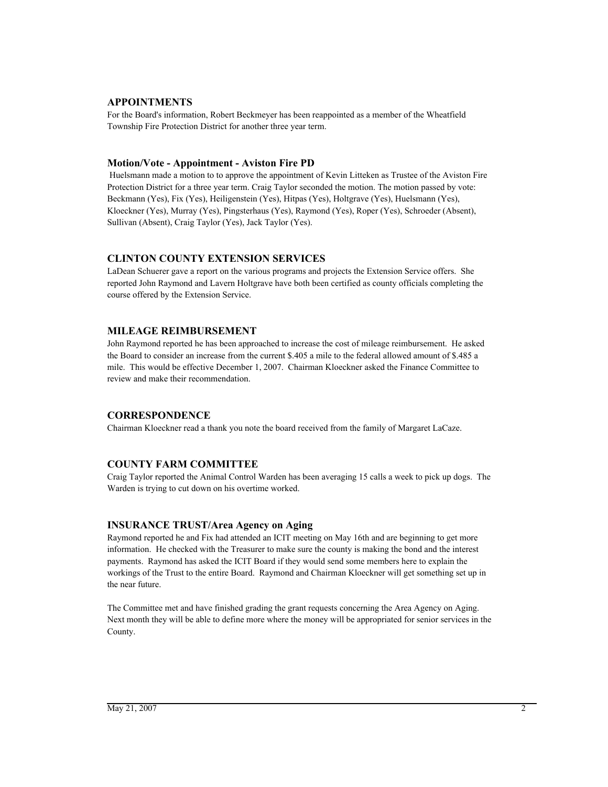### **APPOINTMENTS**

For the Board's information, Robert Beckmeyer has been reappointed as a member of the Wheatfield Township Fire Protection District for another three year term.

### **Motion/Vote - Appointment - Aviston Fire PD**

 Huelsmann made a motion to to approve the appointment of Kevin Litteken as Trustee of the Aviston Fire Protection District for a three year term. Craig Taylor seconded the motion. The motion passed by vote: Beckmann (Yes), Fix (Yes), Heiligenstein (Yes), Hitpas (Yes), Holtgrave (Yes), Huelsmann (Yes), Kloeckner (Yes), Murray (Yes), Pingsterhaus (Yes), Raymond (Yes), Roper (Yes), Schroeder (Absent), Sullivan (Absent), Craig Taylor (Yes), Jack Taylor (Yes).

### **CLINTON COUNTY EXTENSION SERVICES**

LaDean Schuerer gave a report on the various programs and projects the Extension Service offers. She reported John Raymond and Lavern Holtgrave have both been certified as county officials completing the course offered by the Extension Service.

### **MILEAGE REIMBURSEMENT**

John Raymond reported he has been approached to increase the cost of mileage reimbursement. He asked the Board to consider an increase from the current \$.405 a mile to the federal allowed amount of \$.485 a mile. This would be effective December 1, 2007. Chairman Kloeckner asked the Finance Committee to review and make their recommendation.

### **CORRESPONDENCE**

Chairman Kloeckner read a thank you note the board received from the family of Margaret LaCaze.

### **COUNTY FARM COMMITTEE**

Craig Taylor reported the Animal Control Warden has been averaging 15 calls a week to pick up dogs. The Warden is trying to cut down on his overtime worked.

### **INSURANCE TRUST/Area Agency on Aging**

Raymond reported he and Fix had attended an ICIT meeting on May 16th and are beginning to get more information. He checked with the Treasurer to make sure the county is making the bond and the interest payments. Raymond has asked the ICIT Board if they would send some members here to explain the workings of the Trust to the entire Board. Raymond and Chairman Kloeckner will get something set up in the near future.

The Committee met and have finished grading the grant requests concerning the Area Agency on Aging. Next month they will be able to define more where the money will be appropriated for senior services in the County.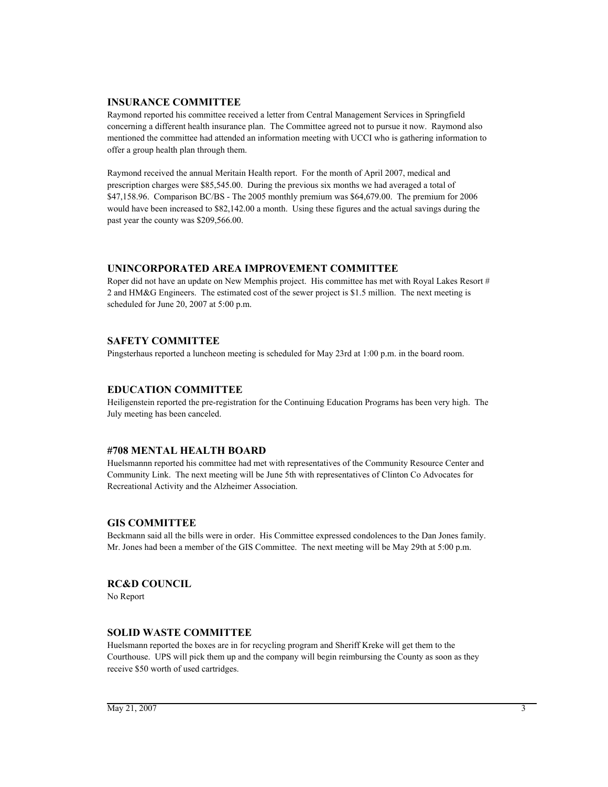### **INSURANCE COMMITTEE**

Raymond reported his committee received a letter from Central Management Services in Springfield concerning a different health insurance plan. The Committee agreed not to pursue it now. Raymond also mentioned the committee had attended an information meeting with UCCI who is gathering information to offer a group health plan through them.

Raymond received the annual Meritain Health report. For the month of April 2007, medical and prescription charges were \$85,545.00. During the previous six months we had averaged a total of \$47,158.96. Comparison BC/BS - The 2005 monthly premium was \$64,679.00. The premium for 2006 would have been increased to \$82,142.00 a month. Using these figures and the actual savings during the past year the county was \$209,566.00.

### **UNINCORPORATED AREA IMPROVEMENT COMMITTEE**

Roper did not have an update on New Memphis project. His committee has met with Royal Lakes Resort # 2 and HM&G Engineers. The estimated cost of the sewer project is \$1.5 million. The next meeting is scheduled for June 20, 2007 at 5:00 p.m.

### **SAFETY COMMITTEE**

Pingsterhaus reported a luncheon meeting is scheduled for May 23rd at 1:00 p.m. in the board room.

### **EDUCATION COMMITTEE**

Heiligenstein reported the pre-registration for the Continuing Education Programs has been very high. The July meeting has been canceled.

### **#708 MENTAL HEALTH BOARD**

Huelsmannn reported his committee had met with representatives of the Community Resource Center and Community Link. The next meeting will be June 5th with representatives of Clinton Co Advocates for Recreational Activity and the Alzheimer Association.

### **GIS COMMITTEE**

Beckmann said all the bills were in order. His Committee expressed condolences to the Dan Jones family. Mr. Jones had been a member of the GIS Committee. The next meeting will be May 29th at 5:00 p.m.

#### **RC&D COUNCIL**

No Report

#### **SOLID WASTE COMMITTEE**

Huelsmann reported the boxes are in for recycling program and Sheriff Kreke will get them to the Courthouse. UPS will pick them up and the company will begin reimbursing the County as soon as they receive \$50 worth of used cartridges.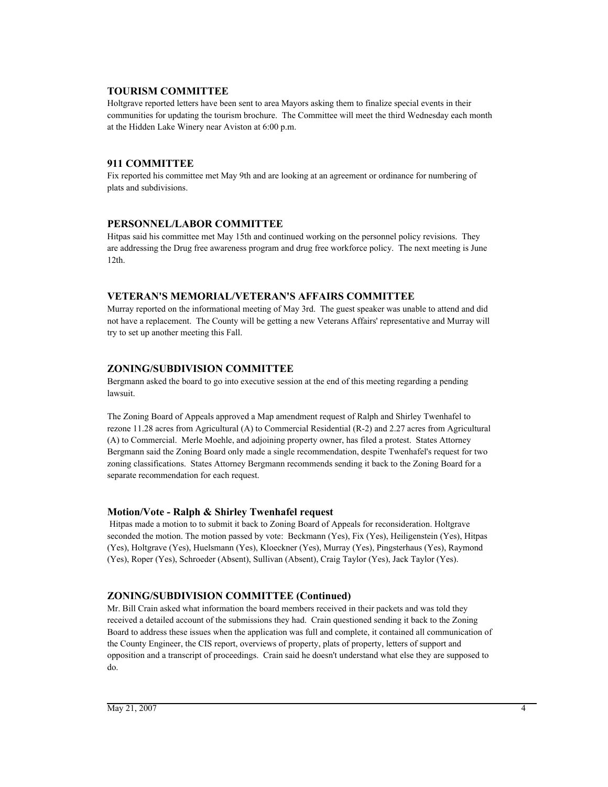### **TOURISM COMMITTEE**

Holtgrave reported letters have been sent to area Mayors asking them to finalize special events in their communities for updating the tourism brochure. The Committee will meet the third Wednesday each month at the Hidden Lake Winery near Aviston at 6:00 p.m.

### **911 COMMITTEE**

Fix reported his committee met May 9th and are looking at an agreement or ordinance for numbering of plats and subdivisions.

### **PERSONNEL/LABOR COMMITTEE**

Hitpas said his committee met May 15th and continued working on the personnel policy revisions. They are addressing the Drug free awareness program and drug free workforce policy. The next meeting is June 12th.

### **VETERAN'S MEMORIAL/VETERAN'S AFFAIRS COMMITTEE**

Murray reported on the informational meeting of May 3rd. The guest speaker was unable to attend and did not have a replacement. The County will be getting a new Veterans Affairs' representative and Murray will try to set up another meeting this Fall.

### **ZONING/SUBDIVISION COMMITTEE**

Bergmann asked the board to go into executive session at the end of this meeting regarding a pending lawsuit.

The Zoning Board of Appeals approved a Map amendment request of Ralph and Shirley Twenhafel to rezone 11.28 acres from Agricultural (A) to Commercial Residential (R-2) and 2.27 acres from Agricultural (A) to Commercial. Merle Moehle, and adjoining property owner, has filed a protest. States Attorney Bergmann said the Zoning Board only made a single recommendation, despite Twenhafel's request for two zoning classifications. States Attorney Bergmann recommends sending it back to the Zoning Board for a separate recommendation for each request.

### **Motion/Vote - Ralph & Shirley Twenhafel request**

 Hitpas made a motion to to submit it back to Zoning Board of Appeals for reconsideration. Holtgrave seconded the motion. The motion passed by vote: Beckmann (Yes), Fix (Yes), Heiligenstein (Yes), Hitpas (Yes), Holtgrave (Yes), Huelsmann (Yes), Kloeckner (Yes), Murray (Yes), Pingsterhaus (Yes), Raymond (Yes), Roper (Yes), Schroeder (Absent), Sullivan (Absent), Craig Taylor (Yes), Jack Taylor (Yes).

### **ZONING/SUBDIVISION COMMITTEE (Continued)**

Mr. Bill Crain asked what information the board members received in their packets and was told they received a detailed account of the submissions they had. Crain questioned sending it back to the Zoning Board to address these issues when the application was full and complete, it contained all communication of the County Engineer, the CIS report, overviews of property, plats of property, letters of support and opposition and a transcript of proceedings. Crain said he doesn't understand what else they are supposed to do.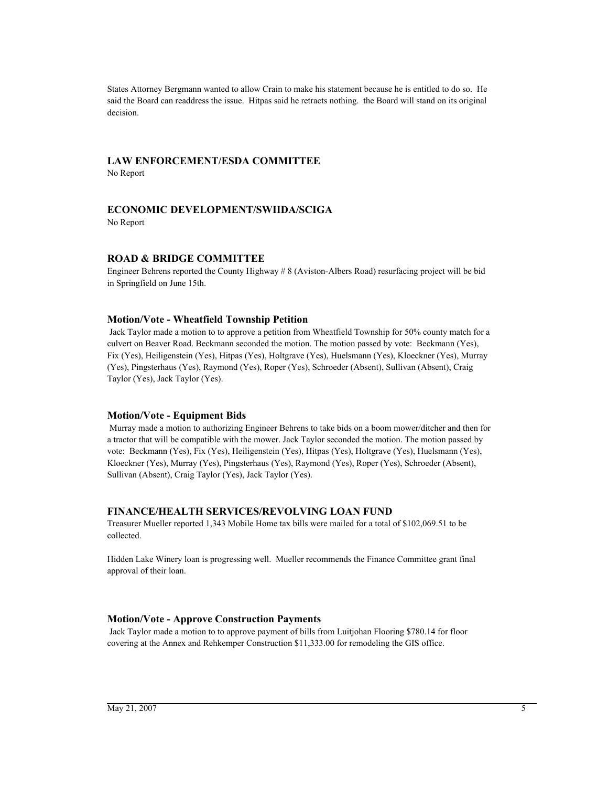States Attorney Bergmann wanted to allow Crain to make his statement because he is entitled to do so. He said the Board can readdress the issue. Hitpas said he retracts nothing. the Board will stand on its original decision.

### **LAW ENFORCEMENT/ESDA COMMITTEE**

No Report

### **ECONOMIC DEVELOPMENT/SWIIDA/SCIGA**

No Report

### **ROAD & BRIDGE COMMITTEE**

Engineer Behrens reported the County Highway # 8 (Aviston-Albers Road) resurfacing project will be bid in Springfield on June 15th.

#### **Motion/Vote - Wheatfield Township Petition**

 Jack Taylor made a motion to to approve a petition from Wheatfield Township for 50% county match for a culvert on Beaver Road. Beckmann seconded the motion. The motion passed by vote: Beckmann (Yes), Fix (Yes), Heiligenstein (Yes), Hitpas (Yes), Holtgrave (Yes), Huelsmann (Yes), Kloeckner (Yes), Murray (Yes), Pingsterhaus (Yes), Raymond (Yes), Roper (Yes), Schroeder (Absent), Sullivan (Absent), Craig Taylor (Yes), Jack Taylor (Yes).

#### **Motion/Vote - Equipment Bids**

 Murray made a motion to authorizing Engineer Behrens to take bids on a boom mower/ditcher and then for a tractor that will be compatible with the mower. Jack Taylor seconded the motion. The motion passed by vote: Beckmann (Yes), Fix (Yes), Heiligenstein (Yes), Hitpas (Yes), Holtgrave (Yes), Huelsmann (Yes), Kloeckner (Yes), Murray (Yes), Pingsterhaus (Yes), Raymond (Yes), Roper (Yes), Schroeder (Absent), Sullivan (Absent), Craig Taylor (Yes), Jack Taylor (Yes).

#### **FINANCE/HEALTH SERVICES/REVOLVING LOAN FUND**

Treasurer Mueller reported 1,343 Mobile Home tax bills were mailed for a total of \$102,069.51 to be collected.

Hidden Lake Winery loan is progressing well. Mueller recommends the Finance Committee grant final approval of their loan.

#### **Motion/Vote - Approve Construction Payments**

 Jack Taylor made a motion to to approve payment of bills from Luitjohan Flooring \$780.14 for floor covering at the Annex and Rehkemper Construction \$11,333.00 for remodeling the GIS office.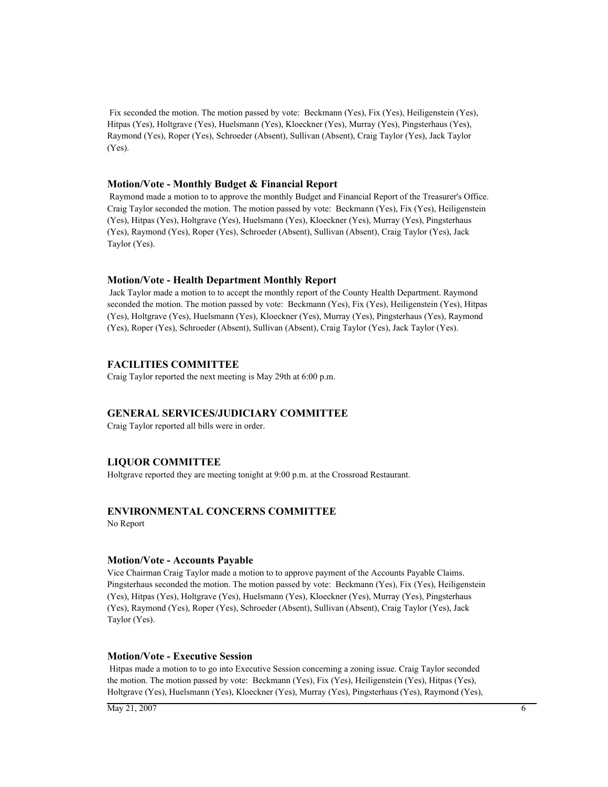Fix seconded the motion. The motion passed by vote: Beckmann (Yes), Fix (Yes), Heiligenstein (Yes), Hitpas (Yes), Holtgrave (Yes), Huelsmann (Yes), Kloeckner (Yes), Murray (Yes), Pingsterhaus (Yes), Raymond (Yes), Roper (Yes), Schroeder (Absent), Sullivan (Absent), Craig Taylor (Yes), Jack Taylor (Yes).

#### **Motion/Vote - Monthly Budget & Financial Report**

 Raymond made a motion to to approve the monthly Budget and Financial Report of the Treasurer's Office. Craig Taylor seconded the motion. The motion passed by vote: Beckmann (Yes), Fix (Yes), Heiligenstein (Yes), Hitpas (Yes), Holtgrave (Yes), Huelsmann (Yes), Kloeckner (Yes), Murray (Yes), Pingsterhaus (Yes), Raymond (Yes), Roper (Yes), Schroeder (Absent), Sullivan (Absent), Craig Taylor (Yes), Jack Taylor (Yes).

#### **Motion/Vote - Health Department Monthly Report**

 Jack Taylor made a motion to to accept the monthly report of the County Health Department. Raymond seconded the motion. The motion passed by vote: Beckmann (Yes), Fix (Yes), Heiligenstein (Yes), Hitpas (Yes), Holtgrave (Yes), Huelsmann (Yes), Kloeckner (Yes), Murray (Yes), Pingsterhaus (Yes), Raymond (Yes), Roper (Yes), Schroeder (Absent), Sullivan (Absent), Craig Taylor (Yes), Jack Taylor (Yes).

#### **FACILITIES COMMITTEE**

Craig Taylor reported the next meeting is May 29th at 6:00 p.m.

### **GENERAL SERVICES/JUDICIARY COMMITTEE**

Craig Taylor reported all bills were in order.

### **LIQUOR COMMITTEE**

Holtgrave reported they are meeting tonight at 9:00 p.m. at the Crossroad Restaurant.

### **ENVIRONMENTAL CONCERNS COMMITTEE**

No Report

#### **Motion/Vote - Accounts Payable**

Vice Chairman Craig Taylor made a motion to to approve payment of the Accounts Payable Claims. Pingsterhaus seconded the motion. The motion passed by vote: Beckmann (Yes), Fix (Yes), Heiligenstein (Yes), Hitpas (Yes), Holtgrave (Yes), Huelsmann (Yes), Kloeckner (Yes), Murray (Yes), Pingsterhaus (Yes), Raymond (Yes), Roper (Yes), Schroeder (Absent), Sullivan (Absent), Craig Taylor (Yes), Jack Taylor (Yes).

#### **Motion/Vote - Executive Session**

 Hitpas made a motion to to go into Executive Session concerning a zoning issue. Craig Taylor seconded the motion. The motion passed by vote: Beckmann (Yes), Fix (Yes), Heiligenstein (Yes), Hitpas (Yes), Holtgrave (Yes), Huelsmann (Yes), Kloeckner (Yes), Murray (Yes), Pingsterhaus (Yes), Raymond (Yes),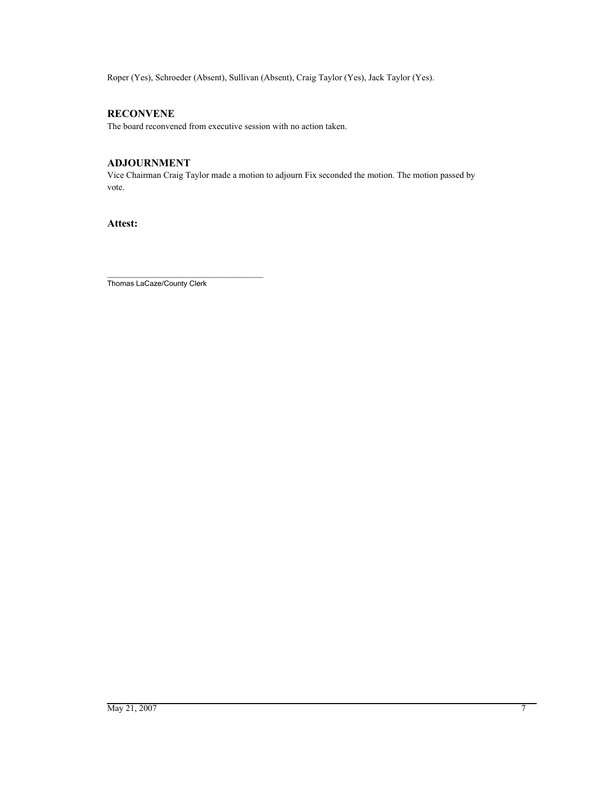Roper (Yes), Schroeder (Absent), Sullivan (Absent), Craig Taylor (Yes), Jack Taylor (Yes).

### **RECONVENE**

The board reconvened from executive session with no action taken.

### **ADJOURNMENT**

Vice Chairman Craig Taylor made a motion to adjourn Fix seconded the motion. The motion passed by vote.

**Attest:**

\_\_\_\_\_\_\_\_\_\_\_\_\_\_\_\_\_\_\_\_\_\_\_\_\_\_\_\_\_\_\_\_\_\_\_\_\_\_ Thomas LaCaze/County Clerk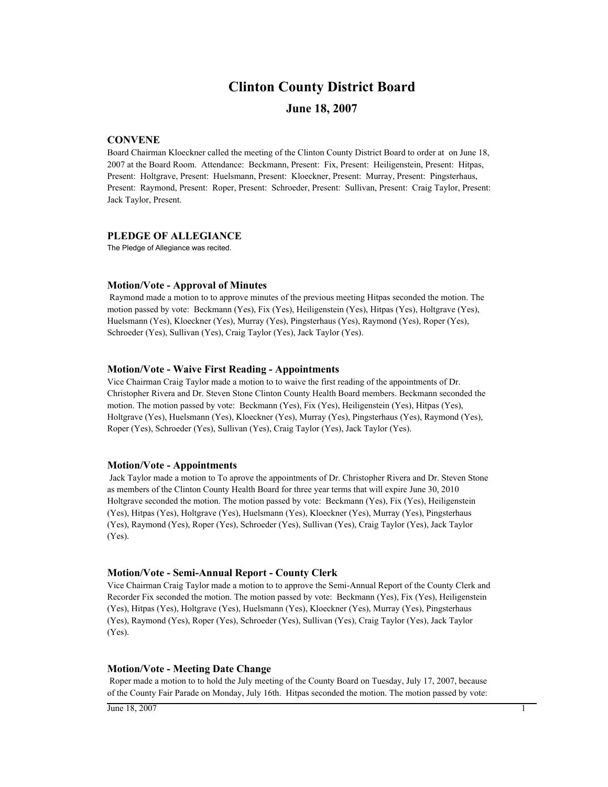## **Clinton County District Board**

### **June 18, 2007**

### **CONVENE**

Board Chairman Kloeckner called the meeting of the Clinton County District Board to order at on June 18, 2007 at the Board Room. Attendance: Beckmann, Present: Fix, Present: Heiligenstein, Present: Hitpas, Present: Holtgrave, Present: Huelsmann, Present: Kloeckner, Present: Murray, Present: Pingsterhaus, Present: Raymond, Present: Roper, Present: Schroeder, Present: Sullivan, Present: Craig Taylor, Present: Jack Taylor, Present.

### **PLEDGE OF ALLEGIANCE**

The Pledge of Allegiance was recited.

#### **Motion/Vote - Approval of Minutes**

 Raymond made a motion to to approve minutes of the previous meeting Hitpas seconded the motion. The motion passed by vote: Beckmann (Yes), Fix (Yes), Heiligenstein (Yes), Hitpas (Yes), Holtgrave (Yes), Huelsmann (Yes), Kloeckner (Yes), Murray (Yes), Pingsterhaus (Yes), Raymond (Yes), Roper (Yes), Schroeder (Yes), Sullivan (Yes), Craig Taylor (Yes), Jack Taylor (Yes).

#### **Motion/Vote - Waive First Reading - Appointments**

Vice Chairman Craig Taylor made a motion to to waive the first reading of the appointments of Dr. Christopher Rivera and Dr. Steven Stone Clinton County Health Board members. Beckmann seconded the motion. The motion passed by vote: Beckmann (Yes), Fix (Yes), Heiligenstein (Yes), Hitpas (Yes), Holtgrave (Yes), Huelsmann (Yes), Kloeckner (Yes), Murray (Yes), Pingsterhaus (Yes), Raymond (Yes), Roper (Yes), Schroeder (Yes), Sullivan (Yes), Craig Taylor (Yes), Jack Taylor (Yes).

#### **Motion/Vote - Appointments**

 Jack Taylor made a motion to To aprove the appointments of Dr. Christopher Rivera and Dr. Steven Stone as members of the Clinton County Health Board for three year terms that will expire June 30, 2010 Holtgrave seconded the motion. The motion passed by vote: Beckmann (Yes), Fix (Yes), Heiligenstein (Yes), Hitpas (Yes), Holtgrave (Yes), Huelsmann (Yes), Kloeckner (Yes), Murray (Yes), Pingsterhaus (Yes), Raymond (Yes), Roper (Yes), Schroeder (Yes), Sullivan (Yes), Craig Taylor (Yes), Jack Taylor (Yes).

#### **Motion/Vote - Semi-Annual Report - County Clerk**

Vice Chairman Craig Taylor made a motion to to approve the Semi-Annual Report of the County Clerk and Recorder Fix seconded the motion. The motion passed by vote: Beckmann (Yes), Fix (Yes), Heiligenstein (Yes), Hitpas (Yes), Holtgrave (Yes), Huelsmann (Yes), Kloeckner (Yes), Murray (Yes), Pingsterhaus (Yes), Raymond (Yes), Roper (Yes), Schroeder (Yes), Sullivan (Yes), Craig Taylor (Yes), Jack Taylor (Yes).

#### **Motion/Vote - Meeting Date Change**

 Roper made a motion to to hold the July meeting of the County Board on Tuesday, July 17, 2007, because of the County Fair Parade on Monday, July 16th. Hitpas seconded the motion. The motion passed by vote: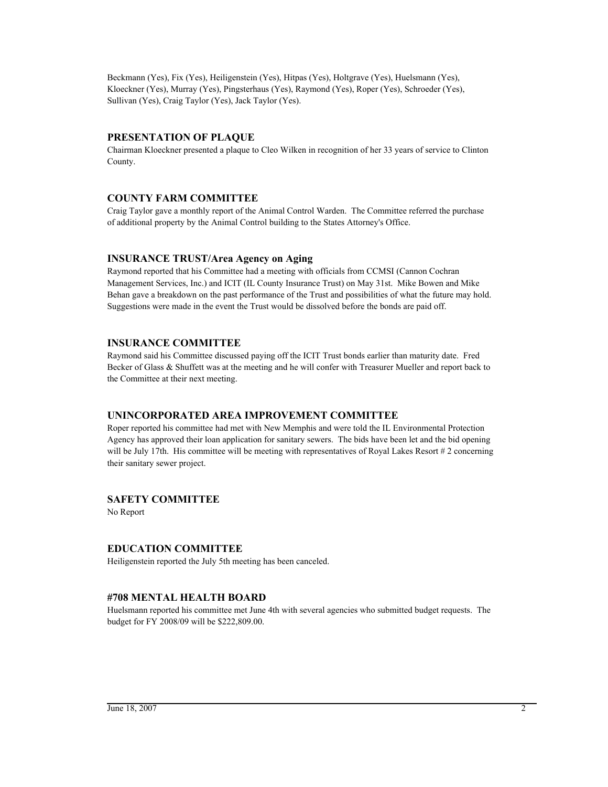Beckmann (Yes), Fix (Yes), Heiligenstein (Yes), Hitpas (Yes), Holtgrave (Yes), Huelsmann (Yes), Kloeckner (Yes), Murray (Yes), Pingsterhaus (Yes), Raymond (Yes), Roper (Yes), Schroeder (Yes), Sullivan (Yes), Craig Taylor (Yes), Jack Taylor (Yes).

### **PRESENTATION OF PLAQUE**

Chairman Kloeckner presented a plaque to Cleo Wilken in recognition of her 33 years of service to Clinton County.

### **COUNTY FARM COMMITTEE**

Craig Taylor gave a monthly report of the Animal Control Warden. The Committee referred the purchase of additional property by the Animal Control building to the States Attorney's Office.

### **INSURANCE TRUST/Area Agency on Aging**

Raymond reported that his Committee had a meeting with officials from CCMSI (Cannon Cochran Management Services, Inc.) and ICIT (IL County Insurance Trust) on May 31st. Mike Bowen and Mike Behan gave a breakdown on the past performance of the Trust and possibilities of what the future may hold. Suggestions were made in the event the Trust would be dissolved before the bonds are paid off.

### **INSURANCE COMMITTEE**

Raymond said his Committee discussed paying off the ICIT Trust bonds earlier than maturity date. Fred Becker of Glass & Shuffett was at the meeting and he will confer with Treasurer Mueller and report back to the Committee at their next meeting.

### **UNINCORPORATED AREA IMPROVEMENT COMMITTEE**

Roper reported his committee had met with New Memphis and were told the IL Environmental Protection Agency has approved their loan application for sanitary sewers. The bids have been let and the bid opening will be July 17th. His committee will be meeting with representatives of Royal Lakes Resort #2 concerning their sanitary sewer project.

### **SAFETY COMMITTEE**

No Report

### **EDUCATION COMMITTEE**

Heiligenstein reported the July 5th meeting has been canceled.

### **#708 MENTAL HEALTH BOARD**

Huelsmann reported his committee met June 4th with several agencies who submitted budget requests. The budget for FY 2008/09 will be \$222,809.00.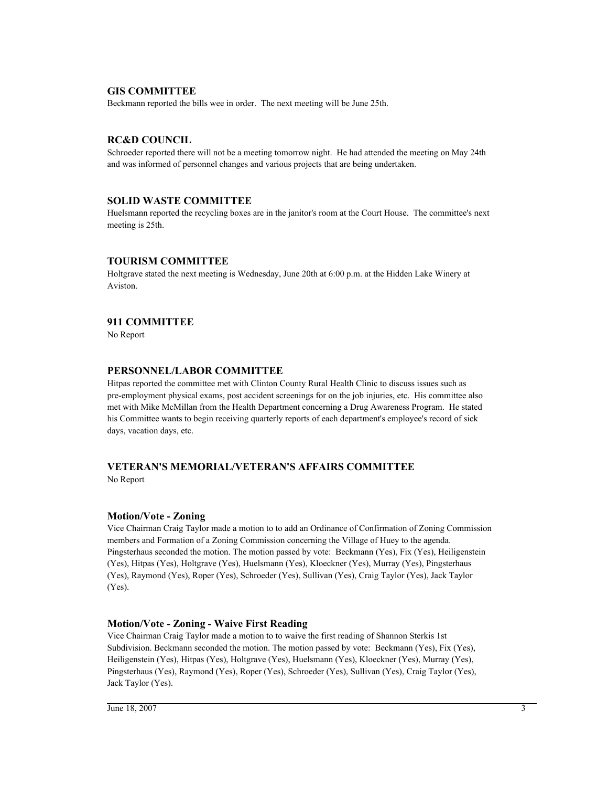### **GIS COMMITTEE**

Beckmann reported the bills wee in order. The next meeting will be June 25th.

### **RC&D COUNCIL**

Schroeder reported there will not be a meeting tomorrow night. He had attended the meeting on May 24th and was informed of personnel changes and various projects that are being undertaken.

### **SOLID WASTE COMMITTEE**

Huelsmann reported the recycling boxes are in the janitor's room at the Court House. The committee's next meeting is 25th.

### **TOURISM COMMITTEE**

Holtgrave stated the next meeting is Wednesday, June 20th at 6:00 p.m. at the Hidden Lake Winery at Aviston.

### **911 COMMITTEE**

No Report

### **PERSONNEL/LABOR COMMITTEE**

Hitpas reported the committee met with Clinton County Rural Health Clinic to discuss issues such as pre-employment physical exams, post accident screenings for on the job injuries, etc. His committee also met with Mike McMillan from the Health Department concerning a Drug Awareness Program. He stated his Committee wants to begin receiving quarterly reports of each department's employee's record of sick days, vacation days, etc.

## **VETERAN'S MEMORIAL/VETERAN'S AFFAIRS COMMITTEE**

No Report

### **Motion/Vote - Zoning**

Vice Chairman Craig Taylor made a motion to to add an Ordinance of Confirmation of Zoning Commission members and Formation of a Zoning Commission concerning the Village of Huey to the agenda. Pingsterhaus seconded the motion. The motion passed by vote: Beckmann (Yes), Fix (Yes), Heiligenstein (Yes), Hitpas (Yes), Holtgrave (Yes), Huelsmann (Yes), Kloeckner (Yes), Murray (Yes), Pingsterhaus (Yes), Raymond (Yes), Roper (Yes), Schroeder (Yes), Sullivan (Yes), Craig Taylor (Yes), Jack Taylor (Yes).

### **Motion/Vote - Zoning - Waive First Reading**

Vice Chairman Craig Taylor made a motion to to waive the first reading of Shannon Sterkis 1st Subdivision. Beckmann seconded the motion. The motion passed by vote: Beckmann (Yes), Fix (Yes), Heiligenstein (Yes), Hitpas (Yes), Holtgrave (Yes), Huelsmann (Yes), Kloeckner (Yes), Murray (Yes), Pingsterhaus (Yes), Raymond (Yes), Roper (Yes), Schroeder (Yes), Sullivan (Yes), Craig Taylor (Yes), Jack Taylor (Yes).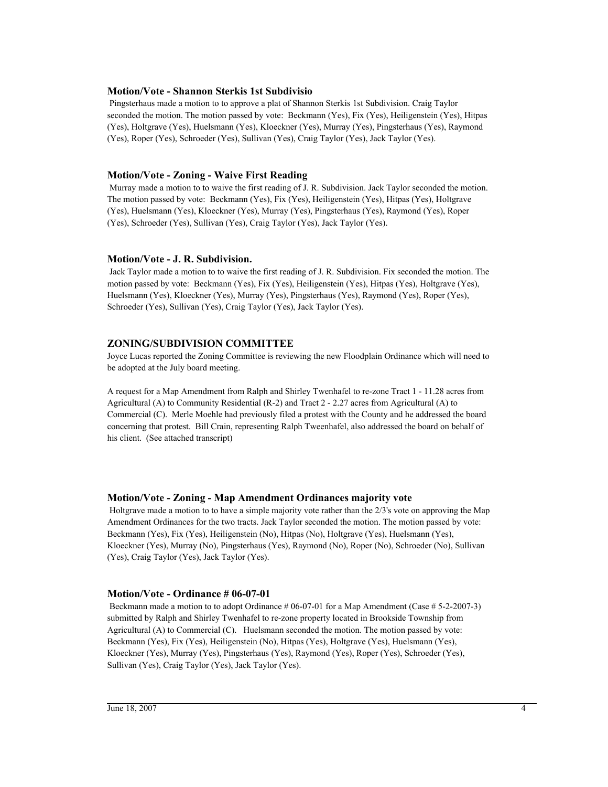#### **Motion/Vote - Shannon Sterkis 1st Subdivisio**

 Pingsterhaus made a motion to to approve a plat of Shannon Sterkis 1st Subdivision. Craig Taylor seconded the motion. The motion passed by vote: Beckmann (Yes), Fix (Yes), Heiligenstein (Yes), Hitpas (Yes), Holtgrave (Yes), Huelsmann (Yes), Kloeckner (Yes), Murray (Yes), Pingsterhaus (Yes), Raymond (Yes), Roper (Yes), Schroeder (Yes), Sullivan (Yes), Craig Taylor (Yes), Jack Taylor (Yes).

### **Motion/Vote - Zoning - Waive First Reading**

 Murray made a motion to to waive the first reading of J. R. Subdivision. Jack Taylor seconded the motion. The motion passed by vote: Beckmann (Yes), Fix (Yes), Heiligenstein (Yes), Hitpas (Yes), Holtgrave (Yes), Huelsmann (Yes), Kloeckner (Yes), Murray (Yes), Pingsterhaus (Yes), Raymond (Yes), Roper (Yes), Schroeder (Yes), Sullivan (Yes), Craig Taylor (Yes), Jack Taylor (Yes).

### **Motion/Vote - J. R. Subdivision.**

 Jack Taylor made a motion to to waive the first reading of J. R. Subdivision. Fix seconded the motion. The motion passed by vote: Beckmann (Yes), Fix (Yes), Heiligenstein (Yes), Hitpas (Yes), Holtgrave (Yes), Huelsmann (Yes), Kloeckner (Yes), Murray (Yes), Pingsterhaus (Yes), Raymond (Yes), Roper (Yes), Schroeder (Yes), Sullivan (Yes), Craig Taylor (Yes), Jack Taylor (Yes).

### **ZONING/SUBDIVISION COMMITTEE**

Joyce Lucas reported the Zoning Committee is reviewing the new Floodplain Ordinance which will need to be adopted at the July board meeting.

A request for a Map Amendment from Ralph and Shirley Twenhafel to re-zone Tract 1 - 11.28 acres from Agricultural (A) to Community Residential (R-2) and Tract 2 - 2.27 acres from Agricultural (A) to Commercial (C). Merle Moehle had previously filed a protest with the County and he addressed the board concerning that protest. Bill Crain, representing Ralph Tweenhafel, also addressed the board on behalf of his client. (See attached transcript)

#### **Motion/Vote - Zoning - Map Amendment Ordinances majority vote**

 Holtgrave made a motion to to have a simple majority vote rather than the 2/3's vote on approving the Map Amendment Ordinances for the two tracts. Jack Taylor seconded the motion. The motion passed by vote: Beckmann (Yes), Fix (Yes), Heiligenstein (No), Hitpas (No), Holtgrave (Yes), Huelsmann (Yes), Kloeckner (Yes), Murray (No), Pingsterhaus (Yes), Raymond (No), Roper (No), Schroeder (No), Sullivan (Yes), Craig Taylor (Yes), Jack Taylor (Yes).

#### **Motion/Vote - Ordinance # 06-07-01**

Beckmann made a motion to to adopt Ordinance # 06-07-01 for a Map Amendment (Case # 5-2-2007-3) submitted by Ralph and Shirley Twenhafel to re-zone property located in Brookside Township from Agricultural (A) to Commercial (C). Huelsmann seconded the motion. The motion passed by vote: Beckmann (Yes), Fix (Yes), Heiligenstein (No), Hitpas (Yes), Holtgrave (Yes), Huelsmann (Yes), Kloeckner (Yes), Murray (Yes), Pingsterhaus (Yes), Raymond (Yes), Roper (Yes), Schroeder (Yes), Sullivan (Yes), Craig Taylor (Yes), Jack Taylor (Yes).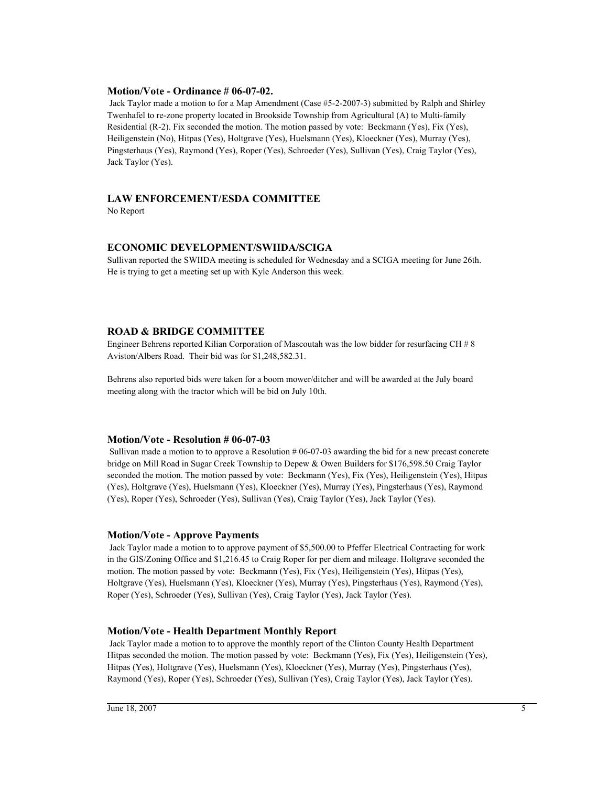#### **Motion/Vote - Ordinance # 06-07-02.**

 Jack Taylor made a motion to for a Map Amendment (Case #5-2-2007-3) submitted by Ralph and Shirley Twenhafel to re-zone property located in Brookside Township from Agricultural (A) to Multi-family Residential (R-2). Fix seconded the motion. The motion passed by vote: Beckmann (Yes), Fix (Yes), Heiligenstein (No), Hitpas (Yes), Holtgrave (Yes), Huelsmann (Yes), Kloeckner (Yes), Murray (Yes), Pingsterhaus (Yes), Raymond (Yes), Roper (Yes), Schroeder (Yes), Sullivan (Yes), Craig Taylor (Yes), Jack Taylor (Yes).

### **LAW ENFORCEMENT/ESDA COMMITTEE**

No Report

### **ECONOMIC DEVELOPMENT/SWIIDA/SCIGA**

Sullivan reported the SWIIDA meeting is scheduled for Wednesday and a SCIGA meeting for June 26th. He is trying to get a meeting set up with Kyle Anderson this week.

### **ROAD & BRIDGE COMMITTEE**

Engineer Behrens reported Kilian Corporation of Mascoutah was the low bidder for resurfacing CH # 8 Aviston/Albers Road. Their bid was for \$1,248,582.31.

Behrens also reported bids were taken for a boom mower/ditcher and will be awarded at the July board meeting along with the tractor which will be bid on July 10th.

#### **Motion/Vote - Resolution # 06-07-03**

 Sullivan made a motion to to approve a Resolution # 06-07-03 awarding the bid for a new precast concrete bridge on Mill Road in Sugar Creek Township to Depew & Owen Builders for \$176,598.50 Craig Taylor seconded the motion. The motion passed by vote: Beckmann (Yes), Fix (Yes), Heiligenstein (Yes), Hitpas (Yes), Holtgrave (Yes), Huelsmann (Yes), Kloeckner (Yes), Murray (Yes), Pingsterhaus (Yes), Raymond (Yes), Roper (Yes), Schroeder (Yes), Sullivan (Yes), Craig Taylor (Yes), Jack Taylor (Yes).

#### **Motion/Vote - Approve Payments**

 Jack Taylor made a motion to to approve payment of \$5,500.00 to Pfeffer Electrical Contracting for work in the GIS/Zoning Office and \$1,216.45 to Craig Roper for per diem and mileage. Holtgrave seconded the motion. The motion passed by vote: Beckmann (Yes), Fix (Yes), Heiligenstein (Yes), Hitpas (Yes), Holtgrave (Yes), Huelsmann (Yes), Kloeckner (Yes), Murray (Yes), Pingsterhaus (Yes), Raymond (Yes), Roper (Yes), Schroeder (Yes), Sullivan (Yes), Craig Taylor (Yes), Jack Taylor (Yes).

### **Motion/Vote - Health Department Monthly Report**

 Jack Taylor made a motion to to approve the monthly report of the Clinton County Health Department Hitpas seconded the motion. The motion passed by vote: Beckmann (Yes), Fix (Yes), Heiligenstein (Yes), Hitpas (Yes), Holtgrave (Yes), Huelsmann (Yes), Kloeckner (Yes), Murray (Yes), Pingsterhaus (Yes), Raymond (Yes), Roper (Yes), Schroeder (Yes), Sullivan (Yes), Craig Taylor (Yes), Jack Taylor (Yes).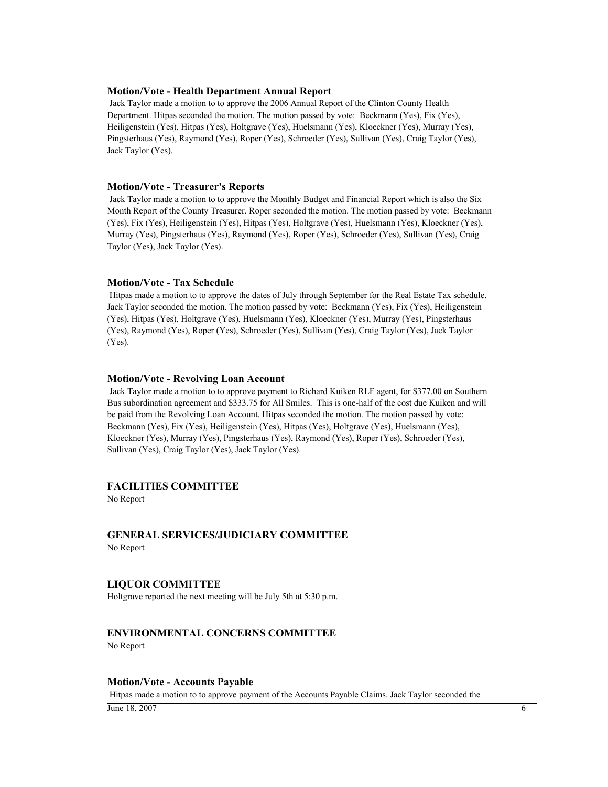#### **Motion/Vote - Health Department Annual Report**

 Jack Taylor made a motion to to approve the 2006 Annual Report of the Clinton County Health Department. Hitpas seconded the motion. The motion passed by vote: Beckmann (Yes), Fix (Yes), Heiligenstein (Yes), Hitpas (Yes), Holtgrave (Yes), Huelsmann (Yes), Kloeckner (Yes), Murray (Yes), Pingsterhaus (Yes), Raymond (Yes), Roper (Yes), Schroeder (Yes), Sullivan (Yes), Craig Taylor (Yes), Jack Taylor (Yes).

#### **Motion/Vote - Treasurer's Reports**

 Jack Taylor made a motion to to approve the Monthly Budget and Financial Report which is also the Six Month Report of the County Treasurer. Roper seconded the motion. The motion passed by vote: Beckmann (Yes), Fix (Yes), Heiligenstein (Yes), Hitpas (Yes), Holtgrave (Yes), Huelsmann (Yes), Kloeckner (Yes), Murray (Yes), Pingsterhaus (Yes), Raymond (Yes), Roper (Yes), Schroeder (Yes), Sullivan (Yes), Craig Taylor (Yes), Jack Taylor (Yes).

#### **Motion/Vote - Tax Schedule**

 Hitpas made a motion to to approve the dates of July through September for the Real Estate Tax schedule. Jack Taylor seconded the motion. The motion passed by vote: Beckmann (Yes), Fix (Yes), Heiligenstein (Yes), Hitpas (Yes), Holtgrave (Yes), Huelsmann (Yes), Kloeckner (Yes), Murray (Yes), Pingsterhaus (Yes), Raymond (Yes), Roper (Yes), Schroeder (Yes), Sullivan (Yes), Craig Taylor (Yes), Jack Taylor (Yes).

#### **Motion/Vote - Revolving Loan Account**

 Jack Taylor made a motion to to approve payment to Richard Kuiken RLF agent, for \$377.00 on Southern Bus subordination agreement and \$333.75 for All Smiles. This is one-half of the cost due Kuiken and will be paid from the Revolving Loan Account. Hitpas seconded the motion. The motion passed by vote: Beckmann (Yes), Fix (Yes), Heiligenstein (Yes), Hitpas (Yes), Holtgrave (Yes), Huelsmann (Yes), Kloeckner (Yes), Murray (Yes), Pingsterhaus (Yes), Raymond (Yes), Roper (Yes), Schroeder (Yes), Sullivan (Yes), Craig Taylor (Yes), Jack Taylor (Yes).

### **FACILITIES COMMITTEE**

No Report

# **GENERAL SERVICES/JUDICIARY COMMITTEE**

No Report

#### **LIQUOR COMMITTEE**

Holtgrave reported the next meeting will be July 5th at 5:30 p.m.

### **ENVIRONMENTAL CONCERNS COMMITTEE**

No Report

#### **Motion/Vote - Accounts Payable**

Hitpas made a motion to to approve payment of the Accounts Payable Claims. Jack Taylor seconded the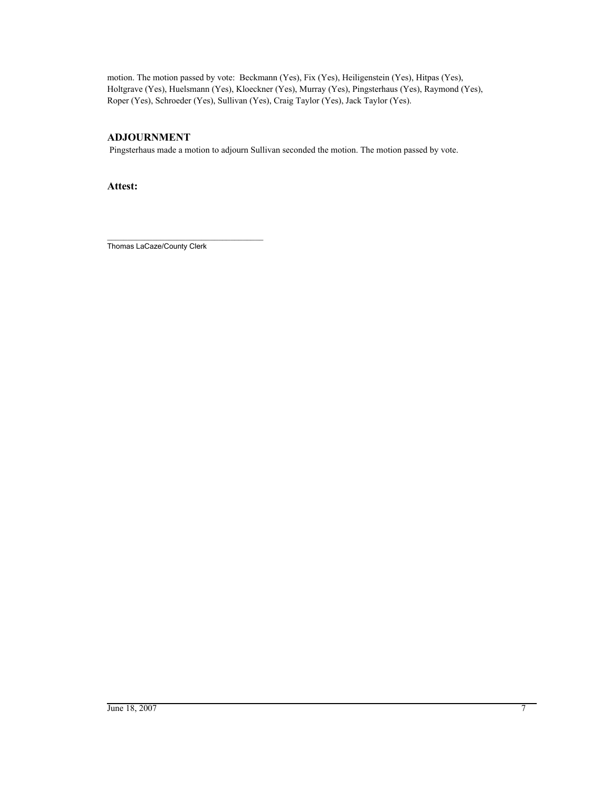motion. The motion passed by vote: Beckmann (Yes), Fix (Yes), Heiligenstein (Yes), Hitpas (Yes), Holtgrave (Yes), Huelsmann (Yes), Kloeckner (Yes), Murray (Yes), Pingsterhaus (Yes), Raymond (Yes), Roper (Yes), Schroeder (Yes), Sullivan (Yes), Craig Taylor (Yes), Jack Taylor (Yes).

### **ADJOURNMENT**

Pingsterhaus made a motion to adjourn Sullivan seconded the motion. The motion passed by vote.

**Attest:**

\_\_\_\_\_\_\_\_\_\_\_\_\_\_\_\_\_\_\_\_\_\_\_\_\_\_\_\_\_\_\_\_\_\_\_\_\_\_ Thomas LaCaze/County Clerk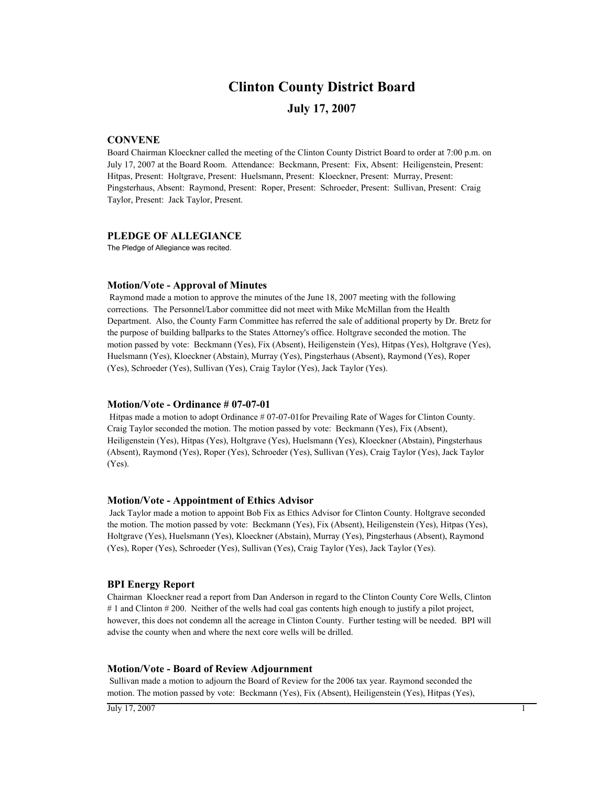## **Clinton County District Board**

### **July 17, 2007**

### **CONVENE**

Board Chairman Kloeckner called the meeting of the Clinton County District Board to order at 7:00 p.m. on July 17, 2007 at the Board Room. Attendance: Beckmann, Present: Fix, Absent: Heiligenstein, Present: Hitpas, Present: Holtgrave, Present: Huelsmann, Present: Kloeckner, Present: Murray, Present: Pingsterhaus, Absent: Raymond, Present: Roper, Present: Schroeder, Present: Sullivan, Present: Craig Taylor, Present: Jack Taylor, Present.

#### **PLEDGE OF ALLEGIANCE**

The Pledge of Allegiance was recited.

#### **Motion/Vote - Approval of Minutes**

 Raymond made a motion to approve the minutes of the June 18, 2007 meeting with the following corrections. The Personnel/Labor committee did not meet with Mike McMillan from the Health Department. Also, the County Farm Committee has referred the sale of additional property by Dr. Bretz for the purpose of building ballparks to the States Attorney's office. Holtgrave seconded the motion. The motion passed by vote: Beckmann (Yes), Fix (Absent), Heiligenstein (Yes), Hitpas (Yes), Holtgrave (Yes), Huelsmann (Yes), Kloeckner (Abstain), Murray (Yes), Pingsterhaus (Absent), Raymond (Yes), Roper (Yes), Schroeder (Yes), Sullivan (Yes), Craig Taylor (Yes), Jack Taylor (Yes).

#### **Motion/Vote - Ordinance # 07-07-01**

 Hitpas made a motion to adopt Ordinance # 07-07-01for Prevailing Rate of Wages for Clinton County. Craig Taylor seconded the motion. The motion passed by vote: Beckmann (Yes), Fix (Absent), Heiligenstein (Yes), Hitpas (Yes), Holtgrave (Yes), Huelsmann (Yes), Kloeckner (Abstain), Pingsterhaus (Absent), Raymond (Yes), Roper (Yes), Schroeder (Yes), Sullivan (Yes), Craig Taylor (Yes), Jack Taylor (Yes).

#### **Motion/Vote - Appointment of Ethics Advisor**

 Jack Taylor made a motion to appoint Bob Fix as Ethics Advisor for Clinton County. Holtgrave seconded the motion. The motion passed by vote: Beckmann (Yes), Fix (Absent), Heiligenstein (Yes), Hitpas (Yes), Holtgrave (Yes), Huelsmann (Yes), Kloeckner (Abstain), Murray (Yes), Pingsterhaus (Absent), Raymond (Yes), Roper (Yes), Schroeder (Yes), Sullivan (Yes), Craig Taylor (Yes), Jack Taylor (Yes).

#### **BPI Energy Report**

Chairman Kloeckner read a report from Dan Anderson in regard to the Clinton County Core Wells, Clinton # 1 and Clinton # 200. Neither of the wells had coal gas contents high enough to justify a pilot project, however, this does not condemn all the acreage in Clinton County. Further testing will be needed. BPI will advise the county when and where the next core wells will be drilled.

#### **Motion/Vote - Board of Review Adjournment**

 Sullivan made a motion to adjourn the Board of Review for the 2006 tax year. Raymond seconded the motion. The motion passed by vote: Beckmann (Yes), Fix (Absent), Heiligenstein (Yes), Hitpas (Yes),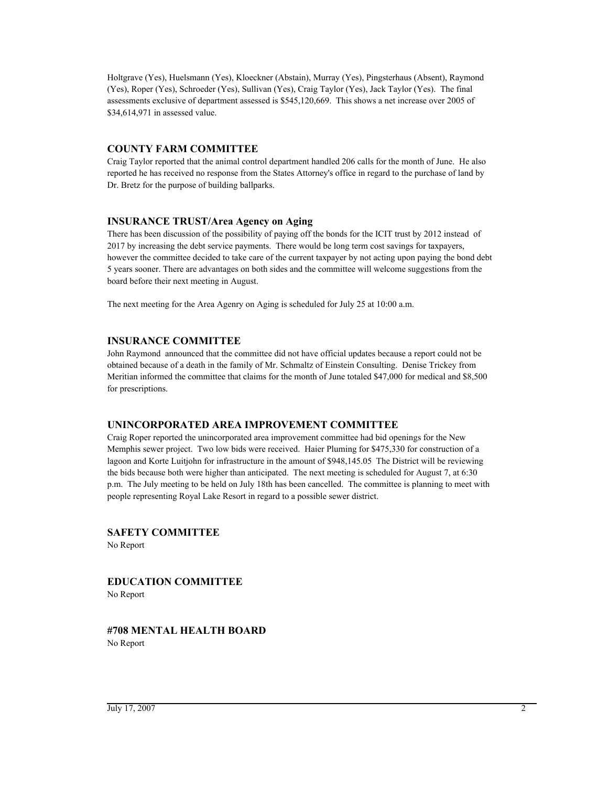Holtgrave (Yes), Huelsmann (Yes), Kloeckner (Abstain), Murray (Yes), Pingsterhaus (Absent), Raymond (Yes), Roper (Yes), Schroeder (Yes), Sullivan (Yes), Craig Taylor (Yes), Jack Taylor (Yes). The final assessments exclusive of department assessed is \$545,120,669. This shows a net increase over 2005 of \$34,614,971 in assessed value.

### **COUNTY FARM COMMITTEE**

Craig Taylor reported that the animal control department handled 206 calls for the month of June. He also reported he has received no response from the States Attorney's office in regard to the purchase of land by Dr. Bretz for the purpose of building ballparks.

### **INSURANCE TRUST/Area Agency on Aging**

There has been discussion of the possibility of paying off the bonds for the ICIT trust by 2012 instead of 2017 by increasing the debt service payments. There would be long term cost savings for taxpayers, however the committee decided to take care of the current taxpayer by not acting upon paying the bond debt 5 years sooner. There are advantages on both sides and the committee will welcome suggestions from the board before their next meeting in August.

The next meeting for the Area Agenry on Aging is scheduled for July 25 at 10:00 a.m.

### **INSURANCE COMMITTEE**

John Raymond announced that the committee did not have official updates because a report could not be obtained because of a death in the family of Mr. Schmaltz of Einstein Consulting. Denise Trickey from Meritian informed the committee that claims for the month of June totaled \$47,000 for medical and \$8,500 for prescriptions.

### **UNINCORPORATED AREA IMPROVEMENT COMMITTEE**

Craig Roper reported the unincorporated area improvement committee had bid openings for the New Memphis sewer project. Two low bids were received. Haier Pluming for \$475,330 for construction of a lagoon and Korte Luitjohn for infrastructure in the amount of \$948,145.05 The District will be reviewing the bids because both were higher than anticipated. The next meeting is scheduled for August 7, at 6:30 p.m. The July meeting to be held on July 18th has been cancelled. The committee is planning to meet with people representing Royal Lake Resort in regard to a possible sewer district.

**SAFETY COMMITTEE**

No Report

**EDUCATION COMMITTEE** No Report

**#708 MENTAL HEALTH BOARD** No Report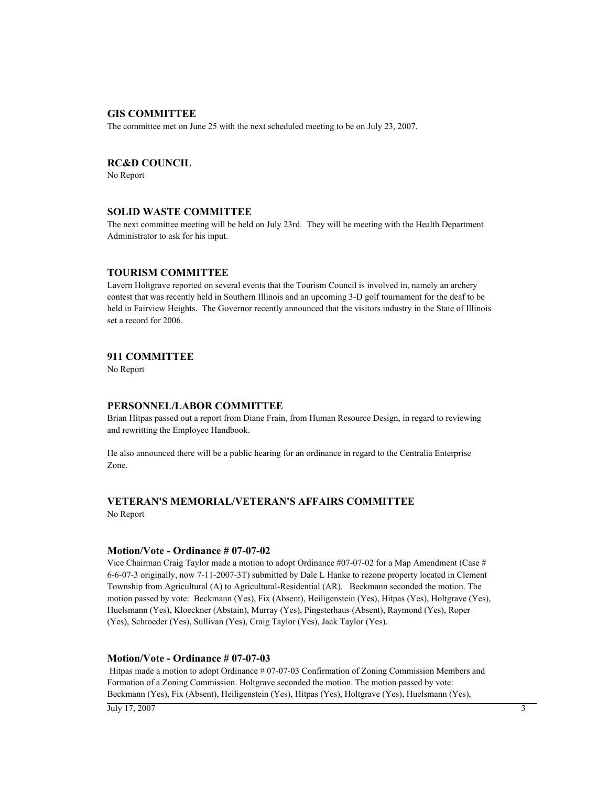### **GIS COMMITTEE**

The committee met on June 25 with the next scheduled meeting to be on July 23, 2007.

### **RC&D COUNCIL**

No Report

#### **SOLID WASTE COMMITTEE**

The next committee meeting will be held on July 23rd. They will be meeting with the Health Department Administrator to ask for his input.

#### **TOURISM COMMITTEE**

Lavern Holtgrave reported on several events that the Tourism Council is involved in, namely an archery contest that was recently held in Southern Illinois and an upcoming 3-D golf tournament for the deaf to be held in Fairview Heights. The Governor recently announced that the visitors industry in the State of Illinois set a record for 2006.

#### **911 COMMITTEE**

No Report

### **PERSONNEL/LABOR COMMITTEE**

Brian Hitpas passed out a report from Diane Frain, from Human Resource Design, in regard to reviewing and rewritting the Employee Handbook.

He also announced there will be a public hearing for an ordinance in regard to the Centralia Enterprise Zone.

# **VETERAN'S MEMORIAL/VETERAN'S AFFAIRS COMMITTEE**

No Report

#### **Motion/Vote - Ordinance # 07-07-02**

Vice Chairman Craig Taylor made a motion to adopt Ordinance #07-07-02 for a Map Amendment (Case # 6-6-07-3 originally, now 7-11-2007-3T) submitted by Dale L Hanke to rezone property located in Clement Township from Agricultural (A) to Agricultural-Residential (AR). Beckmann seconded the motion. The motion passed by vote: Beckmann (Yes), Fix (Absent), Heiligenstein (Yes), Hitpas (Yes), Holtgrave (Yes), Huelsmann (Yes), Kloeckner (Abstain), Murray (Yes), Pingsterhaus (Absent), Raymond (Yes), Roper (Yes), Schroeder (Yes), Sullivan (Yes), Craig Taylor (Yes), Jack Taylor (Yes).

#### **Motion/Vote - Ordinance # 07-07-03**

 Hitpas made a motion to adopt Ordinance # 07-07-03 Confirmation of Zoning Commission Members and Formation of a Zoning Commission. Holtgrave seconded the motion. The motion passed by vote: Beckmann (Yes), Fix (Absent), Heiligenstein (Yes), Hitpas (Yes), Holtgrave (Yes), Huelsmann (Yes),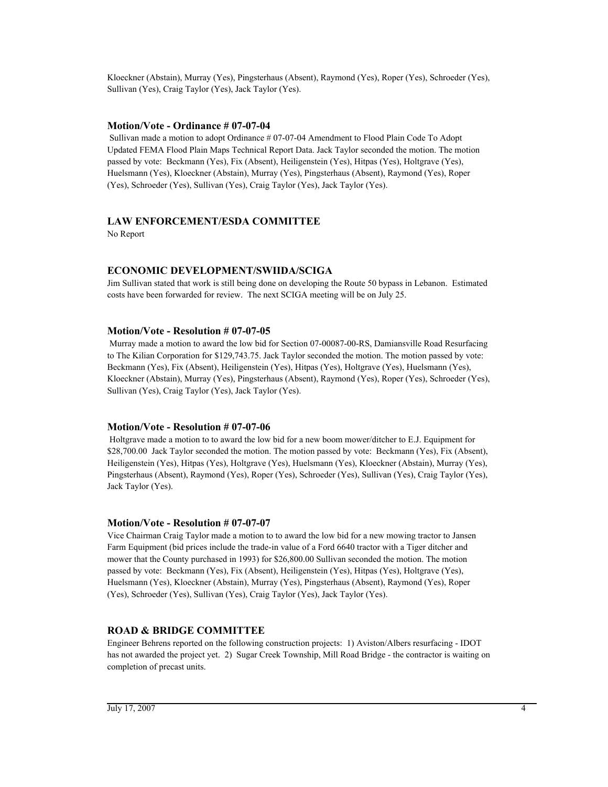Kloeckner (Abstain), Murray (Yes), Pingsterhaus (Absent), Raymond (Yes), Roper (Yes), Schroeder (Yes), Sullivan (Yes), Craig Taylor (Yes), Jack Taylor (Yes).

### **Motion/Vote - Ordinance # 07-07-04**

 Sullivan made a motion to adopt Ordinance # 07-07-04 Amendment to Flood Plain Code To Adopt Updated FEMA Flood Plain Maps Technical Report Data. Jack Taylor seconded the motion. The motion passed by vote: Beckmann (Yes), Fix (Absent), Heiligenstein (Yes), Hitpas (Yes), Holtgrave (Yes), Huelsmann (Yes), Kloeckner (Abstain), Murray (Yes), Pingsterhaus (Absent), Raymond (Yes), Roper (Yes), Schroeder (Yes), Sullivan (Yes), Craig Taylor (Yes), Jack Taylor (Yes).

### **LAW ENFORCEMENT/ESDA COMMITTEE**

No Report

### **ECONOMIC DEVELOPMENT/SWIIDA/SCIGA**

Jim Sullivan stated that work is still being done on developing the Route 50 bypass in Lebanon. Estimated costs have been forwarded for review. The next SCIGA meeting will be on July 25.

### **Motion/Vote - Resolution # 07-07-05**

 Murray made a motion to award the low bid for Section 07-00087-00-RS, Damiansville Road Resurfacing to The Kilian Corporation for \$129,743.75. Jack Taylor seconded the motion. The motion passed by vote: Beckmann (Yes), Fix (Absent), Heiligenstein (Yes), Hitpas (Yes), Holtgrave (Yes), Huelsmann (Yes), Kloeckner (Abstain), Murray (Yes), Pingsterhaus (Absent), Raymond (Yes), Roper (Yes), Schroeder (Yes), Sullivan (Yes), Craig Taylor (Yes), Jack Taylor (Yes).

### **Motion/Vote - Resolution # 07-07-06**

 Holtgrave made a motion to to award the low bid for a new boom mower/ditcher to E.J. Equipment for \$28,700.00 Jack Taylor seconded the motion. The motion passed by vote: Beckmann (Yes), Fix (Absent), Heiligenstein (Yes), Hitpas (Yes), Holtgrave (Yes), Huelsmann (Yes), Kloeckner (Abstain), Murray (Yes), Pingsterhaus (Absent), Raymond (Yes), Roper (Yes), Schroeder (Yes), Sullivan (Yes), Craig Taylor (Yes), Jack Taylor (Yes).

### **Motion/Vote - Resolution # 07-07-07**

Vice Chairman Craig Taylor made a motion to to award the low bid for a new mowing tractor to Jansen Farm Equipment (bid prices include the trade-in value of a Ford 6640 tractor with a Tiger ditcher and mower that the County purchased in 1993) for \$26,800.00 Sullivan seconded the motion. The motion passed by vote: Beckmann (Yes), Fix (Absent), Heiligenstein (Yes), Hitpas (Yes), Holtgrave (Yes), Huelsmann (Yes), Kloeckner (Abstain), Murray (Yes), Pingsterhaus (Absent), Raymond (Yes), Roper (Yes), Schroeder (Yes), Sullivan (Yes), Craig Taylor (Yes), Jack Taylor (Yes).

### **ROAD & BRIDGE COMMITTEE**

Engineer Behrens reported on the following construction projects: 1) Aviston/Albers resurfacing - IDOT has not awarded the project yet. 2) Sugar Creek Township, Mill Road Bridge - the contractor is waiting on completion of precast units.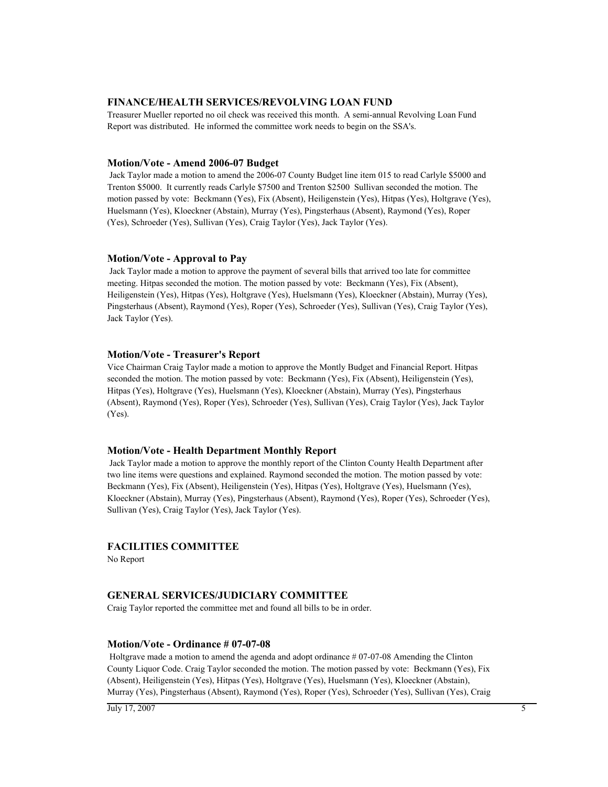#### **FINANCE/HEALTH SERVICES/REVOLVING LOAN FUND**

Treasurer Mueller reported no oil check was received this month. A semi-annual Revolving Loan Fund Report was distributed. He informed the committee work needs to begin on the SSA's.

#### **Motion/Vote - Amend 2006-07 Budget**

 Jack Taylor made a motion to amend the 2006-07 County Budget line item 015 to read Carlyle \$5000 and Trenton \$5000. It currently reads Carlyle \$7500 and Trenton \$2500 Sullivan seconded the motion. The motion passed by vote: Beckmann (Yes), Fix (Absent), Heiligenstein (Yes), Hitpas (Yes), Holtgrave (Yes), Huelsmann (Yes), Kloeckner (Abstain), Murray (Yes), Pingsterhaus (Absent), Raymond (Yes), Roper (Yes), Schroeder (Yes), Sullivan (Yes), Craig Taylor (Yes), Jack Taylor (Yes).

#### **Motion/Vote - Approval to Pay**

 Jack Taylor made a motion to approve the payment of several bills that arrived too late for committee meeting. Hitpas seconded the motion. The motion passed by vote: Beckmann (Yes), Fix (Absent), Heiligenstein (Yes), Hitpas (Yes), Holtgrave (Yes), Huelsmann (Yes), Kloeckner (Abstain), Murray (Yes), Pingsterhaus (Absent), Raymond (Yes), Roper (Yes), Schroeder (Yes), Sullivan (Yes), Craig Taylor (Yes), Jack Taylor (Yes).

### **Motion/Vote - Treasurer's Report**

Vice Chairman Craig Taylor made a motion to approve the Montly Budget and Financial Report. Hitpas seconded the motion. The motion passed by vote: Beckmann (Yes), Fix (Absent), Heiligenstein (Yes), Hitpas (Yes), Holtgrave (Yes), Huelsmann (Yes), Kloeckner (Abstain), Murray (Yes), Pingsterhaus (Absent), Raymond (Yes), Roper (Yes), Schroeder (Yes), Sullivan (Yes), Craig Taylor (Yes), Jack Taylor (Yes).

#### **Motion/Vote - Health Department Monthly Report**

 Jack Taylor made a motion to approve the monthly report of the Clinton County Health Department after two line items were questions and explained. Raymond seconded the motion. The motion passed by vote: Beckmann (Yes), Fix (Absent), Heiligenstein (Yes), Hitpas (Yes), Holtgrave (Yes), Huelsmann (Yes), Kloeckner (Abstain), Murray (Yes), Pingsterhaus (Absent), Raymond (Yes), Roper (Yes), Schroeder (Yes), Sullivan (Yes), Craig Taylor (Yes), Jack Taylor (Yes).

### **FACILITIES COMMITTEE**

No Report

### **GENERAL SERVICES/JUDICIARY COMMITTEE**

Craig Taylor reported the committee met and found all bills to be in order.

#### **Motion/Vote - Ordinance # 07-07-08**

 Holtgrave made a motion to amend the agenda and adopt ordinance # 07-07-08 Amending the Clinton County Liquor Code. Craig Taylor seconded the motion. The motion passed by vote: Beckmann (Yes), Fix (Absent), Heiligenstein (Yes), Hitpas (Yes), Holtgrave (Yes), Huelsmann (Yes), Kloeckner (Abstain), Murray (Yes), Pingsterhaus (Absent), Raymond (Yes), Roper (Yes), Schroeder (Yes), Sullivan (Yes), Craig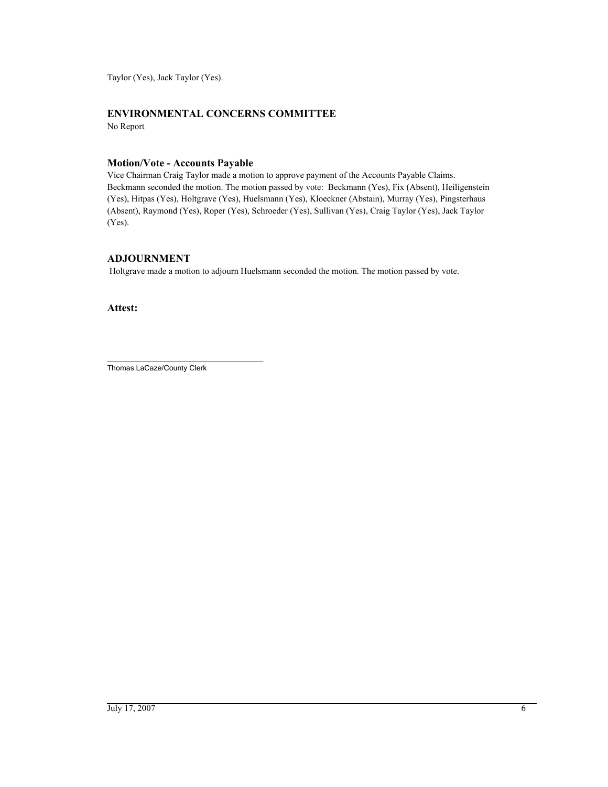Taylor (Yes), Jack Taylor (Yes).

### **ENVIRONMENTAL CONCERNS COMMITTEE**

No Report

### **Motion/Vote - Accounts Payable**

Vice Chairman Craig Taylor made a motion to approve payment of the Accounts Payable Claims. Beckmann seconded the motion. The motion passed by vote: Beckmann (Yes), Fix (Absent), Heiligenstein (Yes), Hitpas (Yes), Holtgrave (Yes), Huelsmann (Yes), Kloeckner (Abstain), Murray (Yes), Pingsterhaus (Absent), Raymond (Yes), Roper (Yes), Schroeder (Yes), Sullivan (Yes), Craig Taylor (Yes), Jack Taylor (Yes).

### **ADJOURNMENT**

Holtgrave made a motion to adjourn Huelsmann seconded the motion. The motion passed by vote.

**Attest:**

\_\_\_\_\_\_\_\_\_\_\_\_\_\_\_\_\_\_\_\_\_\_\_\_\_\_\_\_\_\_\_\_\_\_\_\_\_\_ Thomas LaCaze/County Clerk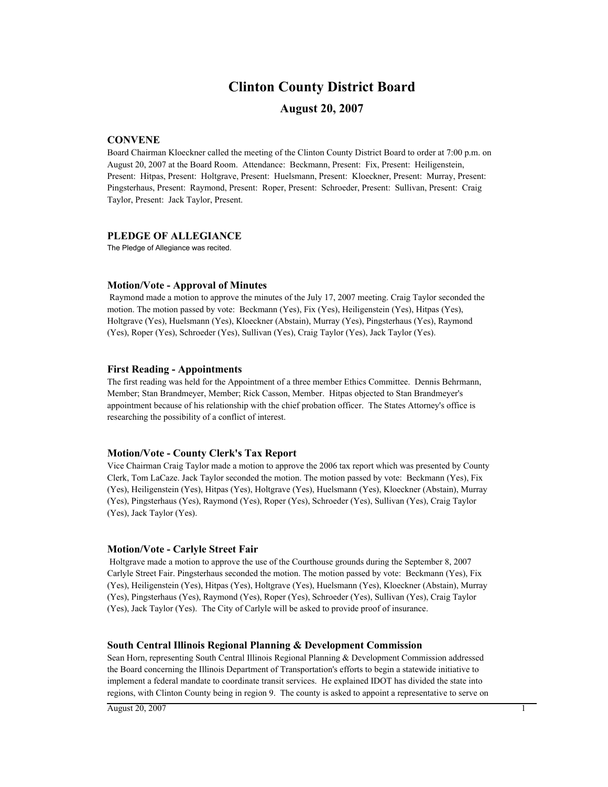# **Clinton County District Board**

### **August 20, 2007**

### **CONVENE**

Board Chairman Kloeckner called the meeting of the Clinton County District Board to order at 7:00 p.m. on August 20, 2007 at the Board Room. Attendance: Beckmann, Present: Fix, Present: Heiligenstein, Present: Hitpas, Present: Holtgrave, Present: Huelsmann, Present: Kloeckner, Present: Murray, Present: Pingsterhaus, Present: Raymond, Present: Roper, Present: Schroeder, Present: Sullivan, Present: Craig Taylor, Present: Jack Taylor, Present.

#### **PLEDGE OF ALLEGIANCE**

The Pledge of Allegiance was recited.

#### **Motion/Vote - Approval of Minutes**

 Raymond made a motion to approve the minutes of the July 17, 2007 meeting. Craig Taylor seconded the motion. The motion passed by vote: Beckmann (Yes), Fix (Yes), Heiligenstein (Yes), Hitpas (Yes), Holtgrave (Yes), Huelsmann (Yes), Kloeckner (Abstain), Murray (Yes), Pingsterhaus (Yes), Raymond (Yes), Roper (Yes), Schroeder (Yes), Sullivan (Yes), Craig Taylor (Yes), Jack Taylor (Yes).

#### **First Reading - Appointments**

The first reading was held for the Appointment of a three member Ethics Committee. Dennis Behrmann, Member; Stan Brandmeyer, Member; Rick Casson, Member. Hitpas objected to Stan Brandmeyer's appointment because of his relationship with the chief probation officer. The States Attorney's office is researching the possibility of a conflict of interest.

#### **Motion/Vote - County Clerk's Tax Report**

Vice Chairman Craig Taylor made a motion to approve the 2006 tax report which was presented by County Clerk, Tom LaCaze. Jack Taylor seconded the motion. The motion passed by vote: Beckmann (Yes), Fix (Yes), Heiligenstein (Yes), Hitpas (Yes), Holtgrave (Yes), Huelsmann (Yes), Kloeckner (Abstain), Murray (Yes), Pingsterhaus (Yes), Raymond (Yes), Roper (Yes), Schroeder (Yes), Sullivan (Yes), Craig Taylor (Yes), Jack Taylor (Yes).

#### **Motion/Vote - Carlyle Street Fair**

 Holtgrave made a motion to approve the use of the Courthouse grounds during the September 8, 2007 Carlyle Street Fair. Pingsterhaus seconded the motion. The motion passed by vote: Beckmann (Yes), Fix (Yes), Heiligenstein (Yes), Hitpas (Yes), Holtgrave (Yes), Huelsmann (Yes), Kloeckner (Abstain), Murray (Yes), Pingsterhaus (Yes), Raymond (Yes), Roper (Yes), Schroeder (Yes), Sullivan (Yes), Craig Taylor (Yes), Jack Taylor (Yes). The City of Carlyle will be asked to provide proof of insurance.

#### **South Central Illinois Regional Planning & Development Commission**

Sean Horn, representing South Central Illinois Regional Planning & Development Commission addressed the Board concerning the Illinois Department of Transportation's efforts to begin a statewide initiative to implement a federal mandate to coordinate transit services. He explained IDOT has divided the state into regions, with Clinton County being in region 9. The county is asked to appoint a representative to serve on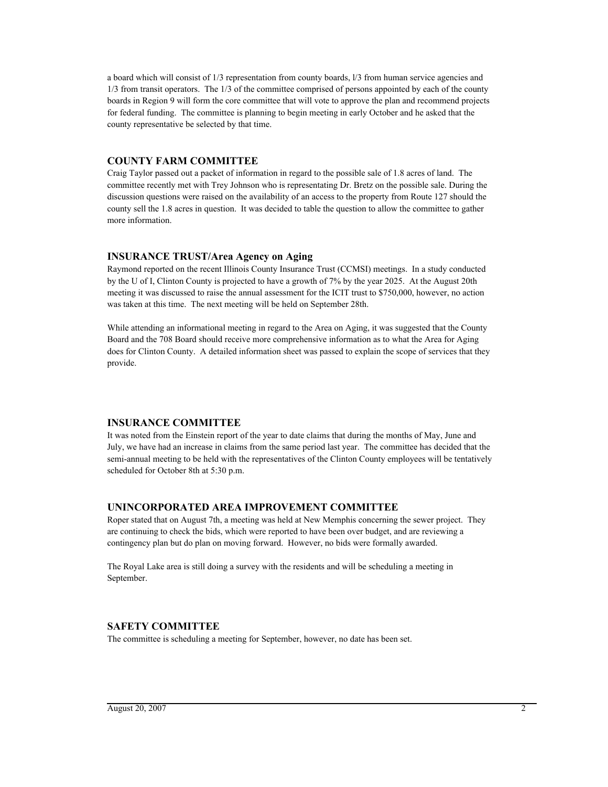a board which will consist of 1/3 representation from county boards, l/3 from human service agencies and 1/3 from transit operators. The 1/3 of the committee comprised of persons appointed by each of the county boards in Region 9 will form the core committee that will vote to approve the plan and recommend projects for federal funding. The committee is planning to begin meeting in early October and he asked that the county representative be selected by that time.

### **COUNTY FARM COMMITTEE**

Craig Taylor passed out a packet of information in regard to the possible sale of 1.8 acres of land. The committee recently met with Trey Johnson who is representating Dr. Bretz on the possible sale. During the discussion questions were raised on the availability of an access to the property from Route 127 should the county sell the 1.8 acres in question. It was decided to table the question to allow the committee to gather more information.

### **INSURANCE TRUST/Area Agency on Aging**

Raymond reported on the recent Illinois County Insurance Trust (CCMSI) meetings. In a study conducted by the U of I, Clinton County is projected to have a growth of 7% by the year 2025. At the August 20th meeting it was discussed to raise the annual assessment for the ICIT trust to \$750,000, however, no action was taken at this time. The next meeting will be held on September 28th.

While attending an informational meeting in regard to the Area on Aging, it was suggested that the County Board and the 708 Board should receive more comprehensive information as to what the Area for Aging does for Clinton County. A detailed information sheet was passed to explain the scope of services that they provide.

### **INSURANCE COMMITTEE**

It was noted from the Einstein report of the year to date claims that during the months of May, June and July, we have had an increase in claims from the same period last year. The committee has decided that the semi-annual meeting to be held with the representatives of the Clinton County employees will be tentatively scheduled for October 8th at 5:30 p.m.

### **UNINCORPORATED AREA IMPROVEMENT COMMITTEE**

Roper stated that on August 7th, a meeting was held at New Memphis concerning the sewer project. They are continuing to check the bids, which were reported to have been over budget, and are reviewing a contingency plan but do plan on moving forward. However, no bids were formally awarded.

The Royal Lake area is still doing a survey with the residents and will be scheduling a meeting in September.

### **SAFETY COMMITTEE**

The committee is scheduling a meeting for September, however, no date has been set.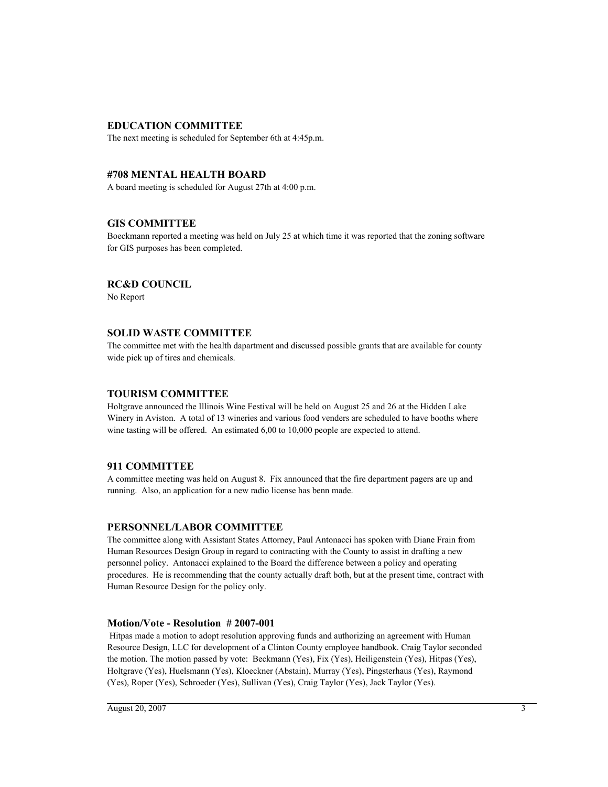### **EDUCATION COMMITTEE**

The next meeting is scheduled for September 6th at 4:45p.m.

### **#708 MENTAL HEALTH BOARD**

A board meeting is scheduled for August 27th at 4:00 p.m.

### **GIS COMMITTEE**

Boeckmann reported a meeting was held on July 25 at which time it was reported that the zoning software for GIS purposes has been completed.

### **RC&D COUNCIL**

No Report

### **SOLID WASTE COMMITTEE**

The committee met with the health dapartment and discussed possible grants that are available for county wide pick up of tires and chemicals.

#### **TOURISM COMMITTEE**

Holtgrave announced the Illinois Wine Festival will be held on August 25 and 26 at the Hidden Lake Winery in Aviston. A total of 13 wineries and various food venders are scheduled to have booths where wine tasting will be offered. An estimated 6,00 to 10,000 people are expected to attend.

### **911 COMMITTEE**

A committee meeting was held on August 8. Fix announced that the fire department pagers are up and running. Also, an application for a new radio license has benn made.

#### **PERSONNEL/LABOR COMMITTEE**

The committee along with Assistant States Attorney, Paul Antonacci has spoken with Diane Frain from Human Resources Design Group in regard to contracting with the County to assist in drafting a new personnel policy. Antonacci explained to the Board the difference between a policy and operating procedures. He is recommending that the county actually draft both, but at the present time, contract with Human Resource Design for the policy only.

#### **Motion/Vote - Resolution # 2007-001**

 Hitpas made a motion to adopt resolution approving funds and authorizing an agreement with Human Resource Design, LLC for development of a Clinton County employee handbook. Craig Taylor seconded the motion. The motion passed by vote: Beckmann (Yes), Fix (Yes), Heiligenstein (Yes), Hitpas (Yes), Holtgrave (Yes), Huelsmann (Yes), Kloeckner (Abstain), Murray (Yes), Pingsterhaus (Yes), Raymond (Yes), Roper (Yes), Schroeder (Yes), Sullivan (Yes), Craig Taylor (Yes), Jack Taylor (Yes).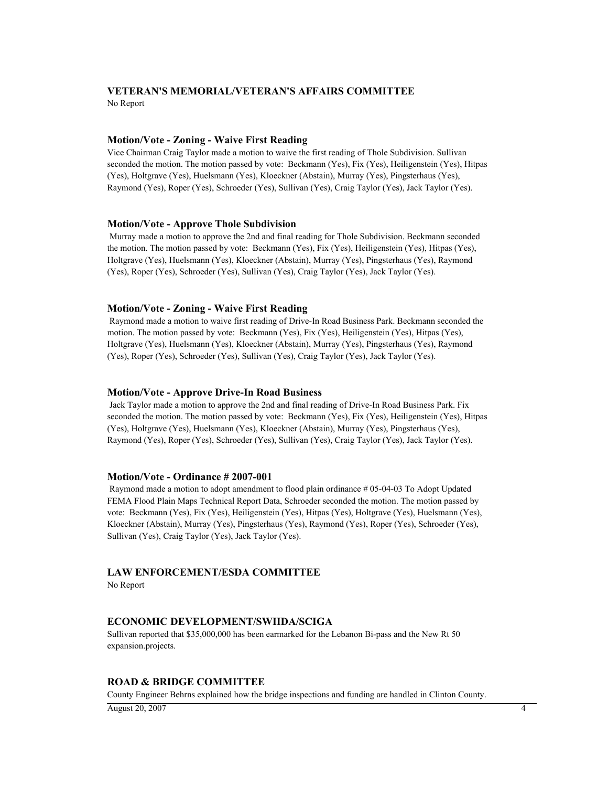# **VETERAN'S MEMORIAL/VETERAN'S AFFAIRS COMMITTEE**

No Report

### **Motion/Vote - Zoning - Waive First Reading**

Vice Chairman Craig Taylor made a motion to waive the first reading of Thole Subdivision. Sullivan seconded the motion. The motion passed by vote: Beckmann (Yes), Fix (Yes), Heiligenstein (Yes), Hitpas (Yes), Holtgrave (Yes), Huelsmann (Yes), Kloeckner (Abstain), Murray (Yes), Pingsterhaus (Yes), Raymond (Yes), Roper (Yes), Schroeder (Yes), Sullivan (Yes), Craig Taylor (Yes), Jack Taylor (Yes).

### **Motion/Vote - Approve Thole Subdivision**

 Murray made a motion to approve the 2nd and final reading for Thole Subdivision. Beckmann seconded the motion. The motion passed by vote: Beckmann (Yes), Fix (Yes), Heiligenstein (Yes), Hitpas (Yes), Holtgrave (Yes), Huelsmann (Yes), Kloeckner (Abstain), Murray (Yes), Pingsterhaus (Yes), Raymond (Yes), Roper (Yes), Schroeder (Yes), Sullivan (Yes), Craig Taylor (Yes), Jack Taylor (Yes).

### **Motion/Vote - Zoning - Waive First Reading**

 Raymond made a motion to waive first reading of Drive-In Road Business Park. Beckmann seconded the motion. The motion passed by vote: Beckmann (Yes), Fix (Yes), Heiligenstein (Yes), Hitpas (Yes), Holtgrave (Yes), Huelsmann (Yes), Kloeckner (Abstain), Murray (Yes), Pingsterhaus (Yes), Raymond (Yes), Roper (Yes), Schroeder (Yes), Sullivan (Yes), Craig Taylor (Yes), Jack Taylor (Yes).

### **Motion/Vote - Approve Drive-In Road Business**

 Jack Taylor made a motion to approve the 2nd and final reading of Drive-In Road Business Park. Fix seconded the motion. The motion passed by vote: Beckmann (Yes), Fix (Yes), Heiligenstein (Yes), Hitpas (Yes), Holtgrave (Yes), Huelsmann (Yes), Kloeckner (Abstain), Murray (Yes), Pingsterhaus (Yes), Raymond (Yes), Roper (Yes), Schroeder (Yes), Sullivan (Yes), Craig Taylor (Yes), Jack Taylor (Yes).

### **Motion/Vote - Ordinance # 2007-001**

 Raymond made a motion to adopt amendment to flood plain ordinance # 05-04-03 To Adopt Updated FEMA Flood Plain Maps Technical Report Data, Schroeder seconded the motion. The motion passed by vote: Beckmann (Yes), Fix (Yes), Heiligenstein (Yes), Hitpas (Yes), Holtgrave (Yes), Huelsmann (Yes), Kloeckner (Abstain), Murray (Yes), Pingsterhaus (Yes), Raymond (Yes), Roper (Yes), Schroeder (Yes), Sullivan (Yes), Craig Taylor (Yes), Jack Taylor (Yes).

### **LAW ENFORCEMENT/ESDA COMMITTEE**

No Report

### **ECONOMIC DEVELOPMENT/SWIIDA/SCIGA**

Sullivan reported that \$35,000,000 has been earmarked for the Lebanon Bi-pass and the New Rt 50 expansion.projects.

### **ROAD & BRIDGE COMMITTEE**

County Engineer Behrns explained how the bridge inspections and funding are handled in Clinton County.

 $\overline{A}$ ugust 20, 2007  $\overline{A}$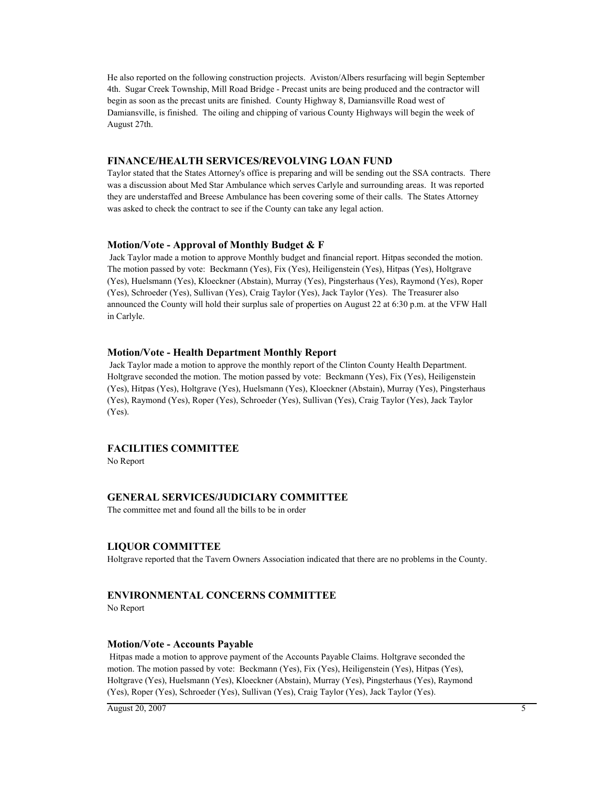He also reported on the following construction projects. Aviston/Albers resurfacing will begin September 4th. Sugar Creek Township, Mill Road Bridge - Precast units are being produced and the contractor will begin as soon as the precast units are finished. County Highway 8, Damiansville Road west of Damiansville, is finished. The oiling and chipping of various County Highways will begin the week of August 27th.

### **FINANCE/HEALTH SERVICES/REVOLVING LOAN FUND**

Taylor stated that the States Attorney's office is preparing and will be sending out the SSA contracts. There was a discussion about Med Star Ambulance which serves Carlyle and surrounding areas. It was reported they are understaffed and Breese Ambulance has been covering some of their calls. The States Attorney was asked to check the contract to see if the County can take any legal action.

#### **Motion/Vote - Approval of Monthly Budget & F**

 Jack Taylor made a motion to approve Monthly budget and financial report. Hitpas seconded the motion. The motion passed by vote: Beckmann (Yes), Fix (Yes), Heiligenstein (Yes), Hitpas (Yes), Holtgrave (Yes), Huelsmann (Yes), Kloeckner (Abstain), Murray (Yes), Pingsterhaus (Yes), Raymond (Yes), Roper (Yes), Schroeder (Yes), Sullivan (Yes), Craig Taylor (Yes), Jack Taylor (Yes). The Treasurer also announced the County will hold their surplus sale of properties on August 22 at 6:30 p.m. at the VFW Hall in Carlyle.

#### **Motion/Vote - Health Department Monthly Report**

 Jack Taylor made a motion to approve the monthly report of the Clinton County Health Department. Holtgrave seconded the motion. The motion passed by vote: Beckmann (Yes), Fix (Yes), Heiligenstein (Yes), Hitpas (Yes), Holtgrave (Yes), Huelsmann (Yes), Kloeckner (Abstain), Murray (Yes), Pingsterhaus (Yes), Raymond (Yes), Roper (Yes), Schroeder (Yes), Sullivan (Yes), Craig Taylor (Yes), Jack Taylor (Yes).

### **FACILITIES COMMITTEE**

No Report

### **GENERAL SERVICES/JUDICIARY COMMITTEE**

The committee met and found all the bills to be in order

#### **LIQUOR COMMITTEE**

Holtgrave reported that the Tavern Owners Association indicated that there are no problems in the County.

### **ENVIRONMENTAL CONCERNS COMMITTEE**

No Report

#### **Motion/Vote - Accounts Payable**

 Hitpas made a motion to approve payment of the Accounts Payable Claims. Holtgrave seconded the motion. The motion passed by vote: Beckmann (Yes), Fix (Yes), Heiligenstein (Yes), Hitpas (Yes), Holtgrave (Yes), Huelsmann (Yes), Kloeckner (Abstain), Murray (Yes), Pingsterhaus (Yes), Raymond (Yes), Roper (Yes), Schroeder (Yes), Sullivan (Yes), Craig Taylor (Yes), Jack Taylor (Yes).

 $\overline{A}$ ugust 20, 2007  $\overline{A}$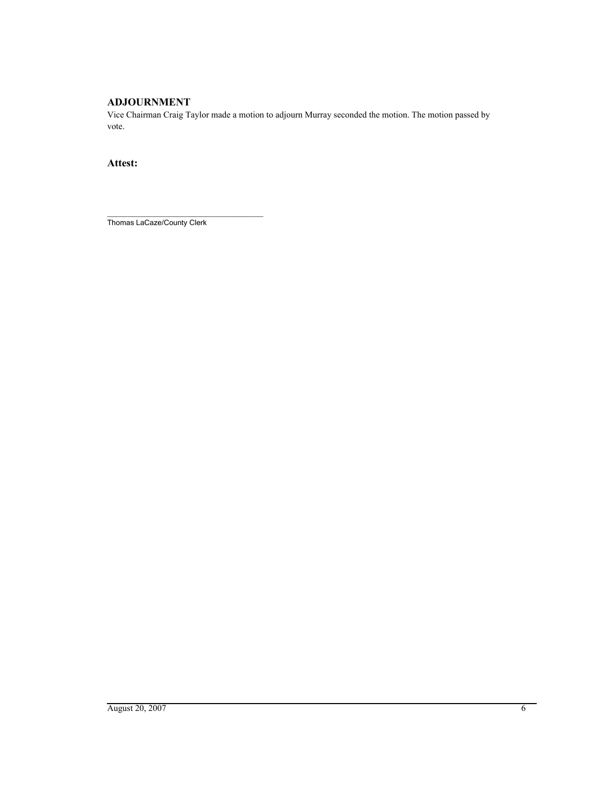## **ADJOURNMENT**

Vice Chairman Craig Taylor made a motion to adjourn Murray seconded the motion. The motion passed by vote.

### **Attest:**

\_\_\_\_\_\_\_\_\_\_\_\_\_\_\_\_\_\_\_\_\_\_\_\_\_\_\_\_\_\_\_\_\_\_\_\_\_\_ Thomas LaCaze/County Clerk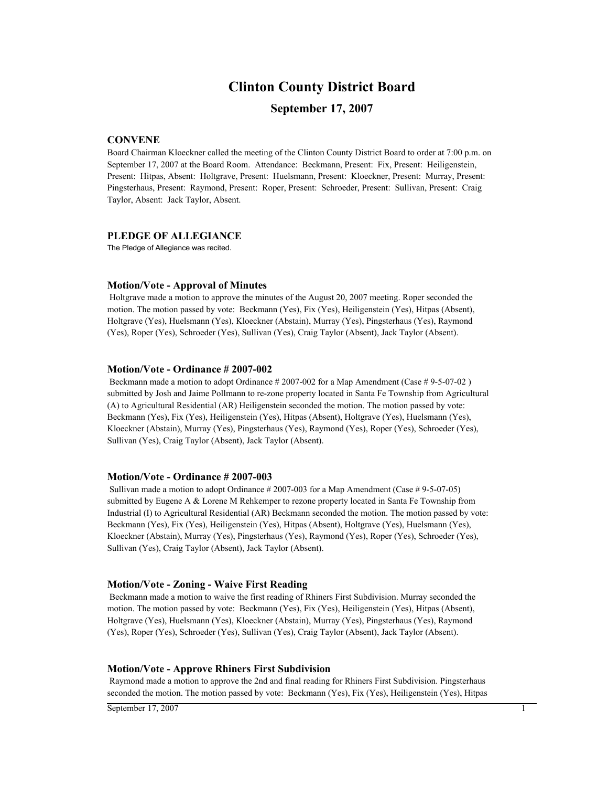## **Clinton County District Board**

### **September 17, 2007**

### **CONVENE**

Board Chairman Kloeckner called the meeting of the Clinton County District Board to order at 7:00 p.m. on September 17, 2007 at the Board Room. Attendance: Beckmann, Present: Fix, Present: Heiligenstein, Present: Hitpas, Absent: Holtgrave, Present: Huelsmann, Present: Kloeckner, Present: Murray, Present: Pingsterhaus, Present: Raymond, Present: Roper, Present: Schroeder, Present: Sullivan, Present: Craig Taylor, Absent: Jack Taylor, Absent.

#### **PLEDGE OF ALLEGIANCE**

The Pledge of Allegiance was recited.

#### **Motion/Vote - Approval of Minutes**

 Holtgrave made a motion to approve the minutes of the August 20, 2007 meeting. Roper seconded the motion. The motion passed by vote: Beckmann (Yes), Fix (Yes), Heiligenstein (Yes), Hitpas (Absent), Holtgrave (Yes), Huelsmann (Yes), Kloeckner (Abstain), Murray (Yes), Pingsterhaus (Yes), Raymond (Yes), Roper (Yes), Schroeder (Yes), Sullivan (Yes), Craig Taylor (Absent), Jack Taylor (Absent).

#### **Motion/Vote - Ordinance # 2007-002**

Beckmann made a motion to adopt Ordinance # 2007-002 for a Map Amendment (Case # 9-5-07-02) submitted by Josh and Jaime Pollmann to re-zone property located in Santa Fe Township from Agricultural (A) to Agricultural Residential (AR) Heiligenstein seconded the motion. The motion passed by vote: Beckmann (Yes), Fix (Yes), Heiligenstein (Yes), Hitpas (Absent), Holtgrave (Yes), Huelsmann (Yes), Kloeckner (Abstain), Murray (Yes), Pingsterhaus (Yes), Raymond (Yes), Roper (Yes), Schroeder (Yes), Sullivan (Yes), Craig Taylor (Absent), Jack Taylor (Absent).

#### **Motion/Vote - Ordinance # 2007-003**

Sullivan made a motion to adopt Ordinance # 2007-003 for a Map Amendment (Case # 9-5-07-05) submitted by Eugene A & Lorene M Rehkemper to rezone property located in Santa Fe Township from Industrial (I) to Agricultural Residential (AR) Beckmann seconded the motion. The motion passed by vote: Beckmann (Yes), Fix (Yes), Heiligenstein (Yes), Hitpas (Absent), Holtgrave (Yes), Huelsmann (Yes), Kloeckner (Abstain), Murray (Yes), Pingsterhaus (Yes), Raymond (Yes), Roper (Yes), Schroeder (Yes), Sullivan (Yes), Craig Taylor (Absent), Jack Taylor (Absent).

#### **Motion/Vote - Zoning - Waive First Reading**

 Beckmann made a motion to waive the first reading of Rhiners First Subdivision. Murray seconded the motion. The motion passed by vote: Beckmann (Yes), Fix (Yes), Heiligenstein (Yes), Hitpas (Absent), Holtgrave (Yes), Huelsmann (Yes), Kloeckner (Abstain), Murray (Yes), Pingsterhaus (Yes), Raymond (Yes), Roper (Yes), Schroeder (Yes), Sullivan (Yes), Craig Taylor (Absent), Jack Taylor (Absent).

#### **Motion/Vote - Approve Rhiners First Subdivision**

 Raymond made a motion to approve the 2nd and final reading for Rhiners First Subdivision. Pingsterhaus seconded the motion. The motion passed by vote: Beckmann (Yes), Fix (Yes), Heiligenstein (Yes), Hitpas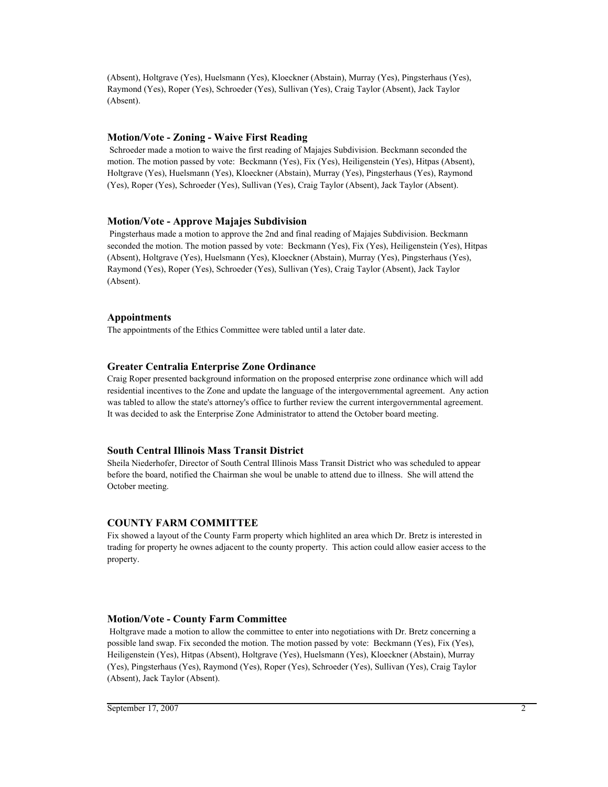(Absent), Holtgrave (Yes), Huelsmann (Yes), Kloeckner (Abstain), Murray (Yes), Pingsterhaus (Yes), Raymond (Yes), Roper (Yes), Schroeder (Yes), Sullivan (Yes), Craig Taylor (Absent), Jack Taylor (Absent).

#### **Motion/Vote - Zoning - Waive First Reading**

 Schroeder made a motion to waive the first reading of Majajes Subdivision. Beckmann seconded the motion. The motion passed by vote: Beckmann (Yes), Fix (Yes), Heiligenstein (Yes), Hitpas (Absent), Holtgrave (Yes), Huelsmann (Yes), Kloeckner (Abstain), Murray (Yes), Pingsterhaus (Yes), Raymond (Yes), Roper (Yes), Schroeder (Yes), Sullivan (Yes), Craig Taylor (Absent), Jack Taylor (Absent).

### **Motion/Vote - Approve Majajes Subdivision**

 Pingsterhaus made a motion to approve the 2nd and final reading of Majajes Subdivision. Beckmann seconded the motion. The motion passed by vote: Beckmann (Yes), Fix (Yes), Heiligenstein (Yes), Hitpas (Absent), Holtgrave (Yes), Huelsmann (Yes), Kloeckner (Abstain), Murray (Yes), Pingsterhaus (Yes), Raymond (Yes), Roper (Yes), Schroeder (Yes), Sullivan (Yes), Craig Taylor (Absent), Jack Taylor (Absent).

#### **Appointments**

The appointments of the Ethics Committee were tabled until a later date.

### **Greater Centralia Enterprise Zone Ordinance**

Craig Roper presented background information on the proposed enterprise zone ordinance which will add residential incentives to the Zone and update the language of the intergovernmental agreement. Any action was tabled to allow the state's attorney's office to further review the current intergovernmental agreement. It was decided to ask the Enterprise Zone Administrator to attend the October board meeting.

#### **South Central Illinois Mass Transit District**

Sheila Niederhofer, Director of South Central Illinois Mass Transit District who was scheduled to appear before the board, notified the Chairman she woul be unable to attend due to illness. She will attend the October meeting.

### **COUNTY FARM COMMITTEE**

Fix showed a layout of the County Farm property which highlited an area which Dr. Bretz is interested in trading for property he ownes adjacent to the county property. This action could allow easier access to the property.

#### **Motion/Vote - County Farm Committee**

 Holtgrave made a motion to allow the committee to enter into negotiations with Dr. Bretz concerning a possible land swap. Fix seconded the motion. The motion passed by vote: Beckmann (Yes), Fix (Yes), Heiligenstein (Yes), Hitpas (Absent), Holtgrave (Yes), Huelsmann (Yes), Kloeckner (Abstain), Murray (Yes), Pingsterhaus (Yes), Raymond (Yes), Roper (Yes), Schroeder (Yes), Sullivan (Yes), Craig Taylor (Absent), Jack Taylor (Absent).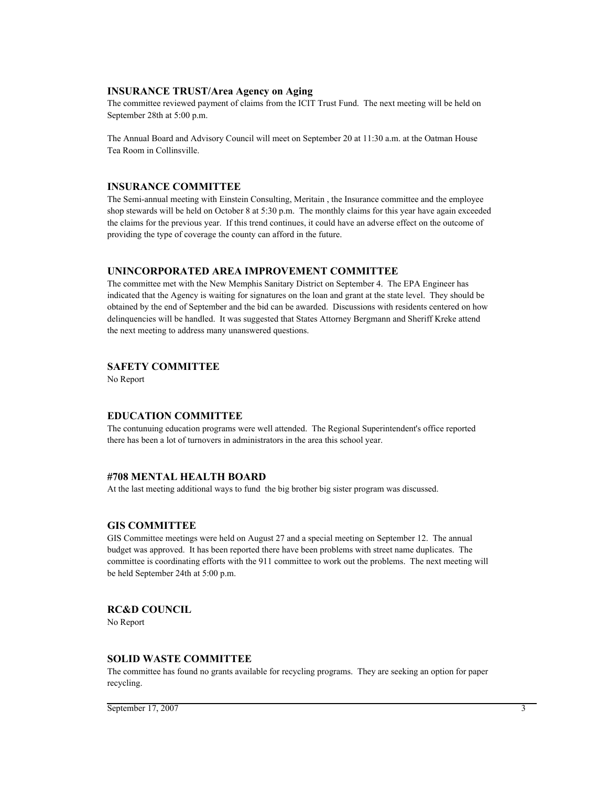#### **INSURANCE TRUST/Area Agency on Aging**

The committee reviewed payment of claims from the ICIT Trust Fund. The next meeting will be held on September 28th at 5:00 p.m.

The Annual Board and Advisory Council will meet on September 20 at 11:30 a.m. at the Oatman House Tea Room in Collinsville.

### **INSURANCE COMMITTEE**

The Semi-annual meeting with Einstein Consulting, Meritain , the Insurance committee and the employee shop stewards will be held on October 8 at 5:30 p.m. The monthly claims for this year have again exceeded the claims for the previous year. If this trend continues, it could have an adverse effect on the outcome of providing the type of coverage the county can afford in the future.

### **UNINCORPORATED AREA IMPROVEMENT COMMITTEE**

The committee met with the New Memphis Sanitary District on September 4. The EPA Engineer has indicated that the Agency is waiting for signatures on the loan and grant at the state level. They should be obtained by the end of September and the bid can be awarded. Discussions with residents centered on how delinquencies will be handled. It was suggested that States Attorney Bergmann and Sheriff Kreke attend the next meeting to address many unanswered questions.

### **SAFETY COMMITTEE**

No Report

### **EDUCATION COMMITTEE**

The contunuing education programs were well attended. The Regional Superintendent's office reported there has been a lot of turnovers in administrators in the area this school year.

### **#708 MENTAL HEALTH BOARD**

At the last meeting additional ways to fund the big brother big sister program was discussed.

#### **GIS COMMITTEE**

GIS Committee meetings were held on August 27 and a special meeting on September 12. The annual budget was approved. It has been reported there have been problems with street name duplicates. The committee is coordinating efforts with the 911 committee to work out the problems. The next meeting will be held September 24th at 5:00 p.m.

### **RC&D COUNCIL**

No Report

#### **SOLID WASTE COMMITTEE**

The committee has found no grants available for recycling programs. They are seeking an option for paper recycling.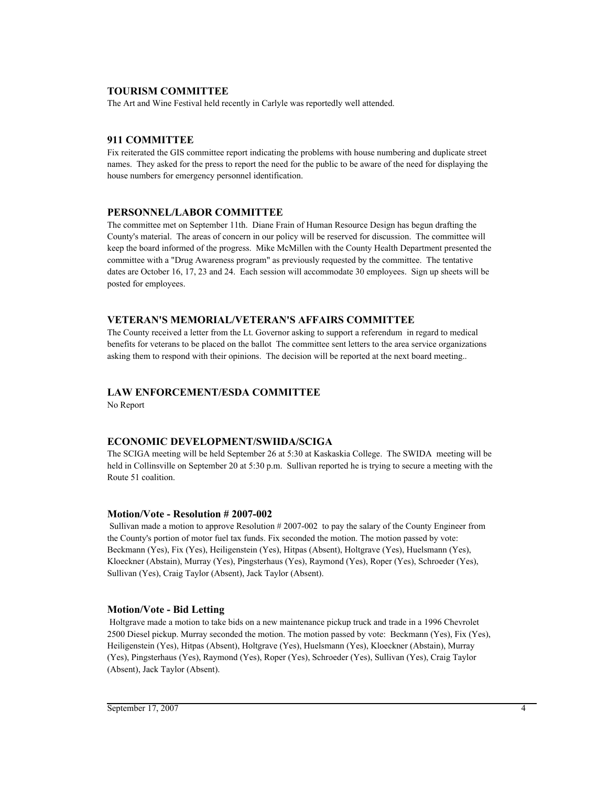### **TOURISM COMMITTEE**

The Art and Wine Festival held recently in Carlyle was reportedly well attended.

### **911 COMMITTEE**

Fix reiterated the GIS committee report indicating the problems with house numbering and duplicate street names. They asked for the press to report the need for the public to be aware of the need for displaying the house numbers for emergency personnel identification.

### **PERSONNEL/LABOR COMMITTEE**

The committee met on September 11th. Diane Frain of Human Resource Design has begun drafting the County's material. The areas of concern in our policy will be reserved for discussion. The committee will keep the board informed of the progress. Mike McMillen with the County Health Department presented the committee with a "Drug Awareness program" as previously requested by the committee. The tentative dates are October 16, 17, 23 and 24. Each session will accommodate 30 employees. Sign up sheets will be posted for employees.

### **VETERAN'S MEMORIAL/VETERAN'S AFFAIRS COMMITTEE**

The County received a letter from the Lt. Governor asking to support a referendum in regard to medical benefits for veterans to be placed on the ballot The committee sent letters to the area service organizations asking them to respond with their opinions. The decision will be reported at the next board meeting..

### **LAW ENFORCEMENT/ESDA COMMITTEE**

No Report

### **ECONOMIC DEVELOPMENT/SWIIDA/SCIGA**

The SCIGA meeting will be held September 26 at 5:30 at Kaskaskia College. The SWIDA meeting will be held in Collinsville on September 20 at 5:30 p.m. Sullivan reported he is trying to secure a meeting with the Route 51 coalition.

### **Motion/Vote - Resolution # 2007-002**

 Sullivan made a motion to approve Resolution # 2007-002 to pay the salary of the County Engineer from the County's portion of motor fuel tax funds. Fix seconded the motion. The motion passed by vote: Beckmann (Yes), Fix (Yes), Heiligenstein (Yes), Hitpas (Absent), Holtgrave (Yes), Huelsmann (Yes), Kloeckner (Abstain), Murray (Yes), Pingsterhaus (Yes), Raymond (Yes), Roper (Yes), Schroeder (Yes), Sullivan (Yes), Craig Taylor (Absent), Jack Taylor (Absent).

### **Motion/Vote - Bid Letting**

 Holtgrave made a motion to take bids on a new maintenance pickup truck and trade in a 1996 Chevrolet 2500 Diesel pickup. Murray seconded the motion. The motion passed by vote: Beckmann (Yes), Fix (Yes), Heiligenstein (Yes), Hitpas (Absent), Holtgrave (Yes), Huelsmann (Yes), Kloeckner (Abstain), Murray (Yes), Pingsterhaus (Yes), Raymond (Yes), Roper (Yes), Schroeder (Yes), Sullivan (Yes), Craig Taylor (Absent), Jack Taylor (Absent).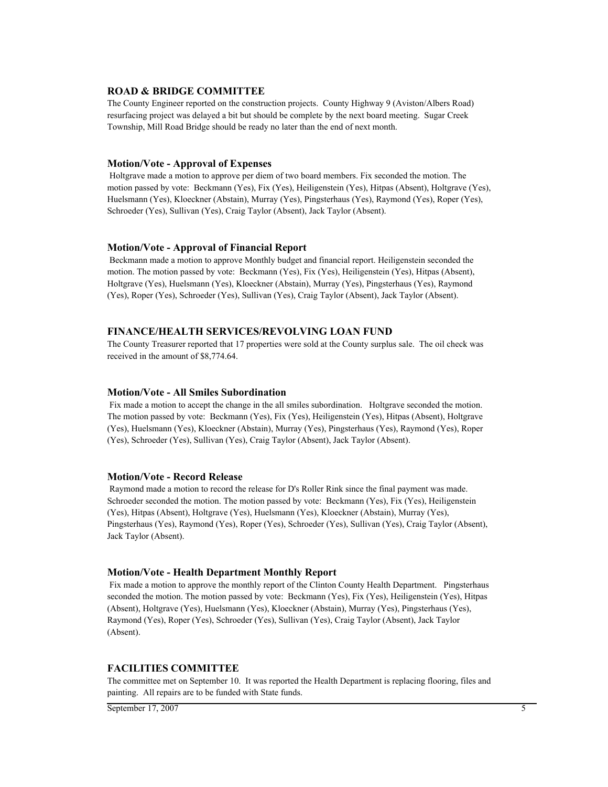#### **ROAD & BRIDGE COMMITTEE**

The County Engineer reported on the construction projects. County Highway 9 (Aviston/Albers Road) resurfacing project was delayed a bit but should be complete by the next board meeting. Sugar Creek Township, Mill Road Bridge should be ready no later than the end of next month.

#### **Motion/Vote - Approval of Expenses**

 Holtgrave made a motion to approve per diem of two board members. Fix seconded the motion. The motion passed by vote: Beckmann (Yes), Fix (Yes), Heiligenstein (Yes), Hitpas (Absent), Holtgrave (Yes), Huelsmann (Yes), Kloeckner (Abstain), Murray (Yes), Pingsterhaus (Yes), Raymond (Yes), Roper (Yes), Schroeder (Yes), Sullivan (Yes), Craig Taylor (Absent), Jack Taylor (Absent).

#### **Motion/Vote - Approval of Financial Report**

 Beckmann made a motion to approve Monthly budget and financial report. Heiligenstein seconded the motion. The motion passed by vote: Beckmann (Yes), Fix (Yes), Heiligenstein (Yes), Hitpas (Absent), Holtgrave (Yes), Huelsmann (Yes), Kloeckner (Abstain), Murray (Yes), Pingsterhaus (Yes), Raymond (Yes), Roper (Yes), Schroeder (Yes), Sullivan (Yes), Craig Taylor (Absent), Jack Taylor (Absent).

#### **FINANCE/HEALTH SERVICES/REVOLVING LOAN FUND**

The County Treasurer reported that 17 properties were sold at the County surplus sale. The oil check was received in the amount of \$8,774.64.

#### **Motion/Vote - All Smiles Subordination**

 Fix made a motion to accept the change in the all smiles subordination. Holtgrave seconded the motion. The motion passed by vote: Beckmann (Yes), Fix (Yes), Heiligenstein (Yes), Hitpas (Absent), Holtgrave (Yes), Huelsmann (Yes), Kloeckner (Abstain), Murray (Yes), Pingsterhaus (Yes), Raymond (Yes), Roper (Yes), Schroeder (Yes), Sullivan (Yes), Craig Taylor (Absent), Jack Taylor (Absent).

#### **Motion/Vote - Record Release**

 Raymond made a motion to record the release for D's Roller Rink since the final payment was made. Schroeder seconded the motion. The motion passed by vote: Beckmann (Yes), Fix (Yes), Heiligenstein (Yes), Hitpas (Absent), Holtgrave (Yes), Huelsmann (Yes), Kloeckner (Abstain), Murray (Yes), Pingsterhaus (Yes), Raymond (Yes), Roper (Yes), Schroeder (Yes), Sullivan (Yes), Craig Taylor (Absent), Jack Taylor (Absent).

#### **Motion/Vote - Health Department Monthly Report**

 Fix made a motion to approve the monthly report of the Clinton County Health Department. Pingsterhaus seconded the motion. The motion passed by vote: Beckmann (Yes), Fix (Yes), Heiligenstein (Yes), Hitpas (Absent), Holtgrave (Yes), Huelsmann (Yes), Kloeckner (Abstain), Murray (Yes), Pingsterhaus (Yes), Raymond (Yes), Roper (Yes), Schroeder (Yes), Sullivan (Yes), Craig Taylor (Absent), Jack Taylor (Absent).

#### **FACILITIES COMMITTEE**

The committee met on September 10. It was reported the Health Department is replacing flooring, files and painting. All repairs are to be funded with State funds.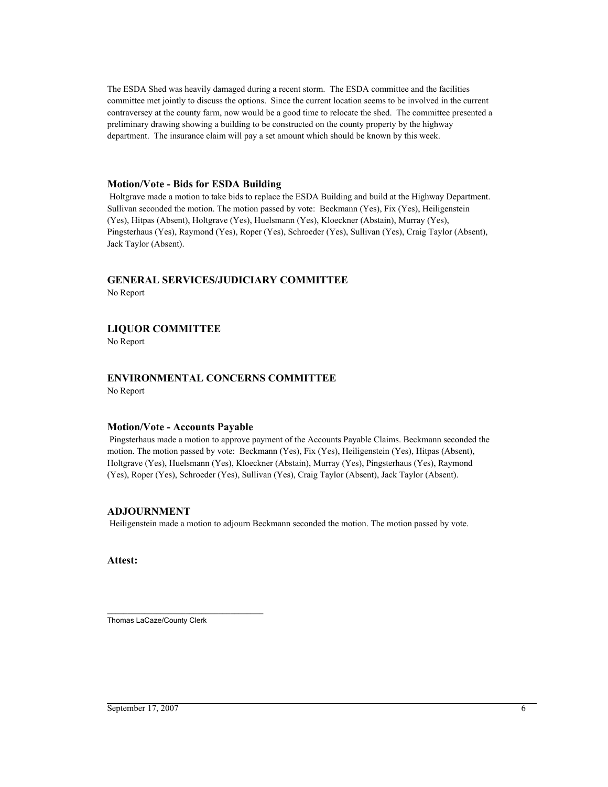The ESDA Shed was heavily damaged during a recent storm. The ESDA committee and the facilities committee met jointly to discuss the options. Since the current location seems to be involved in the current contraversey at the county farm, now would be a good time to relocate the shed. The committee presented a preliminary drawing showing a building to be constructed on the county property by the highway department. The insurance claim will pay a set amount which should be known by this week.

#### **Motion/Vote - Bids for ESDA Building**

 Holtgrave made a motion to take bids to replace the ESDA Building and build at the Highway Department. Sullivan seconded the motion. The motion passed by vote: Beckmann (Yes), Fix (Yes), Heiligenstein (Yes), Hitpas (Absent), Holtgrave (Yes), Huelsmann (Yes), Kloeckner (Abstain), Murray (Yes), Pingsterhaus (Yes), Raymond (Yes), Roper (Yes), Schroeder (Yes), Sullivan (Yes), Craig Taylor (Absent), Jack Taylor (Absent).

# **GENERAL SERVICES/JUDICIARY COMMITTEE**

No Report

### **LIQUOR COMMITTEE**

No Report

# **ENVIRONMENTAL CONCERNS COMMITTEE**

No Report

### **Motion/Vote - Accounts Payable**

 Pingsterhaus made a motion to approve payment of the Accounts Payable Claims. Beckmann seconded the motion. The motion passed by vote: Beckmann (Yes), Fix (Yes), Heiligenstein (Yes), Hitpas (Absent), Holtgrave (Yes), Huelsmann (Yes), Kloeckner (Abstain), Murray (Yes), Pingsterhaus (Yes), Raymond (Yes), Roper (Yes), Schroeder (Yes), Sullivan (Yes), Craig Taylor (Absent), Jack Taylor (Absent).

### **ADJOURNMENT**

Heiligenstein made a motion to adjourn Beckmann seconded the motion. The motion passed by vote.

**Attest:**

\_\_\_\_\_\_\_\_\_\_\_\_\_\_\_\_\_\_\_\_\_\_\_\_\_\_\_\_\_\_\_\_\_\_\_\_\_\_ Thomas LaCaze/County Clerk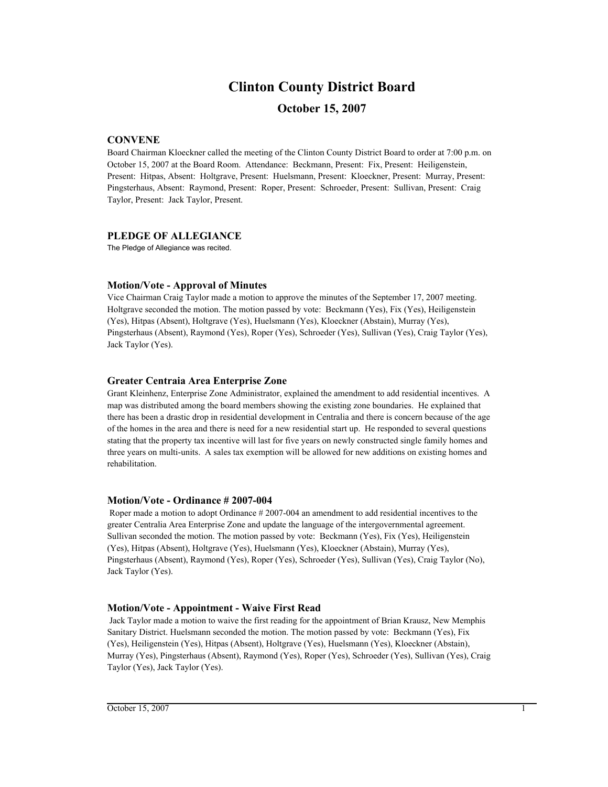# **Clinton County District Board**

### **October 15, 2007**

### **CONVENE**

Board Chairman Kloeckner called the meeting of the Clinton County District Board to order at 7:00 p.m. on October 15, 2007 at the Board Room. Attendance: Beckmann, Present: Fix, Present: Heiligenstein, Present: Hitpas, Absent: Holtgrave, Present: Huelsmann, Present: Kloeckner, Present: Murray, Present: Pingsterhaus, Absent: Raymond, Present: Roper, Present: Schroeder, Present: Sullivan, Present: Craig Taylor, Present: Jack Taylor, Present.

### **PLEDGE OF ALLEGIANCE**

The Pledge of Allegiance was recited.

### **Motion/Vote - Approval of Minutes**

Vice Chairman Craig Taylor made a motion to approve the minutes of the September 17, 2007 meeting. Holtgrave seconded the motion. The motion passed by vote: Beckmann (Yes), Fix (Yes), Heiligenstein (Yes), Hitpas (Absent), Holtgrave (Yes), Huelsmann (Yes), Kloeckner (Abstain), Murray (Yes), Pingsterhaus (Absent), Raymond (Yes), Roper (Yes), Schroeder (Yes), Sullivan (Yes), Craig Taylor (Yes), Jack Taylor (Yes).

### **Greater Centraia Area Enterprise Zone**

Grant Kleinhenz, Enterprise Zone Administrator, explained the amendment to add residential incentives. A map was distributed among the board members showing the existing zone boundaries. He explained that there has been a drastic drop in residential development in Centralia and there is concern because of the age of the homes in the area and there is need for a new residential start up. He responded to several questions stating that the property tax incentive will last for five years on newly constructed single family homes and three years on multi-units. A sales tax exemption will be allowed for new additions on existing homes and rehabilitation.

### **Motion/Vote - Ordinance # 2007-004**

 Roper made a motion to adopt Ordinance # 2007-004 an amendment to add residential incentives to the greater Centralia Area Enterprise Zone and update the language of the intergovernmental agreement. Sullivan seconded the motion. The motion passed by vote: Beckmann (Yes), Fix (Yes), Heiligenstein (Yes), Hitpas (Absent), Holtgrave (Yes), Huelsmann (Yes), Kloeckner (Abstain), Murray (Yes), Pingsterhaus (Absent), Raymond (Yes), Roper (Yes), Schroeder (Yes), Sullivan (Yes), Craig Taylor (No), Jack Taylor (Yes).

### **Motion/Vote - Appointment - Waive First Read**

 Jack Taylor made a motion to waive the first reading for the appointment of Brian Krausz, New Memphis Sanitary District. Huelsmann seconded the motion. The motion passed by vote: Beckmann (Yes), Fix (Yes), Heiligenstein (Yes), Hitpas (Absent), Holtgrave (Yes), Huelsmann (Yes), Kloeckner (Abstain), Murray (Yes), Pingsterhaus (Absent), Raymond (Yes), Roper (Yes), Schroeder (Yes), Sullivan (Yes), Craig Taylor (Yes), Jack Taylor (Yes).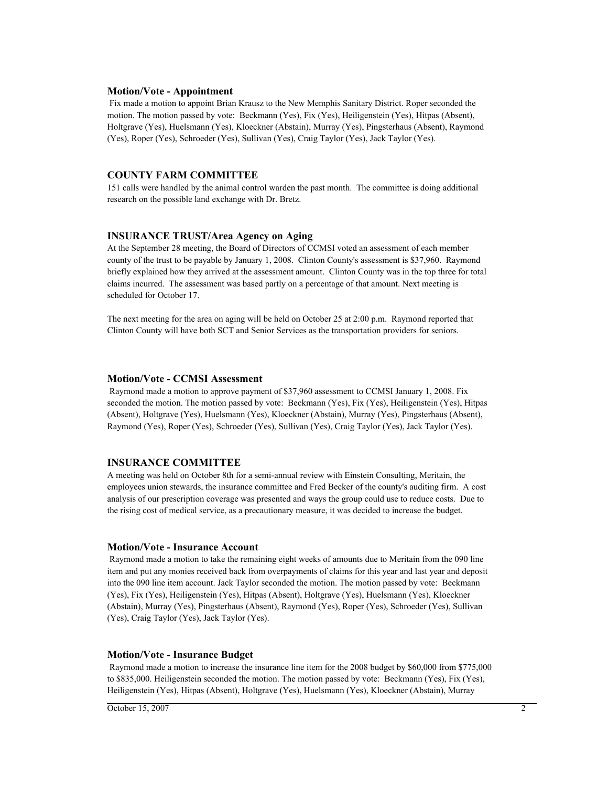#### **Motion/Vote - Appointment**

 Fix made a motion to appoint Brian Krausz to the New Memphis Sanitary District. Roper seconded the motion. The motion passed by vote: Beckmann (Yes), Fix (Yes), Heiligenstein (Yes), Hitpas (Absent), Holtgrave (Yes), Huelsmann (Yes), Kloeckner (Abstain), Murray (Yes), Pingsterhaus (Absent), Raymond (Yes), Roper (Yes), Schroeder (Yes), Sullivan (Yes), Craig Taylor (Yes), Jack Taylor (Yes).

### **COUNTY FARM COMMITTEE**

151 calls were handled by the animal control warden the past month. The committee is doing additional research on the possible land exchange with Dr. Bretz.

#### **INSURANCE TRUST/Area Agency on Aging**

At the September 28 meeting, the Board of Directors of CCMSI voted an assessment of each member county of the trust to be payable by January 1, 2008. Clinton County's assessment is \$37,960. Raymond briefly explained how they arrived at the assessment amount. Clinton County was in the top three for total claims incurred. The assessment was based partly on a percentage of that amount. Next meeting is scheduled for October 17.

The next meeting for the area on aging will be held on October 25 at 2:00 p.m. Raymond reported that Clinton County will have both SCT and Senior Services as the transportation providers for seniors.

#### **Motion/Vote - CCMSI Assessment**

 Raymond made a motion to approve payment of \$37,960 assessment to CCMSI January 1, 2008. Fix seconded the motion. The motion passed by vote: Beckmann (Yes), Fix (Yes), Heiligenstein (Yes), Hitpas (Absent), Holtgrave (Yes), Huelsmann (Yes), Kloeckner (Abstain), Murray (Yes), Pingsterhaus (Absent), Raymond (Yes), Roper (Yes), Schroeder (Yes), Sullivan (Yes), Craig Taylor (Yes), Jack Taylor (Yes).

#### **INSURANCE COMMITTEE**

A meeting was held on October 8th for a semi-annual review with Einstein Consulting, Meritain, the employees union stewards, the insurance committee and Fred Becker of the county's auditing firm. A cost analysis of our prescription coverage was presented and ways the group could use to reduce costs. Due to the rising cost of medical service, as a precautionary measure, it was decided to increase the budget.

#### **Motion/Vote - Insurance Account**

 Raymond made a motion to take the remaining eight weeks of amounts due to Meritain from the 090 line item and put any monies received back from overpayments of claims for this year and last year and deposit into the 090 line item account. Jack Taylor seconded the motion. The motion passed by vote: Beckmann (Yes), Fix (Yes), Heiligenstein (Yes), Hitpas (Absent), Holtgrave (Yes), Huelsmann (Yes), Kloeckner (Abstain), Murray (Yes), Pingsterhaus (Absent), Raymond (Yes), Roper (Yes), Schroeder (Yes), Sullivan (Yes), Craig Taylor (Yes), Jack Taylor (Yes).

#### **Motion/Vote - Insurance Budget**

 Raymond made a motion to increase the insurance line item for the 2008 budget by \$60,000 from \$775,000 to \$835,000. Heiligenstein seconded the motion. The motion passed by vote: Beckmann (Yes), Fix (Yes), Heiligenstein (Yes), Hitpas (Absent), Holtgrave (Yes), Huelsmann (Yes), Kloeckner (Abstain), Murray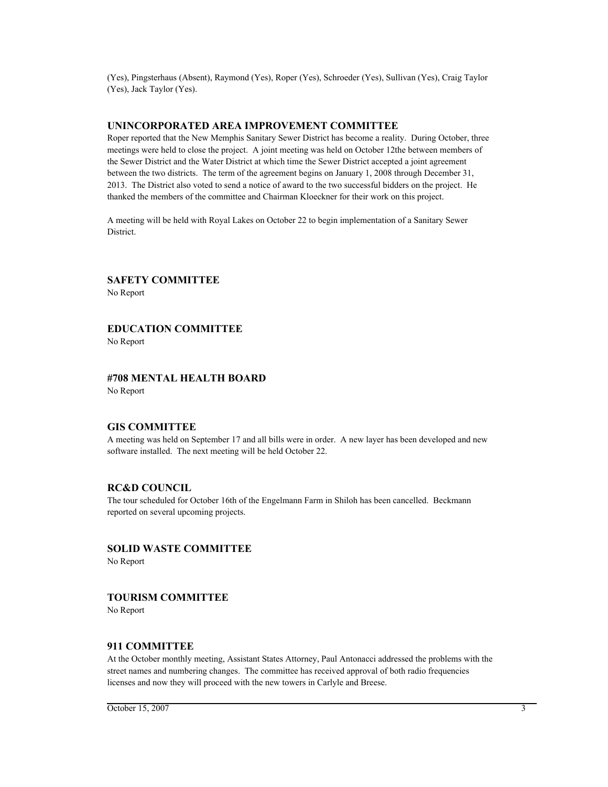(Yes), Pingsterhaus (Absent), Raymond (Yes), Roper (Yes), Schroeder (Yes), Sullivan (Yes), Craig Taylor (Yes), Jack Taylor (Yes).

### **UNINCORPORATED AREA IMPROVEMENT COMMITTEE**

Roper reported that the New Memphis Sanitary Sewer District has become a reality. During October, three meetings were held to close the project. A joint meeting was held on October 12the between members of the Sewer District and the Water District at which time the Sewer District accepted a joint agreement between the two districts. The term of the agreement begins on January 1, 2008 through December 31, 2013. The District also voted to send a notice of award to the two successful bidders on the project. He thanked the members of the committee and Chairman Kloeckner for their work on this project.

A meeting will be held with Royal Lakes on October 22 to begin implementation of a Sanitary Sewer District.

**SAFETY COMMITTEE** No Report

### **EDUCATION COMMITTEE**

No Report

#### **#708 MENTAL HEALTH BOARD** No Report

#### **GIS COMMITTEE**

A meeting was held on September 17 and all bills were in order. A new layer has been developed and new software installed. The next meeting will be held October 22.

#### **RC&D COUNCIL**

The tour scheduled for October 16th of the Engelmann Farm in Shiloh has been cancelled. Beckmann reported on several upcoming projects.

# **SOLID WASTE COMMITTEE**

No Report

### **TOURISM COMMITTEE**

No Report

#### **911 COMMITTEE**

At the October monthly meeting, Assistant States Attorney, Paul Antonacci addressed the problems with the street names and numbering changes. The committee has received approval of both radio frequencies licenses and now they will proceed with the new towers in Carlyle and Breese.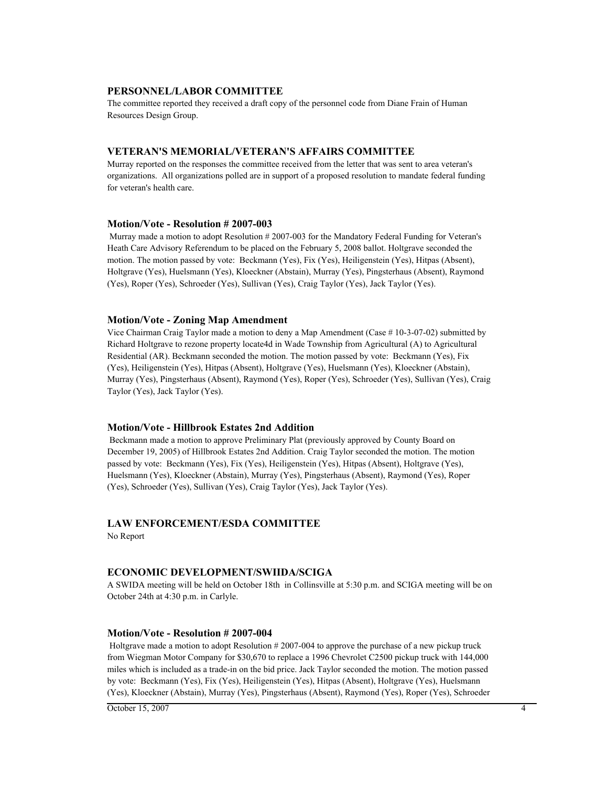#### **PERSONNEL/LABOR COMMITTEE**

The committee reported they received a draft copy of the personnel code from Diane Frain of Human Resources Design Group.

#### **VETERAN'S MEMORIAL/VETERAN'S AFFAIRS COMMITTEE**

Murray reported on the responses the committee received from the letter that was sent to area veteran's organizations. All organizations polled are in support of a proposed resolution to mandate federal funding for veteran's health care.

#### **Motion/Vote - Resolution # 2007-003**

 Murray made a motion to adopt Resolution # 2007-003 for the Mandatory Federal Funding for Veteran's Heath Care Advisory Referendum to be placed on the February 5, 2008 ballot. Holtgrave seconded the motion. The motion passed by vote: Beckmann (Yes), Fix (Yes), Heiligenstein (Yes), Hitpas (Absent), Holtgrave (Yes), Huelsmann (Yes), Kloeckner (Abstain), Murray (Yes), Pingsterhaus (Absent), Raymond (Yes), Roper (Yes), Schroeder (Yes), Sullivan (Yes), Craig Taylor (Yes), Jack Taylor (Yes).

#### **Motion/Vote - Zoning Map Amendment**

Vice Chairman Craig Taylor made a motion to deny a Map Amendment (Case # 10-3-07-02) submitted by Richard Holtgrave to rezone property locate4d in Wade Township from Agricultural (A) to Agricultural Residential (AR). Beckmann seconded the motion. The motion passed by vote: Beckmann (Yes), Fix (Yes), Heiligenstein (Yes), Hitpas (Absent), Holtgrave (Yes), Huelsmann (Yes), Kloeckner (Abstain), Murray (Yes), Pingsterhaus (Absent), Raymond (Yes), Roper (Yes), Schroeder (Yes), Sullivan (Yes), Craig Taylor (Yes), Jack Taylor (Yes).

#### **Motion/Vote - Hillbrook Estates 2nd Addition**

 Beckmann made a motion to approve Preliminary Plat (previously approved by County Board on December 19, 2005) of Hillbrook Estates 2nd Addition. Craig Taylor seconded the motion. The motion passed by vote: Beckmann (Yes), Fix (Yes), Heiligenstein (Yes), Hitpas (Absent), Holtgrave (Yes), Huelsmann (Yes), Kloeckner (Abstain), Murray (Yes), Pingsterhaus (Absent), Raymond (Yes), Roper (Yes), Schroeder (Yes), Sullivan (Yes), Craig Taylor (Yes), Jack Taylor (Yes).

### **LAW ENFORCEMENT/ESDA COMMITTEE**

No Report

#### **ECONOMIC DEVELOPMENT/SWIIDA/SCIGA**

A SWIDA meeting will be held on October 18th in Collinsville at 5:30 p.m. and SCIGA meeting will be on October 24th at 4:30 p.m. in Carlyle.

#### **Motion/Vote - Resolution # 2007-004**

 Holtgrave made a motion to adopt Resolution # 2007-004 to approve the purchase of a new pickup truck from Wiegman Motor Company for \$30,670 to replace a 1996 Chevrolet C2500 pickup truck with 144,000 miles which is included as a trade-in on the bid price. Jack Taylor seconded the motion. The motion passed by vote: Beckmann (Yes), Fix (Yes), Heiligenstein (Yes), Hitpas (Absent), Holtgrave (Yes), Huelsmann (Yes), Kloeckner (Abstain), Murray (Yes), Pingsterhaus (Absent), Raymond (Yes), Roper (Yes), Schroeder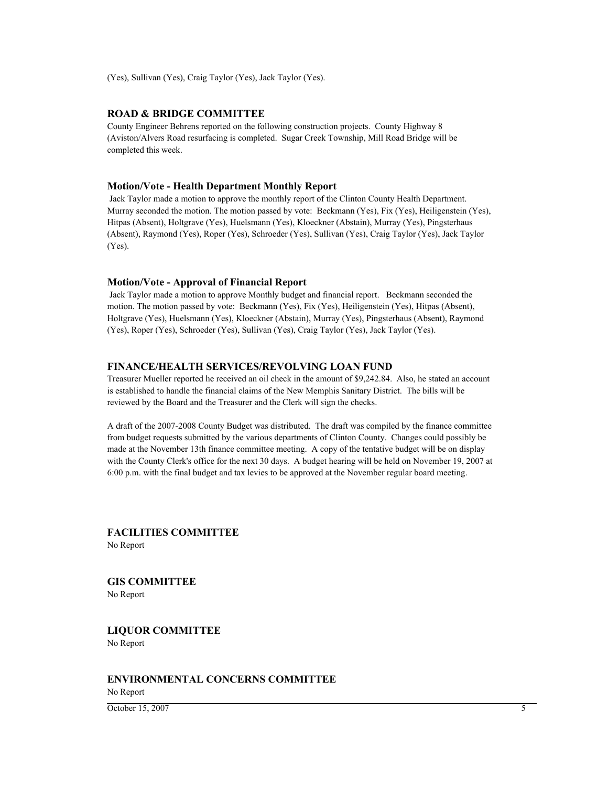(Yes), Sullivan (Yes), Craig Taylor (Yes), Jack Taylor (Yes).

### **ROAD & BRIDGE COMMITTEE**

County Engineer Behrens reported on the following construction projects. County Highway 8 (Aviston/Alvers Road resurfacing is completed. Sugar Creek Township, Mill Road Bridge will be completed this week.

#### **Motion/Vote - Health Department Monthly Report**

 Jack Taylor made a motion to approve the monthly report of the Clinton County Health Department. Murray seconded the motion. The motion passed by vote: Beckmann (Yes), Fix (Yes), Heiligenstein (Yes), Hitpas (Absent), Holtgrave (Yes), Huelsmann (Yes), Kloeckner (Abstain), Murray (Yes), Pingsterhaus (Absent), Raymond (Yes), Roper (Yes), Schroeder (Yes), Sullivan (Yes), Craig Taylor (Yes), Jack Taylor (Yes).

#### **Motion/Vote - Approval of Financial Report**

 Jack Taylor made a motion to approve Monthly budget and financial report. Beckmann seconded the motion. The motion passed by vote: Beckmann (Yes), Fix (Yes), Heiligenstein (Yes), Hitpas (Absent), Holtgrave (Yes), Huelsmann (Yes), Kloeckner (Abstain), Murray (Yes), Pingsterhaus (Absent), Raymond (Yes), Roper (Yes), Schroeder (Yes), Sullivan (Yes), Craig Taylor (Yes), Jack Taylor (Yes).

### **FINANCE/HEALTH SERVICES/REVOLVING LOAN FUND**

Treasurer Mueller reported he received an oil check in the amount of \$9,242.84. Also, he stated an account is established to handle the financial claims of the New Memphis Sanitary District. The bills will be reviewed by the Board and the Treasurer and the Clerk will sign the checks.

A draft of the 2007-2008 County Budget was distributed. The draft was compiled by the finance committee from budget requests submitted by the various departments of Clinton County. Changes could possibly be made at the November 13th finance committee meeting. A copy of the tentative budget will be on display with the County Clerk's office for the next 30 days. A budget hearing will be held on November 19, 2007 at 6:00 p.m. with the final budget and tax levies to be approved at the November regular board meeting.

### **FACILITIES COMMITTEE**

No Report

**GIS COMMITTEE** No Report

**LIQUOR COMMITTEE** No Report

### **ENVIRONMENTAL CONCERNS COMMITTEE**

No Report

 $\overline{\text{October 15, 2007}}$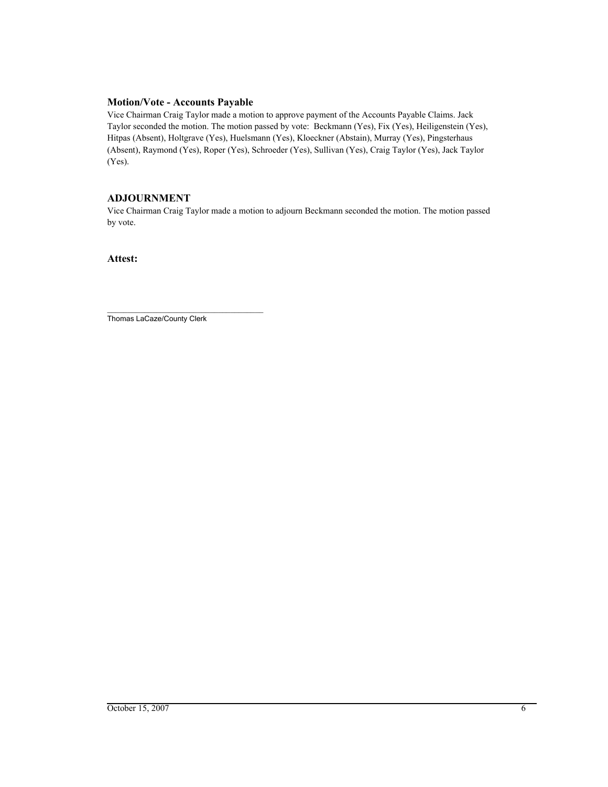## **Motion/Vote - Accounts Payable**

Vice Chairman Craig Taylor made a motion to approve payment of the Accounts Payable Claims. Jack Taylor seconded the motion. The motion passed by vote: Beckmann (Yes), Fix (Yes), Heiligenstein (Yes), Hitpas (Absent), Holtgrave (Yes), Huelsmann (Yes), Kloeckner (Abstain), Murray (Yes), Pingsterhaus (Absent), Raymond (Yes), Roper (Yes), Schroeder (Yes), Sullivan (Yes), Craig Taylor (Yes), Jack Taylor (Yes).

# **ADJOURNMENT**

Vice Chairman Craig Taylor made a motion to adjourn Beckmann seconded the motion. The motion passed by vote.

**Attest:**

\_\_\_\_\_\_\_\_\_\_\_\_\_\_\_\_\_\_\_\_\_\_\_\_\_\_\_\_\_\_\_\_\_\_\_\_\_\_ Thomas LaCaze/County Clerk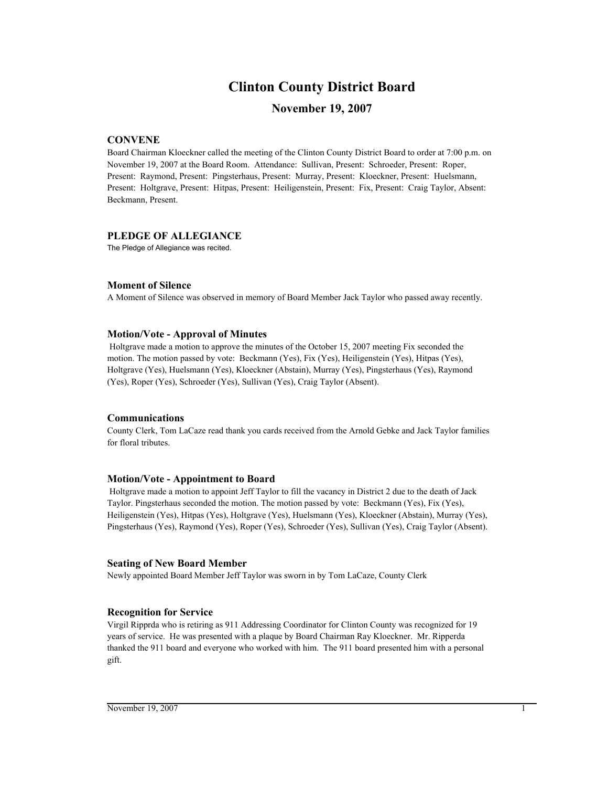# **Clinton County District Board**

# **November 19, 2007**

## **CONVENE**

Board Chairman Kloeckner called the meeting of the Clinton County District Board to order at 7:00 p.m. on November 19, 2007 at the Board Room. Attendance: Sullivan, Present: Schroeder, Present: Roper, Present: Raymond, Present: Pingsterhaus, Present: Murray, Present: Kloeckner, Present: Huelsmann, Present: Holtgrave, Present: Hitpas, Present: Heiligenstein, Present: Fix, Present: Craig Taylor, Absent: Beckmann, Present.

## **PLEDGE OF ALLEGIANCE**

The Pledge of Allegiance was recited.

## **Moment of Silence**

A Moment of Silence was observed in memory of Board Member Jack Taylor who passed away recently.

## **Motion/Vote - Approval of Minutes**

 Holtgrave made a motion to approve the minutes of the October 15, 2007 meeting Fix seconded the motion. The motion passed by vote: Beckmann (Yes), Fix (Yes), Heiligenstein (Yes), Hitpas (Yes), Holtgrave (Yes), Huelsmann (Yes), Kloeckner (Abstain), Murray (Yes), Pingsterhaus (Yes), Raymond (Yes), Roper (Yes), Schroeder (Yes), Sullivan (Yes), Craig Taylor (Absent).

## **Communications**

County Clerk, Tom LaCaze read thank you cards received from the Arnold Gebke and Jack Taylor families for floral tributes.

## **Motion/Vote - Appointment to Board**

 Holtgrave made a motion to appoint Jeff Taylor to fill the vacancy in District 2 due to the death of Jack Taylor. Pingsterhaus seconded the motion. The motion passed by vote: Beckmann (Yes), Fix (Yes), Heiligenstein (Yes), Hitpas (Yes), Holtgrave (Yes), Huelsmann (Yes), Kloeckner (Abstain), Murray (Yes), Pingsterhaus (Yes), Raymond (Yes), Roper (Yes), Schroeder (Yes), Sullivan (Yes), Craig Taylor (Absent).

## **Seating of New Board Member**

Newly appointed Board Member Jeff Taylor was sworn in by Tom LaCaze, County Clerk

## **Recognition for Service**

Virgil Ripprda who is retiring as 911 Addressing Coordinator for Clinton County was recognized for 19 years of service. He was presented with a plaque by Board Chairman Ray Kloeckner. Mr. Ripperda thanked the 911 board and everyone who worked with him. The 911 board presented him with a personal gift.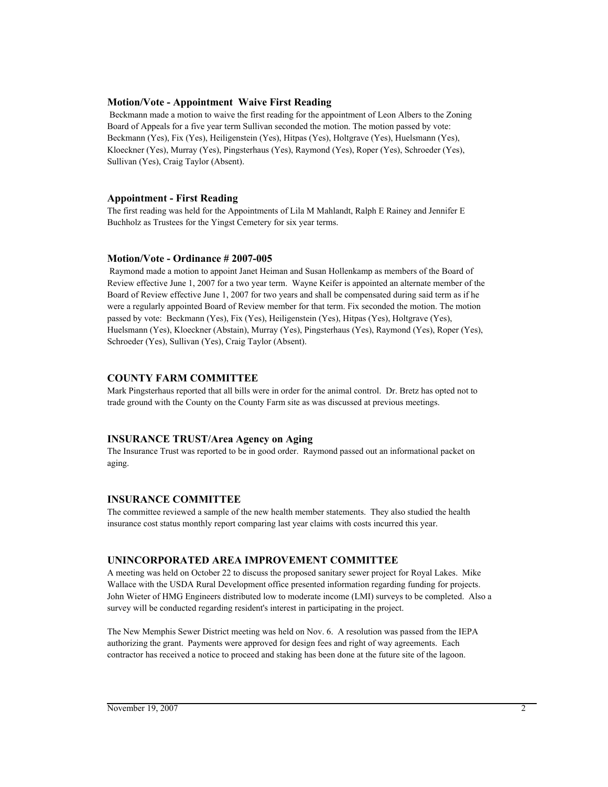## **Motion/Vote - Appointment Waive First Reading**

 Beckmann made a motion to waive the first reading for the appointment of Leon Albers to the Zoning Board of Appeals for a five year term Sullivan seconded the motion. The motion passed by vote: Beckmann (Yes), Fix (Yes), Heiligenstein (Yes), Hitpas (Yes), Holtgrave (Yes), Huelsmann (Yes), Kloeckner (Yes), Murray (Yes), Pingsterhaus (Yes), Raymond (Yes), Roper (Yes), Schroeder (Yes), Sullivan (Yes), Craig Taylor (Absent).

## **Appointment - First Reading**

The first reading was held for the Appointments of Lila M Mahlandt, Ralph E Rainey and Jennifer E Buchholz as Trustees for the Yingst Cemetery for six year terms.

## **Motion/Vote - Ordinance # 2007-005**

 Raymond made a motion to appoint Janet Heiman and Susan Hollenkamp as members of the Board of Review effective June 1, 2007 for a two year term. Wayne Keifer is appointed an alternate member of the Board of Review effective June 1, 2007 for two years and shall be compensated during said term as if he were a regularly appointed Board of Review member for that term. Fix seconded the motion. The motion passed by vote: Beckmann (Yes), Fix (Yes), Heiligenstein (Yes), Hitpas (Yes), Holtgrave (Yes), Huelsmann (Yes), Kloeckner (Abstain), Murray (Yes), Pingsterhaus (Yes), Raymond (Yes), Roper (Yes), Schroeder (Yes), Sullivan (Yes), Craig Taylor (Absent).

## **COUNTY FARM COMMITTEE**

Mark Pingsterhaus reported that all bills were in order for the animal control. Dr. Bretz has opted not to trade ground with the County on the County Farm site as was discussed at previous meetings.

## **INSURANCE TRUST/Area Agency on Aging**

The Insurance Trust was reported to be in good order. Raymond passed out an informational packet on aging.

## **INSURANCE COMMITTEE**

The committee reviewed a sample of the new health member statements. They also studied the health insurance cost status monthly report comparing last year claims with costs incurred this year.

## **UNINCORPORATED AREA IMPROVEMENT COMMITTEE**

A meeting was held on October 22 to discuss the proposed sanitary sewer project for Royal Lakes. Mike Wallace with the USDA Rural Development office presented information regarding funding for projects. John Wieter of HMG Engineers distributed low to moderate income (LMI) surveys to be completed. Also a survey will be conducted regarding resident's interest in participating in the project.

The New Memphis Sewer District meeting was held on Nov. 6. A resolution was passed from the IEPA authorizing the grant. Payments were approved for design fees and right of way agreements. Each contractor has received a notice to proceed and staking has been done at the future site of the lagoon.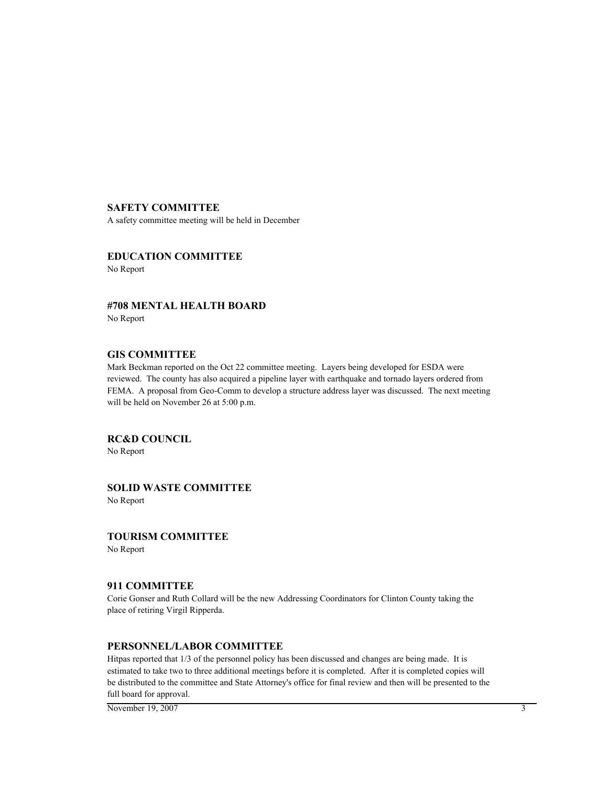## **SAFETY COMMITTEE**

A safety committee meeting will be held in December

# **EDUCATION COMMITTEE**

No Report

**#708 MENTAL HEALTH BOARD** No Report

## **GIS COMMITTEE**

Mark Beckman reported on the Oct 22 committee meeting. Layers being developed for ESDA were reviewed. The county has also acquired a pipeline layer with earthquake and tornado layers ordered from FEMA. A proposal from Geo-Comm to develop a structure address layer was discussed. The next meeting will be held on November 26 at 5:00 p.m.

**RC&D COUNCIL**

No Report

**SOLID WASTE COMMITTEE** No Report

**TOURISM COMMITTEE**

No Report

## **911 COMMITTEE**

Corie Gonser and Ruth Collard will be the new Addressing Coordinators for Clinton County taking the place of retiring Virgil Ripperda.

# **PERSONNEL/LABOR COMMITTEE**

Hitpas reported that 1/3 of the personnel policy has been discussed and changes are being made. It is estimated to take two to three additional meetings before it is completed. After it is completed copies will be distributed to the committee and State Attorney's office for final review and then will be presented to the full board for approval.

November 19, 2007 3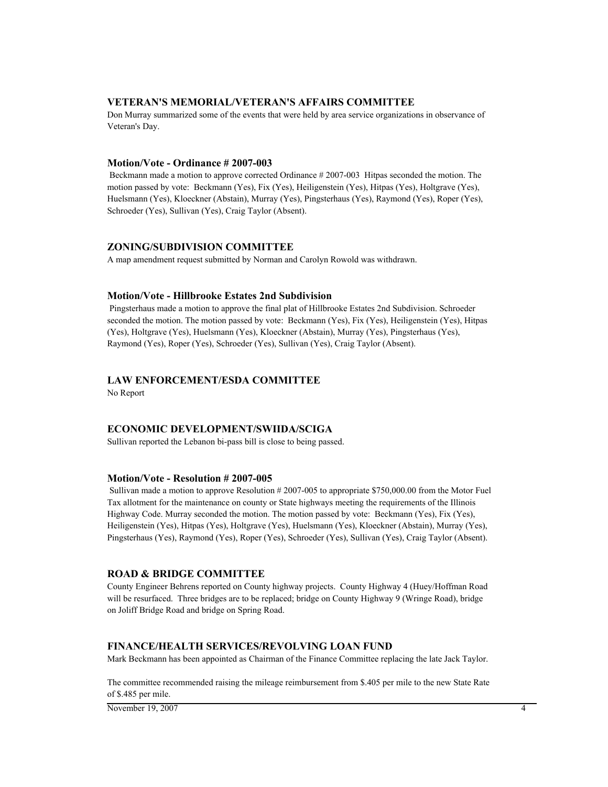### **VETERAN'S MEMORIAL/VETERAN'S AFFAIRS COMMITTEE**

Don Murray summarized some of the events that were held by area service organizations in observance of Veteran's Day.

#### **Motion/Vote - Ordinance # 2007-003**

 Beckmann made a motion to approve corrected Ordinance # 2007-003 Hitpas seconded the motion. The motion passed by vote: Beckmann (Yes), Fix (Yes), Heiligenstein (Yes), Hitpas (Yes), Holtgrave (Yes), Huelsmann (Yes), Kloeckner (Abstain), Murray (Yes), Pingsterhaus (Yes), Raymond (Yes), Roper (Yes), Schroeder (Yes), Sullivan (Yes), Craig Taylor (Absent).

#### **ZONING/SUBDIVISION COMMITTEE**

A map amendment request submitted by Norman and Carolyn Rowold was withdrawn.

#### **Motion/Vote - Hillbrooke Estates 2nd Subdivision**

 Pingsterhaus made a motion to approve the final plat of Hillbrooke Estates 2nd Subdivision. Schroeder seconded the motion. The motion passed by vote: Beckmann (Yes), Fix (Yes), Heiligenstein (Yes), Hitpas (Yes), Holtgrave (Yes), Huelsmann (Yes), Kloeckner (Abstain), Murray (Yes), Pingsterhaus (Yes), Raymond (Yes), Roper (Yes), Schroeder (Yes), Sullivan (Yes), Craig Taylor (Absent).

## **LAW ENFORCEMENT/ESDA COMMITTEE**

No Report

## **ECONOMIC DEVELOPMENT/SWIIDA/SCIGA**

Sullivan reported the Lebanon bi-pass bill is close to being passed.

#### **Motion/Vote - Resolution # 2007-005**

 Sullivan made a motion to approve Resolution # 2007-005 to appropriate \$750,000.00 from the Motor Fuel Tax allotment for the maintenance on county or State highways meeting the requirements of the Illinois Highway Code. Murray seconded the motion. The motion passed by vote: Beckmann (Yes), Fix (Yes), Heiligenstein (Yes), Hitpas (Yes), Holtgrave (Yes), Huelsmann (Yes), Kloeckner (Abstain), Murray (Yes), Pingsterhaus (Yes), Raymond (Yes), Roper (Yes), Schroeder (Yes), Sullivan (Yes), Craig Taylor (Absent).

### **ROAD & BRIDGE COMMITTEE**

County Engineer Behrens reported on County highway projects. County Highway 4 (Huey/Hoffman Road will be resurfaced. Three bridges are to be replaced; bridge on County Highway 9 (Wringe Road), bridge on Joliff Bridge Road and bridge on Spring Road.

#### **FINANCE/HEALTH SERVICES/REVOLVING LOAN FUND**

Mark Beckmann has been appointed as Chairman of the Finance Committee replacing the late Jack Taylor.

The committee recommended raising the mileage reimbursement from \$.405 per mile to the new State Rate of \$.485 per mile.

November 19, 2007 4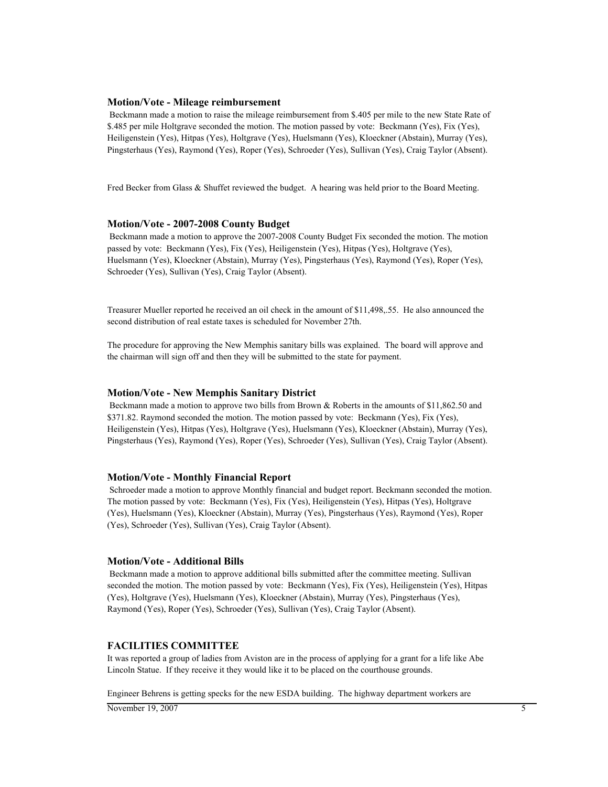#### **Motion/Vote - Mileage reimbursement**

 Beckmann made a motion to raise the mileage reimbursement from \$.405 per mile to the new State Rate of \$.485 per mile Holtgrave seconded the motion. The motion passed by vote: Beckmann (Yes), Fix (Yes), Heiligenstein (Yes), Hitpas (Yes), Holtgrave (Yes), Huelsmann (Yes), Kloeckner (Abstain), Murray (Yes), Pingsterhaus (Yes), Raymond (Yes), Roper (Yes), Schroeder (Yes), Sullivan (Yes), Craig Taylor (Absent).

Fred Becker from Glass & Shuffet reviewed the budget. A hearing was held prior to the Board Meeting.

#### **Motion/Vote - 2007-2008 County Budget**

 Beckmann made a motion to approve the 2007-2008 County Budget Fix seconded the motion. The motion passed by vote: Beckmann (Yes), Fix (Yes), Heiligenstein (Yes), Hitpas (Yes), Holtgrave (Yes), Huelsmann (Yes), Kloeckner (Abstain), Murray (Yes), Pingsterhaus (Yes), Raymond (Yes), Roper (Yes), Schroeder (Yes), Sullivan (Yes), Craig Taylor (Absent).

Treasurer Mueller reported he received an oil check in the amount of \$11,498,.55. He also announced the second distribution of real estate taxes is scheduled for November 27th.

The procedure for approving the New Memphis sanitary bills was explained. The board will approve and the chairman will sign off and then they will be submitted to the state for payment.

#### **Motion/Vote - New Memphis Sanitary District**

 Beckmann made a motion to approve two bills from Brown & Roberts in the amounts of \$11,862.50 and \$371.82. Raymond seconded the motion. The motion passed by vote: Beckmann (Yes), Fix (Yes), Heiligenstein (Yes), Hitpas (Yes), Holtgrave (Yes), Huelsmann (Yes), Kloeckner (Abstain), Murray (Yes), Pingsterhaus (Yes), Raymond (Yes), Roper (Yes), Schroeder (Yes), Sullivan (Yes), Craig Taylor (Absent).

#### **Motion/Vote - Monthly Financial Report**

 Schroeder made a motion to approve Monthly financial and budget report. Beckmann seconded the motion. The motion passed by vote: Beckmann (Yes), Fix (Yes), Heiligenstein (Yes), Hitpas (Yes), Holtgrave (Yes), Huelsmann (Yes), Kloeckner (Abstain), Murray (Yes), Pingsterhaus (Yes), Raymond (Yes), Roper (Yes), Schroeder (Yes), Sullivan (Yes), Craig Taylor (Absent).

#### **Motion/Vote - Additional Bills**

 Beckmann made a motion to approve additional bills submitted after the committee meeting. Sullivan seconded the motion. The motion passed by vote: Beckmann (Yes), Fix (Yes), Heiligenstein (Yes), Hitpas (Yes), Holtgrave (Yes), Huelsmann (Yes), Kloeckner (Abstain), Murray (Yes), Pingsterhaus (Yes), Raymond (Yes), Roper (Yes), Schroeder (Yes), Sullivan (Yes), Craig Taylor (Absent).

#### **FACILITIES COMMITTEE**

It was reported a group of ladies from Aviston are in the process of applying for a grant for a life like Abe Lincoln Statue. If they receive it they would like it to be placed on the courthouse grounds.

Engineer Behrens is getting specks for the new ESDA building. The highway department workers are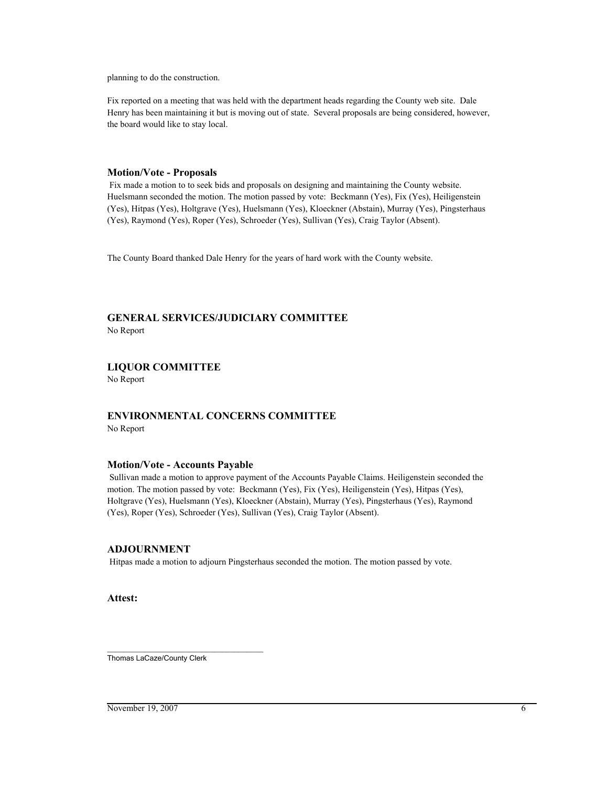planning to do the construction.

Fix reported on a meeting that was held with the department heads regarding the County web site. Dale Henry has been maintaining it but is moving out of state. Several proposals are being considered, however, the board would like to stay local.

### **Motion/Vote - Proposals**

 Fix made a motion to to seek bids and proposals on designing and maintaining the County website. Huelsmann seconded the motion. The motion passed by vote: Beckmann (Yes), Fix (Yes), Heiligenstein (Yes), Hitpas (Yes), Holtgrave (Yes), Huelsmann (Yes), Kloeckner (Abstain), Murray (Yes), Pingsterhaus (Yes), Raymond (Yes), Roper (Yes), Schroeder (Yes), Sullivan (Yes), Craig Taylor (Absent).

The County Board thanked Dale Henry for the years of hard work with the County website.

# **GENERAL SERVICES/JUDICIARY COMMITTEE**

No Report

## **LIQUOR COMMITTEE**

No Report

## **ENVIRONMENTAL CONCERNS COMMITTEE** No Report

## **Motion/Vote - Accounts Payable**

 Sullivan made a motion to approve payment of the Accounts Payable Claims. Heiligenstein seconded the motion. The motion passed by vote: Beckmann (Yes), Fix (Yes), Heiligenstein (Yes), Hitpas (Yes), Holtgrave (Yes), Huelsmann (Yes), Kloeckner (Abstain), Murray (Yes), Pingsterhaus (Yes), Raymond (Yes), Roper (Yes), Schroeder (Yes), Sullivan (Yes), Craig Taylor (Absent).

## **ADJOURNMENT**

Hitpas made a motion to adjourn Pingsterhaus seconded the motion. The motion passed by vote.

**Attest:**

\_\_\_\_\_\_\_\_\_\_\_\_\_\_\_\_\_\_\_\_\_\_\_\_\_\_\_\_\_\_\_\_\_\_\_\_\_\_ Thomas LaCaze/County Clerk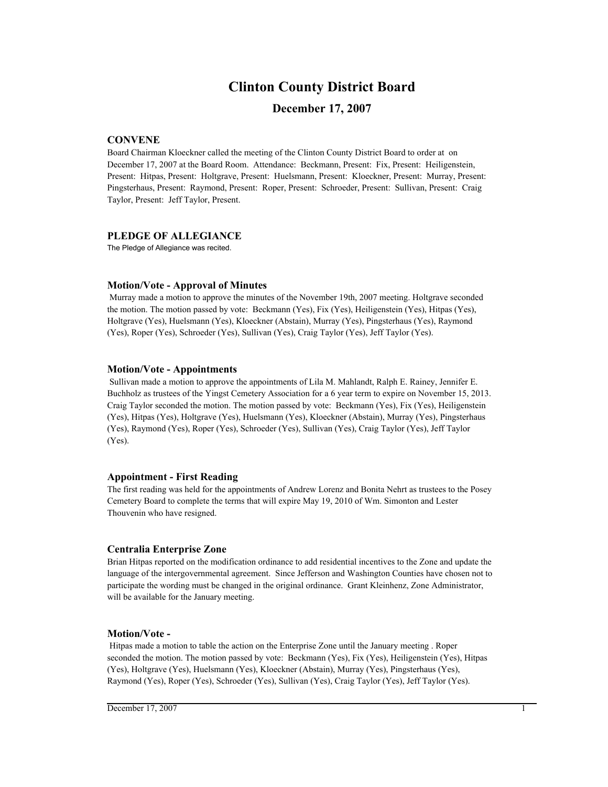# **Clinton County District Board**

# **December 17, 2007**

## **CONVENE**

Board Chairman Kloeckner called the meeting of the Clinton County District Board to order at on December 17, 2007 at the Board Room. Attendance: Beckmann, Present: Fix, Present: Heiligenstein, Present: Hitpas, Present: Holtgrave, Present: Huelsmann, Present: Kloeckner, Present: Murray, Present: Pingsterhaus, Present: Raymond, Present: Roper, Present: Schroeder, Present: Sullivan, Present: Craig Taylor, Present: Jeff Taylor, Present.

## **PLEDGE OF ALLEGIANCE**

The Pledge of Allegiance was recited.

#### **Motion/Vote - Approval of Minutes**

 Murray made a motion to approve the minutes of the November 19th, 2007 meeting. Holtgrave seconded the motion. The motion passed by vote: Beckmann (Yes), Fix (Yes), Heiligenstein (Yes), Hitpas (Yes), Holtgrave (Yes), Huelsmann (Yes), Kloeckner (Abstain), Murray (Yes), Pingsterhaus (Yes), Raymond (Yes), Roper (Yes), Schroeder (Yes), Sullivan (Yes), Craig Taylor (Yes), Jeff Taylor (Yes).

#### **Motion/Vote - Appointments**

 Sullivan made a motion to approve the appointments of Lila M. Mahlandt, Ralph E. Rainey, Jennifer E. Buchholz as trustees of the Yingst Cemetery Association for a 6 year term to expire on November 15, 2013. Craig Taylor seconded the motion. The motion passed by vote: Beckmann (Yes), Fix (Yes), Heiligenstein (Yes), Hitpas (Yes), Holtgrave (Yes), Huelsmann (Yes), Kloeckner (Abstain), Murray (Yes), Pingsterhaus (Yes), Raymond (Yes), Roper (Yes), Schroeder (Yes), Sullivan (Yes), Craig Taylor (Yes), Jeff Taylor (Yes).

#### **Appointment - First Reading**

The first reading was held for the appointments of Andrew Lorenz and Bonita Nehrt as trustees to the Posey Cemetery Board to complete the terms that will expire May 19, 2010 of Wm. Simonton and Lester Thouvenin who have resigned.

#### **Centralia Enterprise Zone**

Brian Hitpas reported on the modification ordinance to add residential incentives to the Zone and update the language of the intergovernmental agreement. Since Jefferson and Washington Counties have chosen not to participate the wording must be changed in the original ordinance. Grant Kleinhenz, Zone Administrator, will be available for the January meeting.

#### **Motion/Vote -**

 Hitpas made a motion to table the action on the Enterprise Zone until the January meeting . Roper seconded the motion. The motion passed by vote: Beckmann (Yes), Fix (Yes), Heiligenstein (Yes), Hitpas (Yes), Holtgrave (Yes), Huelsmann (Yes), Kloeckner (Abstain), Murray (Yes), Pingsterhaus (Yes), Raymond (Yes), Roper (Yes), Schroeder (Yes), Sullivan (Yes), Craig Taylor (Yes), Jeff Taylor (Yes).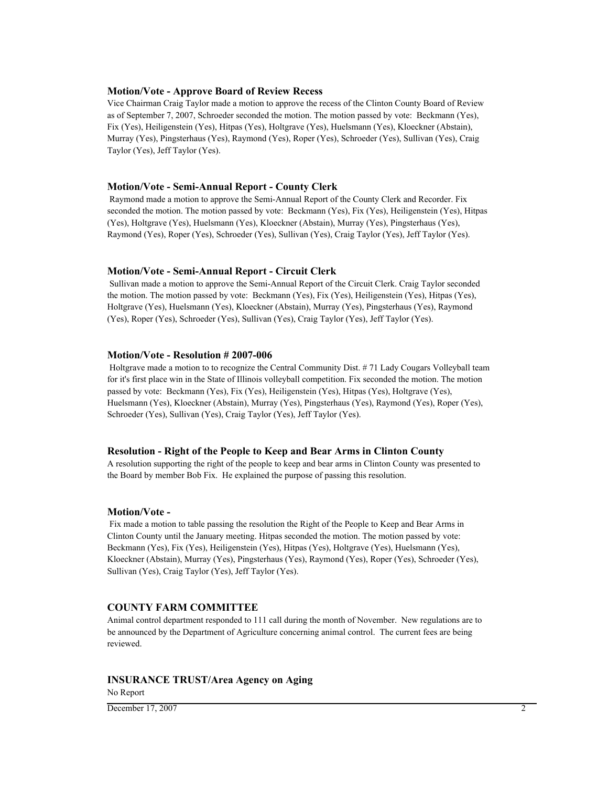#### **Motion/Vote - Approve Board of Review Recess**

Vice Chairman Craig Taylor made a motion to approve the recess of the Clinton County Board of Review as of September 7, 2007, Schroeder seconded the motion. The motion passed by vote: Beckmann (Yes), Fix (Yes), Heiligenstein (Yes), Hitpas (Yes), Holtgrave (Yes), Huelsmann (Yes), Kloeckner (Abstain), Murray (Yes), Pingsterhaus (Yes), Raymond (Yes), Roper (Yes), Schroeder (Yes), Sullivan (Yes), Craig Taylor (Yes), Jeff Taylor (Yes).

#### **Motion/Vote - Semi-Annual Report - County Clerk**

 Raymond made a motion to approve the Semi-Annual Report of the County Clerk and Recorder. Fix seconded the motion. The motion passed by vote: Beckmann (Yes), Fix (Yes), Heiligenstein (Yes), Hitpas (Yes), Holtgrave (Yes), Huelsmann (Yes), Kloeckner (Abstain), Murray (Yes), Pingsterhaus (Yes), Raymond (Yes), Roper (Yes), Schroeder (Yes), Sullivan (Yes), Craig Taylor (Yes), Jeff Taylor (Yes).

#### **Motion/Vote - Semi-Annual Report - Circuit Clerk**

 Sullivan made a motion to approve the Semi-Annual Report of the Circuit Clerk. Craig Taylor seconded the motion. The motion passed by vote: Beckmann (Yes), Fix (Yes), Heiligenstein (Yes), Hitpas (Yes), Holtgrave (Yes), Huelsmann (Yes), Kloeckner (Abstain), Murray (Yes), Pingsterhaus (Yes), Raymond (Yes), Roper (Yes), Schroeder (Yes), Sullivan (Yes), Craig Taylor (Yes), Jeff Taylor (Yes).

#### **Motion/Vote - Resolution # 2007-006**

 Holtgrave made a motion to to recognize the Central Community Dist. # 71 Lady Cougars Volleyball team for it's first place win in the State of Illinois volleyball competition. Fix seconded the motion. The motion passed by vote: Beckmann (Yes), Fix (Yes), Heiligenstein (Yes), Hitpas (Yes), Holtgrave (Yes), Huelsmann (Yes), Kloeckner (Abstain), Murray (Yes), Pingsterhaus (Yes), Raymond (Yes), Roper (Yes), Schroeder (Yes), Sullivan (Yes), Craig Taylor (Yes), Jeff Taylor (Yes).

#### **Resolution - Right of the People to Keep and Bear Arms in Clinton County**

A resolution supporting the right of the people to keep and bear arms in Clinton County was presented to the Board by member Bob Fix. He explained the purpose of passing this resolution.

#### **Motion/Vote -**

 Fix made a motion to table passing the resolution the Right of the People to Keep and Bear Arms in Clinton County until the January meeting. Hitpas seconded the motion. The motion passed by vote: Beckmann (Yes), Fix (Yes), Heiligenstein (Yes), Hitpas (Yes), Holtgrave (Yes), Huelsmann (Yes), Kloeckner (Abstain), Murray (Yes), Pingsterhaus (Yes), Raymond (Yes), Roper (Yes), Schroeder (Yes), Sullivan (Yes), Craig Taylor (Yes), Jeff Taylor (Yes).

#### **COUNTY FARM COMMITTEE**

Animal control department responded to 111 call during the month of November. New regulations are to be announced by the Department of Agriculture concerning animal control. The current fees are being reviewed.

#### **INSURANCE TRUST/Area Agency on Aging**

No Report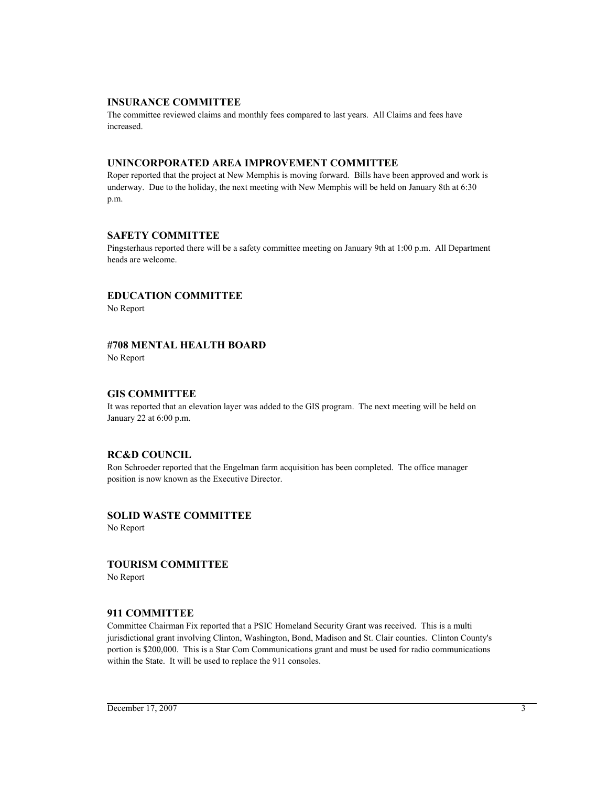## **INSURANCE COMMITTEE**

The committee reviewed claims and monthly fees compared to last years. All Claims and fees have increased.

## **UNINCORPORATED AREA IMPROVEMENT COMMITTEE**

Roper reported that the project at New Memphis is moving forward. Bills have been approved and work is underway. Due to the holiday, the next meeting with New Memphis will be held on January 8th at 6:30 p.m.

## **SAFETY COMMITTEE**

Pingsterhaus reported there will be a safety committee meeting on January 9th at 1:00 p.m. All Department heads are welcome.

## **EDUCATION COMMITTEE**

No Report

# **#708 MENTAL HEALTH BOARD**

No Report

### **GIS COMMITTEE**

It was reported that an elevation layer was added to the GIS program. The next meeting will be held on January 22 at 6:00 p.m.

## **RC&D COUNCIL**

Ron Schroeder reported that the Engelman farm acquisition has been completed. The office manager position is now known as the Executive Director.

# **SOLID WASTE COMMITTEE**

No Report

### **TOURISM COMMITTEE**

No Report

# **911 COMMITTEE**

Committee Chairman Fix reported that a PSIC Homeland Security Grant was received. This is a multi jurisdictional grant involving Clinton, Washington, Bond, Madison and St. Clair counties. Clinton County's portion is \$200,000. This is a Star Com Communications grant and must be used for radio communications within the State. It will be used to replace the 911 consoles.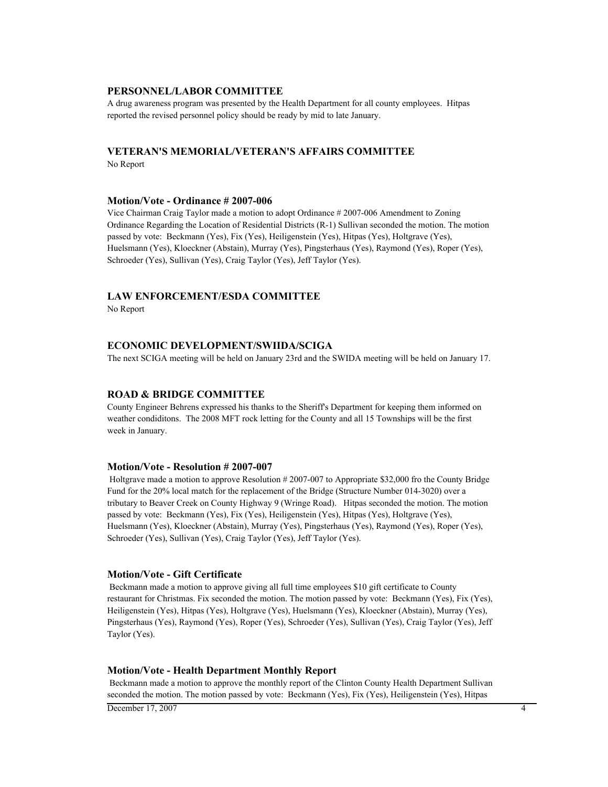### **PERSONNEL/LABOR COMMITTEE**

A drug awareness program was presented by the Health Department for all county employees. Hitpas reported the revised personnel policy should be ready by mid to late January.

# **VETERAN'S MEMORIAL/VETERAN'S AFFAIRS COMMITTEE**

No Report

#### **Motion/Vote - Ordinance # 2007-006**

Vice Chairman Craig Taylor made a motion to adopt Ordinance # 2007-006 Amendment to Zoning Ordinance Regarding the Location of Residential Districts (R-1) Sullivan seconded the motion. The motion passed by vote: Beckmann (Yes), Fix (Yes), Heiligenstein (Yes), Hitpas (Yes), Holtgrave (Yes), Huelsmann (Yes), Kloeckner (Abstain), Murray (Yes), Pingsterhaus (Yes), Raymond (Yes), Roper (Yes), Schroeder (Yes), Sullivan (Yes), Craig Taylor (Yes), Jeff Taylor (Yes).

#### **LAW ENFORCEMENT/ESDA COMMITTEE**

No Report

# **ECONOMIC DEVELOPMENT/SWIIDA/SCIGA**

The next SCIGA meeting will be held on January 23rd and the SWIDA meeting will be held on January 17.

### **ROAD & BRIDGE COMMITTEE**

County Engineer Behrens expressed his thanks to the Sheriff's Department for keeping them informed on weather condiditons. The 2008 MFT rock letting for the County and all 15 Townships will be the first week in January.

#### **Motion/Vote - Resolution # 2007-007**

 Holtgrave made a motion to approve Resolution # 2007-007 to Appropriate \$32,000 fro the County Bridge Fund for the 20% local match for the replacement of the Bridge (Structure Number 014-3020) over a tributary to Beaver Creek on County Highway 9 (Wringe Road). Hitpas seconded the motion. The motion passed by vote: Beckmann (Yes), Fix (Yes), Heiligenstein (Yes), Hitpas (Yes), Holtgrave (Yes), Huelsmann (Yes), Kloeckner (Abstain), Murray (Yes), Pingsterhaus (Yes), Raymond (Yes), Roper (Yes), Schroeder (Yes), Sullivan (Yes), Craig Taylor (Yes), Jeff Taylor (Yes).

### **Motion/Vote - Gift Certificate**

 Beckmann made a motion to approve giving all full time employees \$10 gift certificate to County restaurant for Christmas. Fix seconded the motion. The motion passed by vote: Beckmann (Yes), Fix (Yes), Heiligenstein (Yes), Hitpas (Yes), Holtgrave (Yes), Huelsmann (Yes), Kloeckner (Abstain), Murray (Yes), Pingsterhaus (Yes), Raymond (Yes), Roper (Yes), Schroeder (Yes), Sullivan (Yes), Craig Taylor (Yes), Jeff Taylor (Yes).

#### **Motion/Vote - Health Department Monthly Report**

 Beckmann made a motion to approve the monthly report of the Clinton County Health Department Sullivan seconded the motion. The motion passed by vote: Beckmann (Yes), Fix (Yes), Heiligenstein (Yes), Hitpas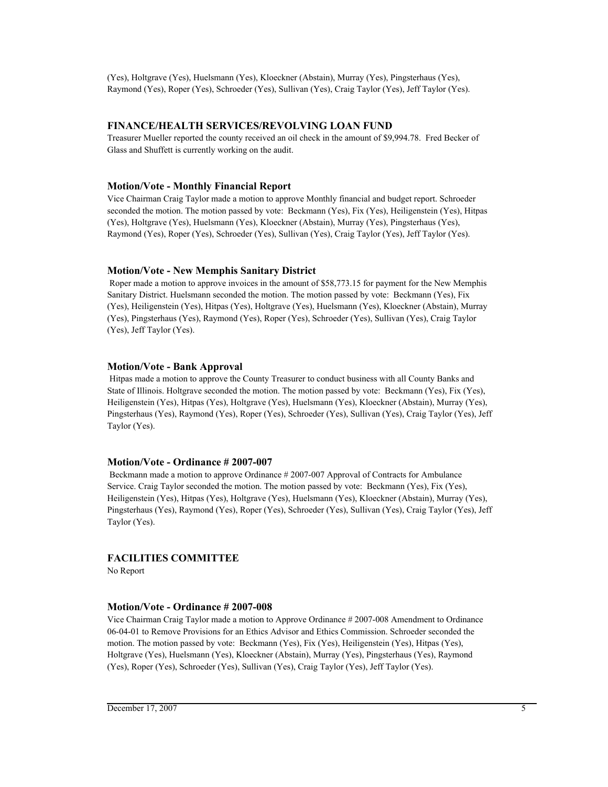(Yes), Holtgrave (Yes), Huelsmann (Yes), Kloeckner (Abstain), Murray (Yes), Pingsterhaus (Yes), Raymond (Yes), Roper (Yes), Schroeder (Yes), Sullivan (Yes), Craig Taylor (Yes), Jeff Taylor (Yes).

## **FINANCE/HEALTH SERVICES/REVOLVING LOAN FUND**

Treasurer Mueller reported the county received an oil check in the amount of \$9,994.78. Fred Becker of Glass and Shuffett is currently working on the audit.

## **Motion/Vote - Monthly Financial Report**

Vice Chairman Craig Taylor made a motion to approve Monthly financial and budget report. Schroeder seconded the motion. The motion passed by vote: Beckmann (Yes), Fix (Yes), Heiligenstein (Yes), Hitpas (Yes), Holtgrave (Yes), Huelsmann (Yes), Kloeckner (Abstain), Murray (Yes), Pingsterhaus (Yes), Raymond (Yes), Roper (Yes), Schroeder (Yes), Sullivan (Yes), Craig Taylor (Yes), Jeff Taylor (Yes).

# **Motion/Vote - New Memphis Sanitary District**

 Roper made a motion to approve invoices in the amount of \$58,773.15 for payment for the New Memphis Sanitary District. Huelsmann seconded the motion. The motion passed by vote: Beckmann (Yes), Fix (Yes), Heiligenstein (Yes), Hitpas (Yes), Holtgrave (Yes), Huelsmann (Yes), Kloeckner (Abstain), Murray (Yes), Pingsterhaus (Yes), Raymond (Yes), Roper (Yes), Schroeder (Yes), Sullivan (Yes), Craig Taylor (Yes), Jeff Taylor (Yes).

## **Motion/Vote - Bank Approval**

 Hitpas made a motion to approve the County Treasurer to conduct business with all County Banks and State of Illinois. Holtgrave seconded the motion. The motion passed by vote: Beckmann (Yes), Fix (Yes), Heiligenstein (Yes), Hitpas (Yes), Holtgrave (Yes), Huelsmann (Yes), Kloeckner (Abstain), Murray (Yes), Pingsterhaus (Yes), Raymond (Yes), Roper (Yes), Schroeder (Yes), Sullivan (Yes), Craig Taylor (Yes), Jeff Taylor (Yes).

## **Motion/Vote - Ordinance # 2007-007**

 Beckmann made a motion to approve Ordinance # 2007-007 Approval of Contracts for Ambulance Service. Craig Taylor seconded the motion. The motion passed by vote: Beckmann (Yes), Fix (Yes), Heiligenstein (Yes), Hitpas (Yes), Holtgrave (Yes), Huelsmann (Yes), Kloeckner (Abstain), Murray (Yes), Pingsterhaus (Yes), Raymond (Yes), Roper (Yes), Schroeder (Yes), Sullivan (Yes), Craig Taylor (Yes), Jeff Taylor (Yes).

# **FACILITIES COMMITTEE**

No Report

## **Motion/Vote - Ordinance # 2007-008**

Vice Chairman Craig Taylor made a motion to Approve Ordinance # 2007-008 Amendment to Ordinance 06-04-01 to Remove Provisions for an Ethics Advisor and Ethics Commission. Schroeder seconded the motion. The motion passed by vote: Beckmann (Yes), Fix (Yes), Heiligenstein (Yes), Hitpas (Yes), Holtgrave (Yes), Huelsmann (Yes), Kloeckner (Abstain), Murray (Yes), Pingsterhaus (Yes), Raymond (Yes), Roper (Yes), Schroeder (Yes), Sullivan (Yes), Craig Taylor (Yes), Jeff Taylor (Yes).